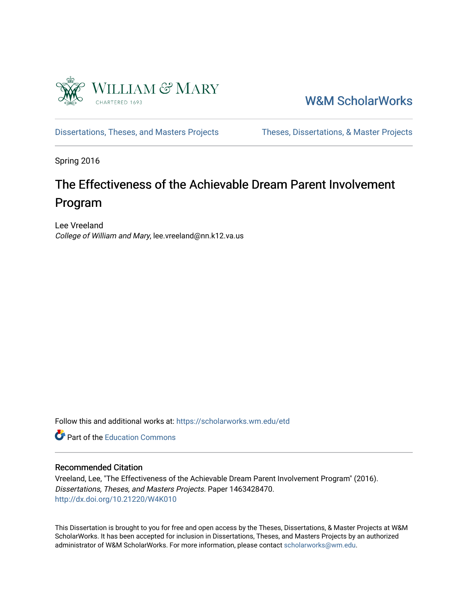

[W&M ScholarWorks](https://scholarworks.wm.edu/) 

[Dissertations, Theses, and Masters Projects](https://scholarworks.wm.edu/etd) Theses, Dissertations, & Master Projects

Spring 2016

# The Effectiveness of the Achievable Dream Parent Involvement Program

Lee Vreeland College of William and Mary, lee.vreeland@nn.k12.va.us

Follow this and additional works at: [https://scholarworks.wm.edu/etd](https://scholarworks.wm.edu/etd?utm_source=scholarworks.wm.edu%2Fetd%2F1463428470&utm_medium=PDF&utm_campaign=PDFCoverPages)

**C** Part of the [Education Commons](http://network.bepress.com/hgg/discipline/784?utm_source=scholarworks.wm.edu%2Fetd%2F1463428470&utm_medium=PDF&utm_campaign=PDFCoverPages)

### Recommended Citation

Vreeland, Lee, "The Effectiveness of the Achievable Dream Parent Involvement Program" (2016). Dissertations, Theses, and Masters Projects. Paper 1463428470. <http://dx.doi.org/10.21220/W4K010>

This Dissertation is brought to you for free and open access by the Theses, Dissertations, & Master Projects at W&M ScholarWorks. It has been accepted for inclusion in Dissertations, Theses, and Masters Projects by an authorized administrator of W&M ScholarWorks. For more information, please contact [scholarworks@wm.edu.](mailto:scholarworks@wm.edu)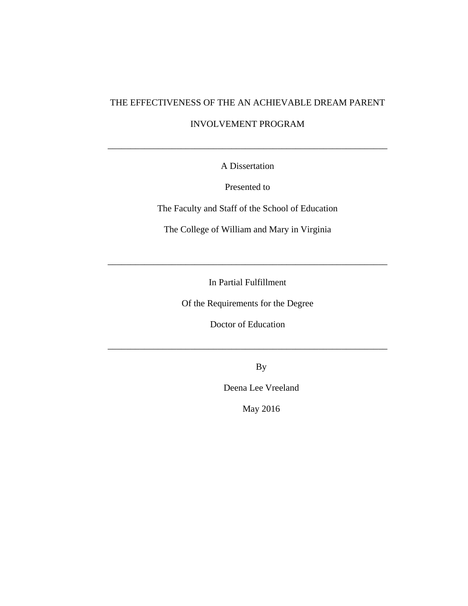# THE EFFECTIVENESS OF THE AN ACHIEVABLE DREAM PARENT

### INVOLVEMENT PROGRAM

\_\_\_\_\_\_\_\_\_\_\_\_\_\_\_\_\_\_\_\_\_\_\_\_\_\_\_\_\_\_\_\_\_\_\_\_\_\_\_\_\_\_\_\_\_\_\_\_\_\_\_\_\_\_\_\_\_\_\_\_\_

A Dissertation

Presented to

The Faculty and Staff of the School of Education

The College of William and Mary in Virginia

In Partial Fulfillment

\_\_\_\_\_\_\_\_\_\_\_\_\_\_\_\_\_\_\_\_\_\_\_\_\_\_\_\_\_\_\_\_\_\_\_\_\_\_\_\_\_\_\_\_\_\_\_\_\_\_\_\_\_\_\_\_\_\_\_\_\_

Of the Requirements for the Degree

Doctor of Education

\_\_\_\_\_\_\_\_\_\_\_\_\_\_\_\_\_\_\_\_\_\_\_\_\_\_\_\_\_\_\_\_\_\_\_\_\_\_\_\_\_\_\_\_\_\_\_\_\_\_\_\_\_\_\_\_\_\_\_\_\_

By

Deena Lee Vreeland

May 2016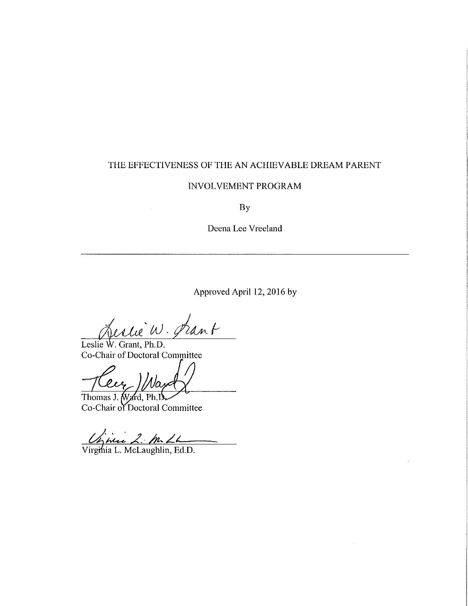#### THE EFFECTIVENESS OF THE AN ACHIEVABLE DREAM PARENT

### **INVOLVEMENT PROGRAM**

**By** 

Deena Lee Vreeland

Approved April 12, 2016 by

Leslie W. Prant

Leslie W. Grant, Ph.D. Co-Chair of Doctoral Committee

 $\overline{\ell\mu}$ 

Thomas J. Ward, Ph.D Co-Chair of Doctoral Committee

Griec 2. m. 22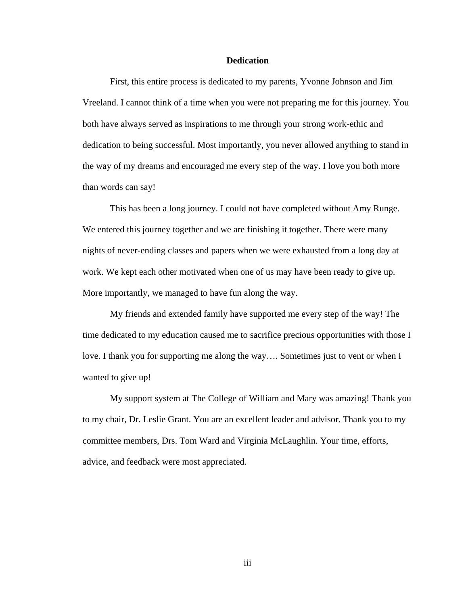#### **Dedication**

First, this entire process is dedicated to my parents, Yvonne Johnson and Jim Vreeland. I cannot think of a time when you were not preparing me for this journey. You both have always served as inspirations to me through your strong work-ethic and dedication to being successful. Most importantly, you never allowed anything to stand in the way of my dreams and encouraged me every step of the way. I love you both more than words can say!

This has been a long journey. I could not have completed without Amy Runge. We entered this journey together and we are finishing it together. There were many nights of never-ending classes and papers when we were exhausted from a long day at work. We kept each other motivated when one of us may have been ready to give up. More importantly, we managed to have fun along the way.

My friends and extended family have supported me every step of the way! The time dedicated to my education caused me to sacrifice precious opportunities with those I love. I thank you for supporting me along the way…. Sometimes just to vent or when I wanted to give up!

My support system at The College of William and Mary was amazing! Thank you to my chair, Dr. Leslie Grant. You are an excellent leader and advisor. Thank you to my committee members, Drs. Tom Ward and Virginia McLaughlin. Your time, efforts, advice, and feedback were most appreciated.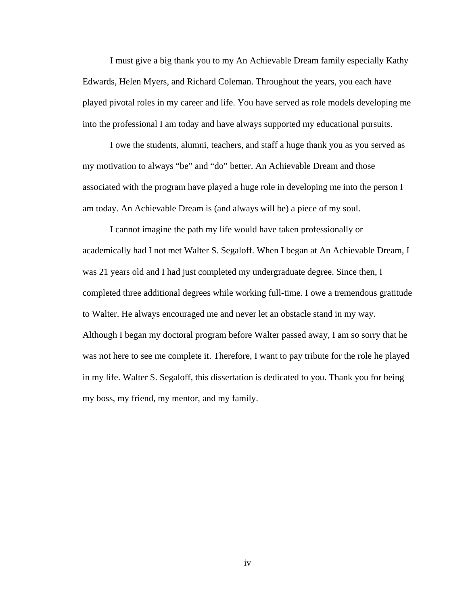I must give a big thank you to my An Achievable Dream family especially Kathy Edwards, Helen Myers, and Richard Coleman. Throughout the years, you each have played pivotal roles in my career and life. You have served as role models developing me into the professional I am today and have always supported my educational pursuits.

I owe the students, alumni, teachers, and staff a huge thank you as you served as my motivation to always "be" and "do" better. An Achievable Dream and those associated with the program have played a huge role in developing me into the person I am today. An Achievable Dream is (and always will be) a piece of my soul.

I cannot imagine the path my life would have taken professionally or academically had I not met Walter S. Segaloff. When I began at An Achievable Dream, I was 21 years old and I had just completed my undergraduate degree. Since then, I completed three additional degrees while working full-time. I owe a tremendous gratitude to Walter. He always encouraged me and never let an obstacle stand in my way. Although I began my doctoral program before Walter passed away, I am so sorry that he was not here to see me complete it. Therefore, I want to pay tribute for the role he played in my life. Walter S. Segaloff, this dissertation is dedicated to you. Thank you for being my boss, my friend, my mentor, and my family.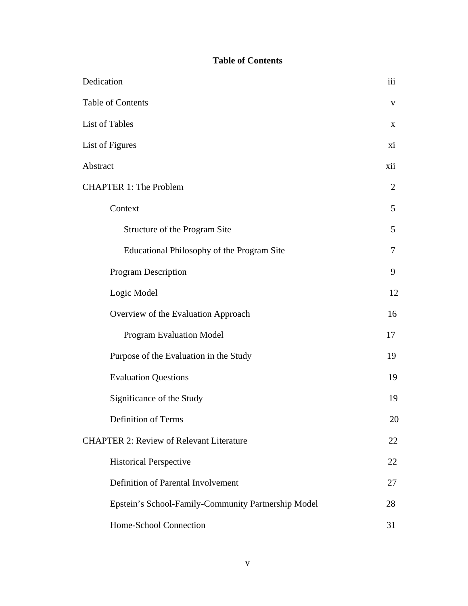# **Table of Contents**

| Dedication                                          | iii            |
|-----------------------------------------------------|----------------|
| Table of Contents                                   | V              |
| List of Tables                                      | X              |
| List of Figures                                     | xi             |
| Abstract                                            | xii            |
| <b>CHAPTER 1: The Problem</b>                       | $\overline{2}$ |
| Context                                             | 5              |
| Structure of the Program Site                       | 5              |
| Educational Philosophy of the Program Site          | $\overline{7}$ |
| <b>Program Description</b>                          | 9              |
| Logic Model                                         | 12             |
| Overview of the Evaluation Approach                 | 16             |
| <b>Program Evaluation Model</b>                     | 17             |
| Purpose of the Evaluation in the Study              | 19             |
| <b>Evaluation Questions</b>                         | 19             |
| Significance of the Study                           | 19             |
| Definition of Terms                                 | 20             |
| <b>CHAPTER 2: Review of Relevant Literature</b>     | 22             |
| <b>Historical Perspective</b>                       | 22             |
| Definition of Parental Involvement                  | 27             |
| Epstein's School-Family-Community Partnership Model | 28             |
| Home-School Connection                              | 31             |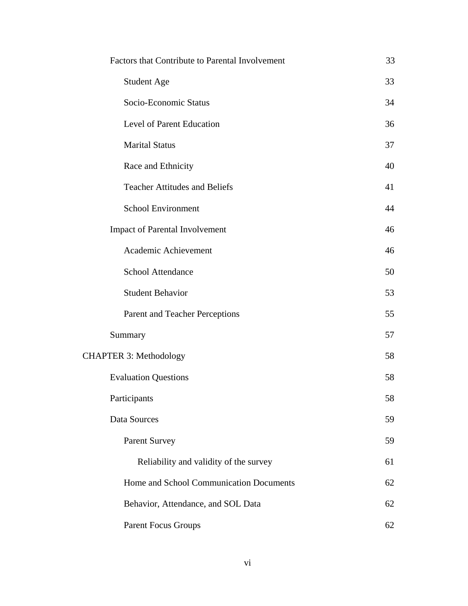| Factors that Contribute to Parental Involvement | 33 |
|-------------------------------------------------|----|
| Student Age                                     | 33 |
| Socio-Economic Status                           | 34 |
| Level of Parent Education                       | 36 |
| <b>Marital Status</b>                           | 37 |
| Race and Ethnicity                              | 40 |
| <b>Teacher Attitudes and Beliefs</b>            | 41 |
| School Environment                              | 44 |
| <b>Impact of Parental Involvement</b>           | 46 |
| Academic Achievement                            | 46 |
| <b>School Attendance</b>                        | 50 |
| <b>Student Behavior</b>                         | 53 |
| Parent and Teacher Perceptions                  | 55 |
| Summary                                         | 57 |
| <b>CHAPTER 3: Methodology</b>                   | 58 |
| <b>Evaluation Questions</b>                     | 58 |
| Participants                                    | 58 |
| Data Sources                                    | 59 |
| <b>Parent Survey</b>                            | 59 |
| Reliability and validity of the survey          | 61 |
| Home and School Communication Documents         | 62 |
| Behavior, Attendance, and SOL Data              | 62 |
| <b>Parent Focus Groups</b>                      | 62 |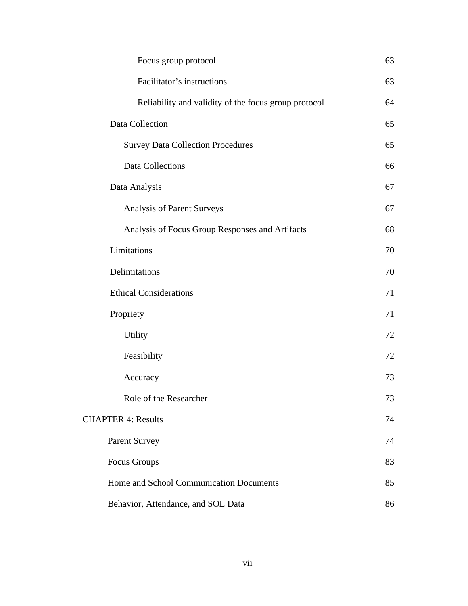| Focus group protocol                                 | 63 |
|------------------------------------------------------|----|
| Facilitator's instructions                           | 63 |
| Reliability and validity of the focus group protocol | 64 |
| Data Collection                                      | 65 |
| <b>Survey Data Collection Procedures</b>             | 65 |
| <b>Data Collections</b>                              | 66 |
| Data Analysis                                        | 67 |
| Analysis of Parent Surveys                           | 67 |
| Analysis of Focus Group Responses and Artifacts      | 68 |
| Limitations                                          | 70 |
| Delimitations                                        | 70 |
| <b>Ethical Considerations</b>                        | 71 |
| Propriety                                            | 71 |
| <b>Utility</b>                                       | 72 |
| Feasibility                                          | 72 |
| Accuracy                                             | 73 |
| Role of the Researcher                               | 73 |
| <b>CHAPTER 4: Results</b>                            | 74 |
| <b>Parent Survey</b>                                 | 74 |
| Focus Groups                                         | 83 |
| Home and School Communication Documents              | 85 |
| Behavior, Attendance, and SOL Data                   | 86 |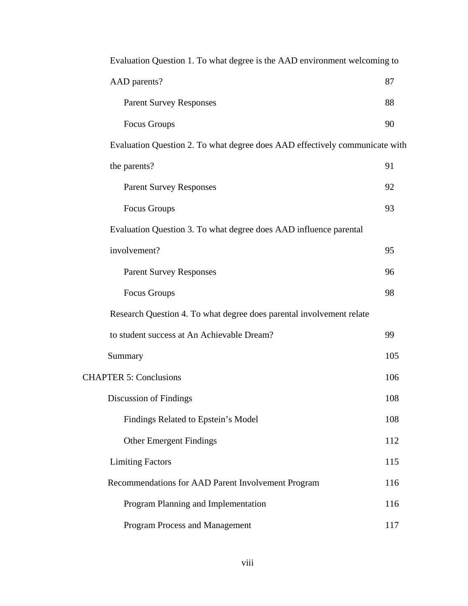| Evaluation Question 1. To what degree is the AAD environment welcoming to   |     |
|-----------------------------------------------------------------------------|-----|
| AAD parents?                                                                | 87  |
| <b>Parent Survey Responses</b>                                              | 88  |
| <b>Focus Groups</b>                                                         | 90  |
| Evaluation Question 2. To what degree does AAD effectively communicate with |     |
| the parents?                                                                | 91  |
| <b>Parent Survey Responses</b>                                              | 92  |
| Focus Groups                                                                | 93  |
| Evaluation Question 3. To what degree does AAD influence parental           |     |
| involvement?                                                                | 95  |
| <b>Parent Survey Responses</b>                                              | 96  |
| Focus Groups                                                                | 98  |
| Research Question 4. To what degree does parental involvement relate        |     |
| to student success at An Achievable Dream?                                  | 99  |
| Summary                                                                     | 105 |
| <b>CHAPTER 5: Conclusions</b>                                               | 106 |
| Discussion of Findings                                                      | 108 |
| Findings Related to Epstein's Model                                         | 108 |
| <b>Other Emergent Findings</b>                                              | 112 |
| <b>Limiting Factors</b>                                                     | 115 |
| Recommendations for AAD Parent Involvement Program                          | 116 |
| Program Planning and Implementation                                         | 116 |
| Program Process and Management                                              | 117 |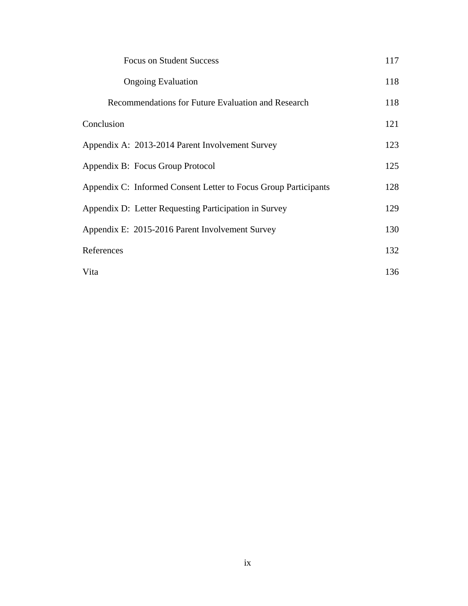| <b>Focus on Student Success</b>                                 | 117 |
|-----------------------------------------------------------------|-----|
| <b>Ongoing Evaluation</b>                                       | 118 |
| Recommendations for Future Evaluation and Research              | 118 |
| Conclusion                                                      | 121 |
| Appendix A: 2013-2014 Parent Involvement Survey                 | 123 |
| Appendix B: Focus Group Protocol                                | 125 |
| Appendix C: Informed Consent Letter to Focus Group Participants | 128 |
| Appendix D: Letter Requesting Participation in Survey           | 129 |
| Appendix E: 2015-2016 Parent Involvement Survey                 | 130 |
| References                                                      | 132 |
| Vita                                                            | 136 |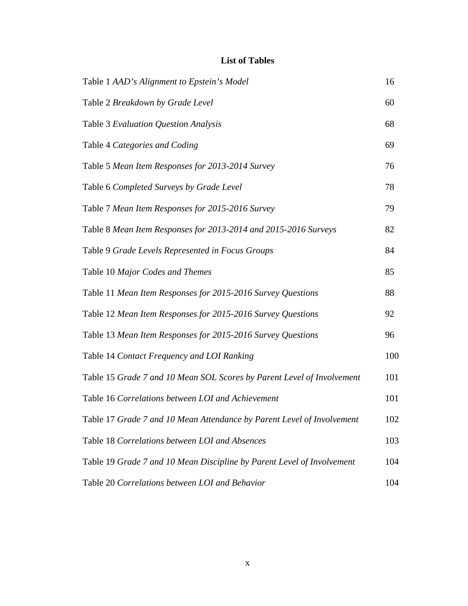# **List of Tables**

| Table 1 AAD's Alignment to Epstein's Model                             | 16  |
|------------------------------------------------------------------------|-----|
| Table 2 Breakdown by Grade Level                                       | 60  |
| Table 3 Evaluation Question Analysis                                   | 68  |
| Table 4 Categories and Coding                                          | 69  |
| Table 5 Mean Item Responses for 2013-2014 Survey                       | 76  |
| Table 6 Completed Surveys by Grade Level                               | 78  |
| Table 7 Mean Item Responses for 2015-2016 Survey                       | 79  |
| Table 8 Mean Item Responses for 2013-2014 and 2015-2016 Surveys        | 82  |
| Table 9 Grade Levels Represented in Focus Groups                       | 84  |
| Table 10 Major Codes and Themes                                        | 85  |
| Table 11 Mean Item Responses for 2015-2016 Survey Questions            | 88  |
| Table 12 Mean Item Responses for 2015-2016 Survey Questions            | 92  |
| Table 13 Mean Item Responses for 2015-2016 Survey Questions            | 96  |
| Table 14 Contact Frequency and LOI Ranking                             | 100 |
| Table 15 Grade 7 and 10 Mean SOL Scores by Parent Level of Involvement | 101 |
| Table 16 Correlations between LOI and Achievement                      | 101 |
| Table 17 Grade 7 and 10 Mean Attendance by Parent Level of Involvement | 102 |
| Table 18 Correlations between LOI and Absences                         | 103 |
| Table 19 Grade 7 and 10 Mean Discipline by Parent Level of Involvement | 104 |
| Table 20 Correlations between LOI and Behavior                         | 104 |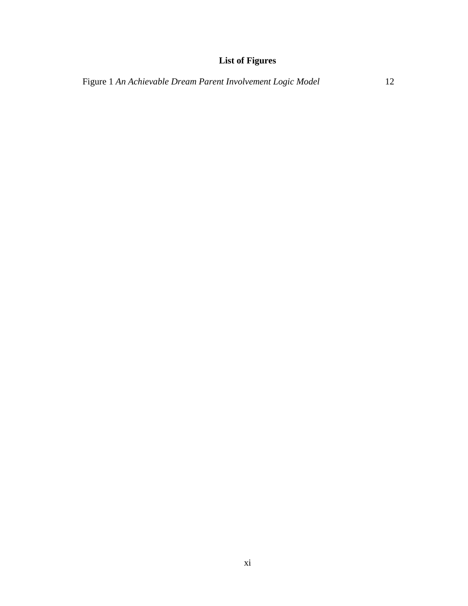# **List of Figures**

Figure 1 *An Achievable Dream Parent Involvement Logic Model* 12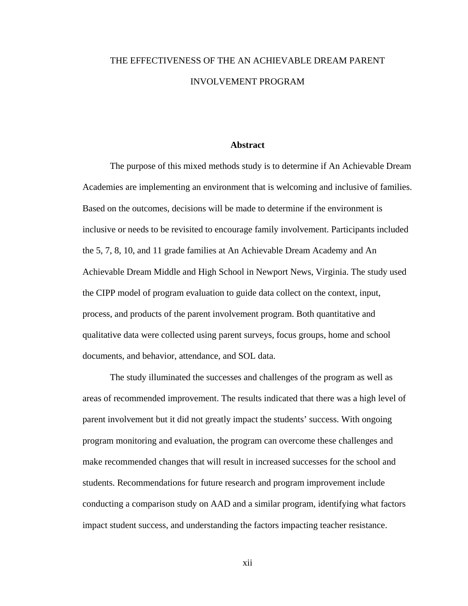# THE EFFECTIVENESS OF THE AN ACHIEVABLE DREAM PARENT INVOLVEMENT PROGRAM

#### **Abstract**

The purpose of this mixed methods study is to determine if An Achievable Dream Academies are implementing an environment that is welcoming and inclusive of families. Based on the outcomes, decisions will be made to determine if the environment is inclusive or needs to be revisited to encourage family involvement. Participants included the 5, 7, 8, 10, and 11 grade families at An Achievable Dream Academy and An Achievable Dream Middle and High School in Newport News, Virginia. The study used the CIPP model of program evaluation to guide data collect on the context, input, process, and products of the parent involvement program. Both quantitative and qualitative data were collected using parent surveys, focus groups, home and school documents, and behavior, attendance, and SOL data.

The study illuminated the successes and challenges of the program as well as areas of recommended improvement. The results indicated that there was a high level of parent involvement but it did not greatly impact the students' success. With ongoing program monitoring and evaluation, the program can overcome these challenges and make recommended changes that will result in increased successes for the school and students. Recommendations for future research and program improvement include conducting a comparison study on AAD and a similar program, identifying what factors impact student success, and understanding the factors impacting teacher resistance.

xii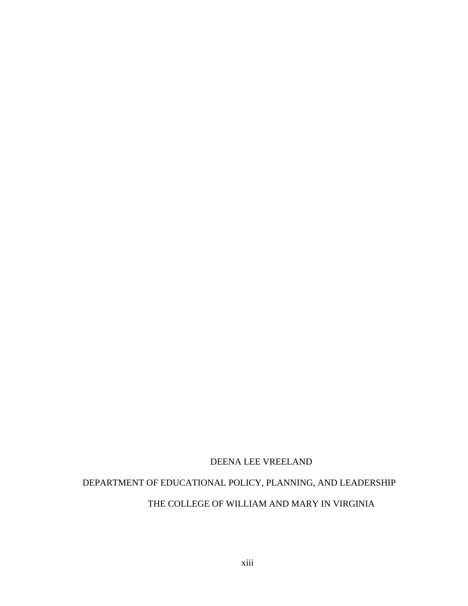### DEENA LEE VREELAND

# DEPARTMENT OF EDUCATIONAL POLICY, PLANNING, AND LEADERSHIP

# THE COLLEGE OF WILLIAM AND MARY IN VIRGINIA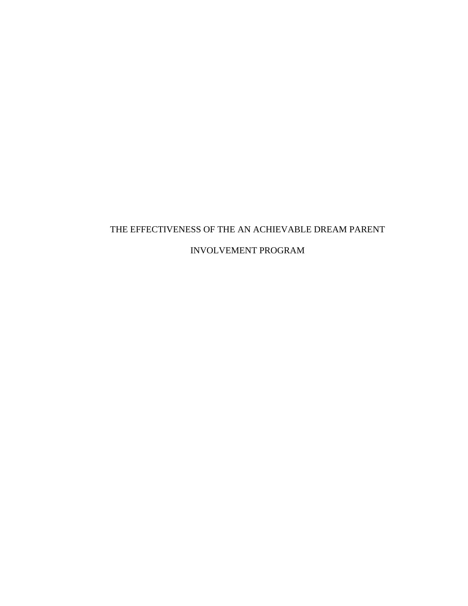# THE EFFECTIVENESS OF THE AN ACHIEVABLE DREAM PARENT INVOLVEMENT PROGRAM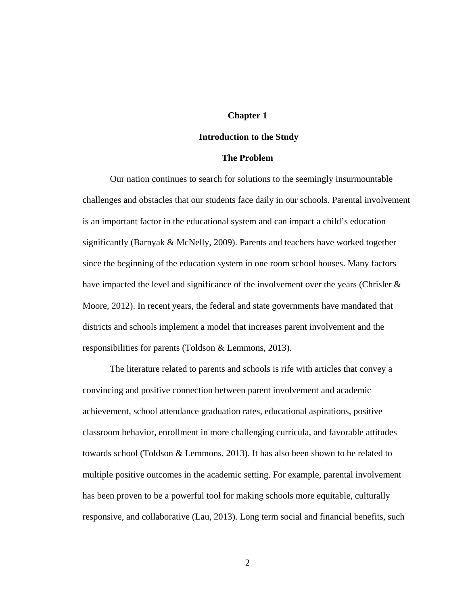#### **Chapter 1**

#### **Introduction to the Study**

#### **The Problem**

Our nation continues to search for solutions to the seemingly insurmountable challenges and obstacles that our students face daily in our schools. Parental involvement is an important factor in the educational system and can impact a child's education significantly (Barnyak & McNelly, 2009). Parents and teachers have worked together since the beginning of the education system in one room school houses. Many factors have impacted the level and significance of the involvement over the years (Chrisler & Moore, 2012). In recent years, the federal and state governments have mandated that districts and schools implement a model that increases parent involvement and the responsibilities for parents (Toldson & Lemmons, 2013).

The literature related to parents and schools is rife with articles that convey a convincing and positive connection between parent involvement and academic achievement, school attendance graduation rates, educational aspirations, positive classroom behavior, enrollment in more challenging curricula, and favorable attitudes towards school (Toldson & Lemmons, 2013). It has also been shown to be related to multiple positive outcomes in the academic setting. For example, parental involvement has been proven to be a powerful tool for making schools more equitable, culturally responsive, and collaborative (Lau, 2013). Long term social and financial benefits, such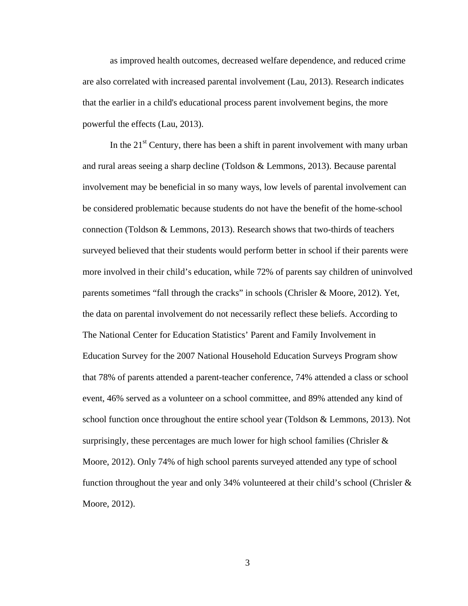as improved health outcomes, decreased welfare dependence, and reduced crime are also correlated with increased parental involvement (Lau, 2013). Research indicates that the earlier in a child's educational process parent involvement begins, the more powerful the effects (Lau, 2013).

In the  $21<sup>st</sup>$  Century, there has been a shift in parent involvement with many urban and rural areas seeing a sharp decline (Toldson & Lemmons, 2013). Because parental involvement may be beneficial in so many ways, low levels of parental involvement can be considered problematic because students do not have the benefit of the home-school connection (Toldson & Lemmons, 2013). Research shows that two-thirds of teachers surveyed believed that their students would perform better in school if their parents were more involved in their child's education, while 72% of parents say children of uninvolved parents sometimes "fall through the cracks" in schools (Chrisler & Moore, 2012). Yet, the data on parental involvement do not necessarily reflect these beliefs. According to The National Center for Education Statistics' Parent and Family Involvement in Education Survey for the 2007 National Household Education Surveys Program show that 78% of parents attended a parent-teacher conference, 74% attended a class or school event, 46% served as a volunteer on a school committee, and 89% attended any kind of school function once throughout the entire school year (Toldson & Lemmons, 2013). Not surprisingly, these percentages are much lower for high school families (Chrisler  $\&$ Moore, 2012). Only 74% of high school parents surveyed attended any type of school function throughout the year and only 34% volunteered at their child's school (Chrisler & Moore, 2012).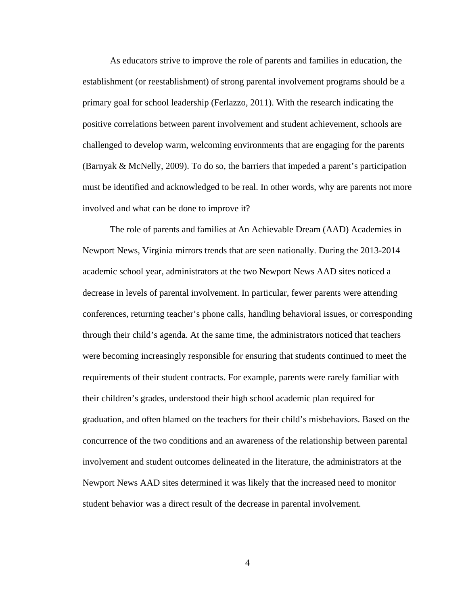As educators strive to improve the role of parents and families in education, the establishment (or reestablishment) of strong parental involvement programs should be a primary goal for school leadership (Ferlazzo, 2011). With the research indicating the positive correlations between parent involvement and student achievement, schools are challenged to develop warm, welcoming environments that are engaging for the parents (Barnyak & McNelly, 2009). To do so, the barriers that impeded a parent's participation must be identified and acknowledged to be real. In other words, why are parents not more involved and what can be done to improve it?

The role of parents and families at An Achievable Dream (AAD) Academies in Newport News, Virginia mirrors trends that are seen nationally. During the 2013-2014 academic school year, administrators at the two Newport News AAD sites noticed a decrease in levels of parental involvement. In particular, fewer parents were attending conferences, returning teacher's phone calls, handling behavioral issues, or corresponding through their child's agenda. At the same time, the administrators noticed that teachers were becoming increasingly responsible for ensuring that students continued to meet the requirements of their student contracts. For example, parents were rarely familiar with their children's grades, understood their high school academic plan required for graduation, and often blamed on the teachers for their child's misbehaviors. Based on the concurrence of the two conditions and an awareness of the relationship between parental involvement and student outcomes delineated in the literature, the administrators at the Newport News AAD sites determined it was likely that the increased need to monitor student behavior was a direct result of the decrease in parental involvement.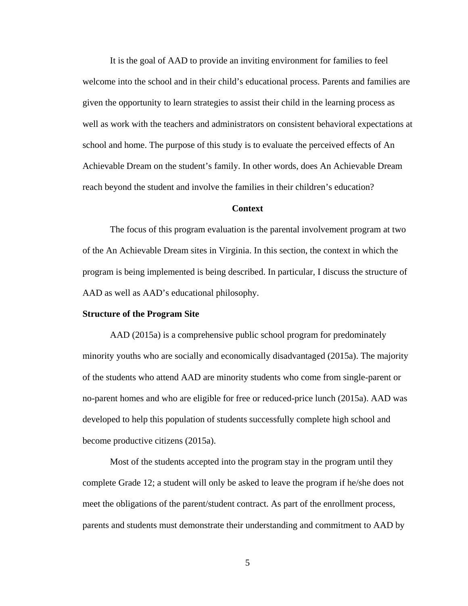It is the goal of AAD to provide an inviting environment for families to feel welcome into the school and in their child's educational process. Parents and families are given the opportunity to learn strategies to assist their child in the learning process as well as work with the teachers and administrators on consistent behavioral expectations at school and home. The purpose of this study is to evaluate the perceived effects of An Achievable Dream on the student's family. In other words, does An Achievable Dream reach beyond the student and involve the families in their children's education?

#### **Context**

The focus of this program evaluation is the parental involvement program at two of the An Achievable Dream sites in Virginia. In this section, the context in which the program is being implemented is being described. In particular, I discuss the structure of AAD as well as AAD's educational philosophy.

#### **Structure of the Program Site**

AAD (2015a) is a comprehensive public school program for predominately minority youths who are socially and economically disadvantaged (2015a). The majority of the students who attend AAD are minority students who come from single-parent or no-parent homes and who are eligible for free or reduced-price lunch (2015a). AAD was developed to help this population of students successfully complete high school and become productive citizens (2015a).

Most of the students accepted into the program stay in the program until they complete Grade 12; a student will only be asked to leave the program if he/she does not meet the obligations of the parent/student contract. As part of the enrollment process, parents and students must demonstrate their understanding and commitment to AAD by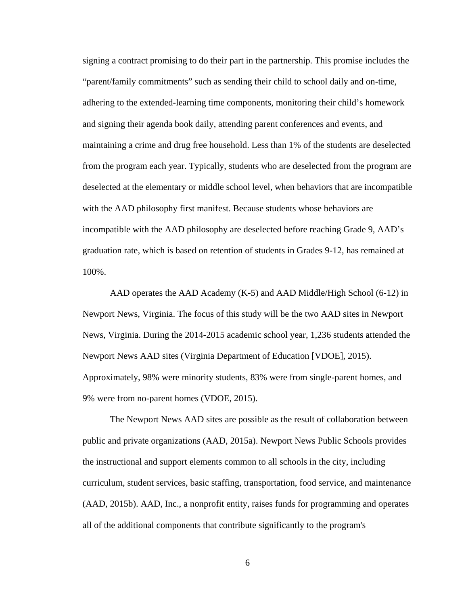signing a contract promising to do their part in the partnership. This promise includes the "parent/family commitments" such as sending their child to school daily and on-time, adhering to the extended-learning time components, monitoring their child's homework and signing their agenda book daily, attending parent conferences and events, and maintaining a crime and drug free household. Less than 1% of the students are deselected from the program each year. Typically, students who are deselected from the program are deselected at the elementary or middle school level, when behaviors that are incompatible with the AAD philosophy first manifest. Because students whose behaviors are incompatible with the AAD philosophy are deselected before reaching Grade 9, AAD's graduation rate, which is based on retention of students in Grades 9-12, has remained at 100%.

AAD operates the AAD Academy (K-5) and AAD Middle/High School (6-12) in Newport News, Virginia. The focus of this study will be the two AAD sites in Newport News, Virginia. During the 2014-2015 academic school year, 1,236 students attended the Newport News AAD sites (Virginia Department of Education [VDOE], 2015). Approximately, 98% were minority students, 83% were from single-parent homes, and 9% were from no-parent homes (VDOE, 2015).

The Newport News AAD sites are possible as the result of collaboration between public and private organizations (AAD, 2015a). Newport News Public Schools provides the instructional and support elements common to all schools in the city, including curriculum, student services, basic staffing, transportation, food service, and maintenance (AAD, 2015b). AAD, Inc., a nonprofit entity, raises funds for programming and operates all of the additional components that contribute significantly to the program's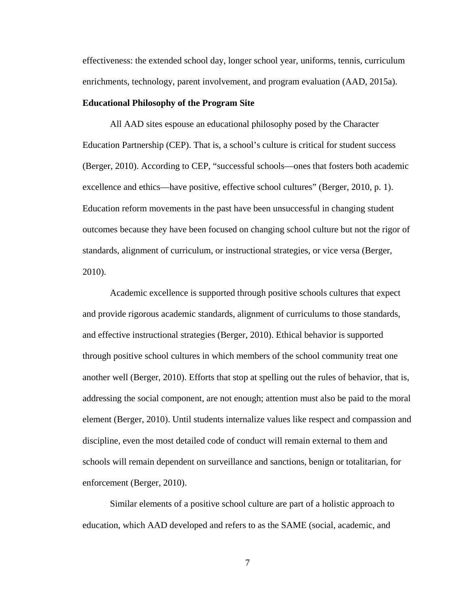effectiveness: the extended school day, longer school year, uniforms, tennis, curriculum enrichments, technology, parent involvement, and program evaluation (AAD, 2015a).

#### **Educational Philosophy of the Program Site**

All AAD sites espouse an educational philosophy posed by the Character Education Partnership (CEP). That is, a school's culture is critical for student success (Berger, 2010). According to CEP, "successful schools—ones that fosters both academic excellence and ethics—have positive, effective school cultures" (Berger, 2010, p. 1). Education reform movements in the past have been unsuccessful in changing student outcomes because they have been focused on changing school culture but not the rigor of standards, alignment of curriculum, or instructional strategies, or vice versa (Berger, 2010).

Academic excellence is supported through positive schools cultures that expect and provide rigorous academic standards, alignment of curriculums to those standards, and effective instructional strategies (Berger, 2010). Ethical behavior is supported through positive school cultures in which members of the school community treat one another well (Berger, 2010). Efforts that stop at spelling out the rules of behavior, that is, addressing the social component, are not enough; attention must also be paid to the moral element (Berger, 2010). Until students internalize values like respect and compassion and discipline, even the most detailed code of conduct will remain external to them and schools will remain dependent on surveillance and sanctions, benign or totalitarian, for enforcement (Berger, 2010).

Similar elements of a positive school culture are part of a holistic approach to education, which AAD developed and refers to as the SAME (social, academic, and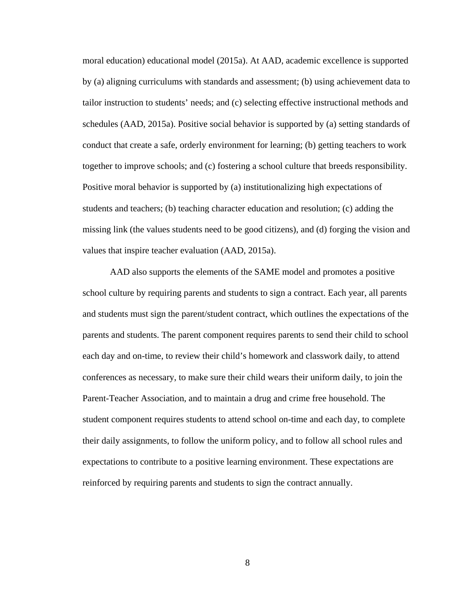moral education) educational model (2015a). At AAD, academic excellence is supported by (a) aligning curriculums with standards and assessment; (b) using achievement data to tailor instruction to students' needs; and (c) selecting effective instructional methods and schedules (AAD, 2015a). Positive social behavior is supported by (a) setting standards of conduct that create a safe, orderly environment for learning; (b) getting teachers to work together to improve schools; and (c) fostering a school culture that breeds responsibility. Positive moral behavior is supported by (a) institutionalizing high expectations of students and teachers; (b) teaching character education and resolution; (c) adding the missing link (the values students need to be good citizens), and (d) forging the vision and values that inspire teacher evaluation (AAD, 2015a).

AAD also supports the elements of the SAME model and promotes a positive school culture by requiring parents and students to sign a contract. Each year, all parents and students must sign the parent/student contract, which outlines the expectations of the parents and students. The parent component requires parents to send their child to school each day and on-time, to review their child's homework and classwork daily, to attend conferences as necessary, to make sure their child wears their uniform daily, to join the Parent-Teacher Association, and to maintain a drug and crime free household. The student component requires students to attend school on-time and each day, to complete their daily assignments, to follow the uniform policy, and to follow all school rules and expectations to contribute to a positive learning environment. These expectations are reinforced by requiring parents and students to sign the contract annually.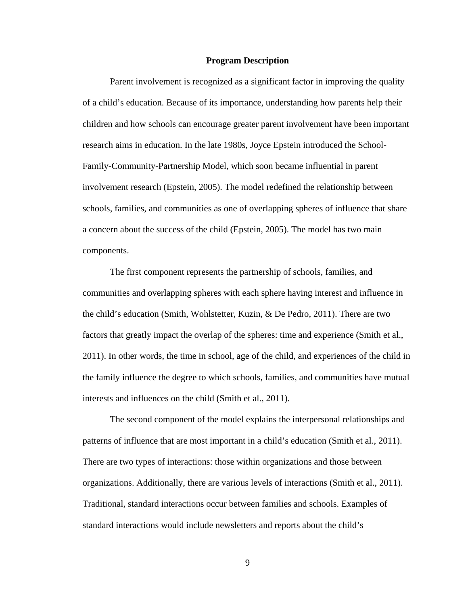#### **Program Description**

Parent involvement is recognized as a significant factor in improving the quality of a child's education. Because of its importance, understanding how parents help their children and how schools can encourage greater parent involvement have been important research aims in education. In the late 1980s, Joyce Epstein introduced the School-Family-Community-Partnership Model, which soon became influential in parent involvement research (Epstein, 2005). The model redefined the relationship between schools, families, and communities as one of overlapping spheres of influence that share a concern about the success of the child (Epstein, 2005). The model has two main components.

The first component represents the partnership of schools, families, and communities and overlapping spheres with each sphere having interest and influence in the child's education (Smith, Wohlstetter, Kuzin, & De Pedro, 2011). There are two factors that greatly impact the overlap of the spheres: time and experience (Smith et al., 2011). In other words, the time in school, age of the child, and experiences of the child in the family influence the degree to which schools, families, and communities have mutual interests and influences on the child (Smith et al., 2011).

The second component of the model explains the interpersonal relationships and patterns of influence that are most important in a child's education (Smith et al., 2011). There are two types of interactions: those within organizations and those between organizations. Additionally, there are various levels of interactions (Smith et al., 2011). Traditional, standard interactions occur between families and schools. Examples of standard interactions would include newsletters and reports about the child's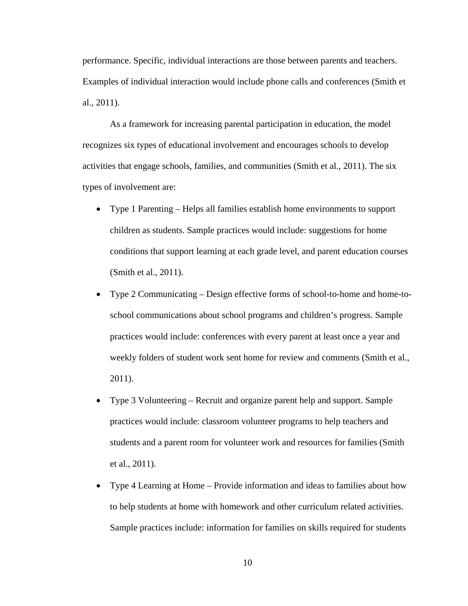performance. Specific, individual interactions are those between parents and teachers. Examples of individual interaction would include phone calls and conferences (Smith et al., 2011).

As a framework for increasing parental participation in education, the model recognizes six types of educational involvement and encourages schools to develop activities that engage schools, families, and communities (Smith et al., 2011). The six types of involvement are:

- Type 1 Parenting Helps all families establish home environments to support children as students. Sample practices would include: suggestions for home conditions that support learning at each grade level, and parent education courses (Smith et al., 2011).
- Type 2 Communicating Design effective forms of school-to-home and home-toschool communications about school programs and children's progress. Sample practices would include: conferences with every parent at least once a year and weekly folders of student work sent home for review and comments (Smith et al., 2011).
- Type 3 Volunteering Recruit and organize parent help and support. Sample practices would include: classroom volunteer programs to help teachers and students and a parent room for volunteer work and resources for families (Smith et al., 2011).
- Type 4 Learning at Home Provide information and ideas to families about how to help students at home with homework and other curriculum related activities. Sample practices include: information for families on skills required for students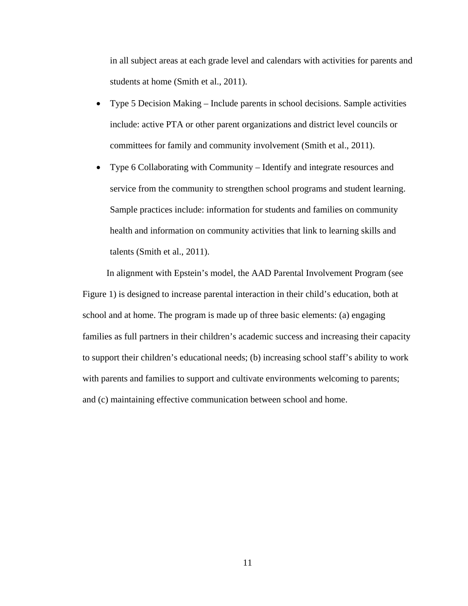in all subject areas at each grade level and calendars with activities for parents and students at home (Smith et al., 2011).

- Type 5 Decision Making Include parents in school decisions. Sample activities include: active PTA or other parent organizations and district level councils or committees for family and community involvement (Smith et al., 2011).
- Type 6 Collaborating with Community Identify and integrate resources and service from the community to strengthen school programs and student learning. Sample practices include: information for students and families on community health and information on community activities that link to learning skills and talents (Smith et al., 2011).

In alignment with Epstein's model, the AAD Parental Involvement Program (see Figure 1) is designed to increase parental interaction in their child's education, both at school and at home. The program is made up of three basic elements: (a) engaging families as full partners in their children's academic success and increasing their capacity to support their children's educational needs; (b) increasing school staff's ability to work with parents and families to support and cultivate environments welcoming to parents; and (c) maintaining effective communication between school and home.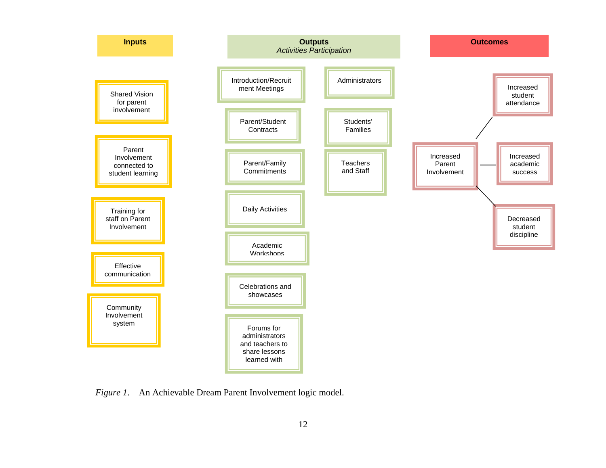

*Figure 1*. An Achievable Dream Parent Involvement logic model.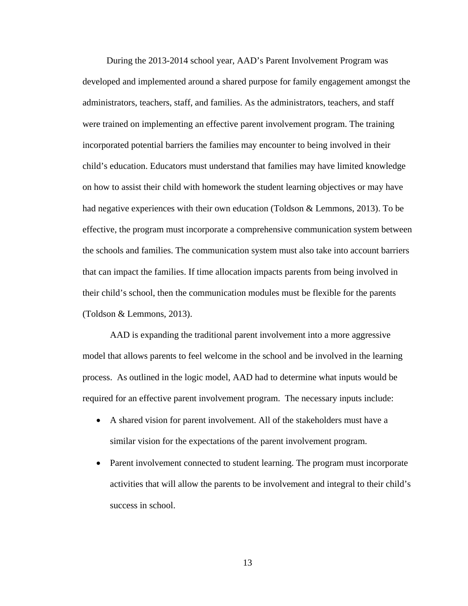During the 2013-2014 school year, AAD's Parent Involvement Program was developed and implemented around a shared purpose for family engagement amongst the administrators, teachers, staff, and families. As the administrators, teachers, and staff were trained on implementing an effective parent involvement program. The training incorporated potential barriers the families may encounter to being involved in their child's education. Educators must understand that families may have limited knowledge on how to assist their child with homework the student learning objectives or may have had negative experiences with their own education (Toldson & Lemmons, 2013). To be effective, the program must incorporate a comprehensive communication system between the schools and families. The communication system must also take into account barriers that can impact the families. If time allocation impacts parents from being involved in their child's school, then the communication modules must be flexible for the parents (Toldson & Lemmons, 2013).

AAD is expanding the traditional parent involvement into a more aggressive model that allows parents to feel welcome in the school and be involved in the learning process. As outlined in the logic model, AAD had to determine what inputs would be required for an effective parent involvement program. The necessary inputs include:

- A shared vision for parent involvement. All of the stakeholders must have a similar vision for the expectations of the parent involvement program.
- Parent involvement connected to student learning. The program must incorporate activities that will allow the parents to be involvement and integral to their child's success in school.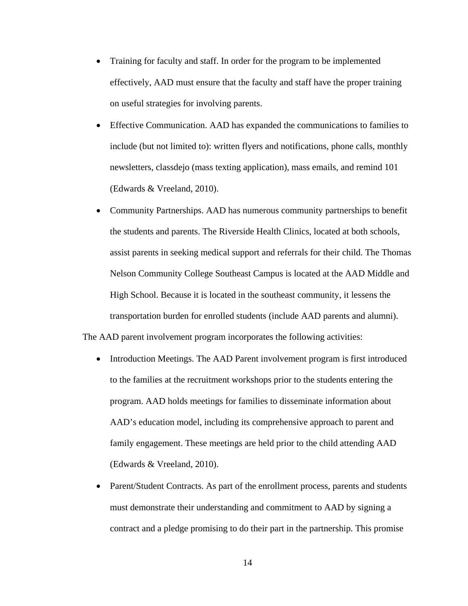- Training for faculty and staff. In order for the program to be implemented effectively, AAD must ensure that the faculty and staff have the proper training on useful strategies for involving parents.
- Effective Communication. AAD has expanded the communications to families to include (but not limited to): written flyers and notifications, phone calls, monthly newsletters, classdejo (mass texting application), mass emails, and remind 101 (Edwards & Vreeland, 2010).
- Community Partnerships. AAD has numerous community partnerships to benefit the students and parents. The Riverside Health Clinics, located at both schools, assist parents in seeking medical support and referrals for their child. The Thomas Nelson Community College Southeast Campus is located at the AAD Middle and High School. Because it is located in the southeast community, it lessens the transportation burden for enrolled students (include AAD parents and alumni).

The AAD parent involvement program incorporates the following activities:

- Introduction Meetings. The AAD Parent involvement program is first introduced to the families at the recruitment workshops prior to the students entering the program. AAD holds meetings for families to disseminate information about AAD's education model, including its comprehensive approach to parent and family engagement. These meetings are held prior to the child attending AAD (Edwards & Vreeland, 2010).
- Parent/Student Contracts. As part of the enrollment process, parents and students must demonstrate their understanding and commitment to AAD by signing a contract and a pledge promising to do their part in the partnership. This promise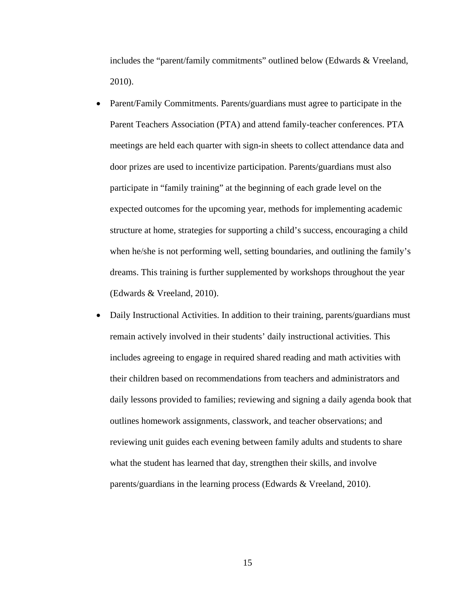includes the "parent/family commitments" outlined below (Edwards & Vreeland, 2010).

- Parent/Family Commitments. Parents/guardians must agree to participate in the Parent Teachers Association (PTA) and attend family-teacher conferences. PTA meetings are held each quarter with sign-in sheets to collect attendance data and door prizes are used to incentivize participation. Parents/guardians must also participate in "family training" at the beginning of each grade level on the expected outcomes for the upcoming year, methods for implementing academic structure at home, strategies for supporting a child's success, encouraging a child when he/she is not performing well, setting boundaries, and outlining the family's dreams. This training is further supplemented by workshops throughout the year (Edwards & Vreeland, 2010).
- Daily Instructional Activities. In addition to their training, parents/guardians must remain actively involved in their students' daily instructional activities. This includes agreeing to engage in required shared reading and math activities with their children based on recommendations from teachers and administrators and daily lessons provided to families; reviewing and signing a daily agenda book that outlines homework assignments, classwork, and teacher observations; and reviewing unit guides each evening between family adults and students to share what the student has learned that day, strengthen their skills, and involve parents/guardians in the learning process (Edwards & Vreeland, 2010).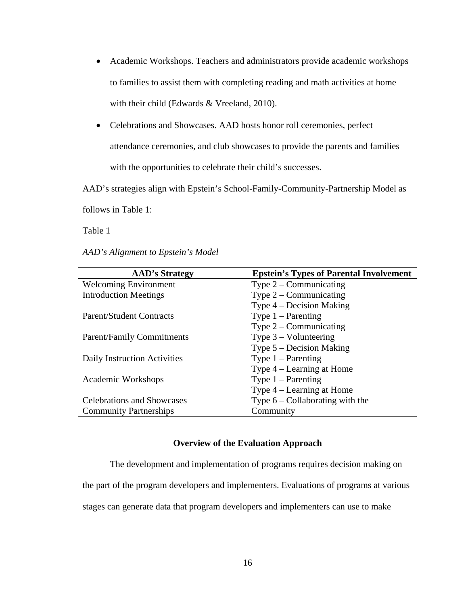- Academic Workshops. Teachers and administrators provide academic workshops to families to assist them with completing reading and math activities at home with their child (Edwards & Vreeland, 2010).
- Celebrations and Showcases. AAD hosts honor roll ceremonies, perfect attendance ceremonies, and club showcases to provide the parents and families with the opportunities to celebrate their child's successes.

AAD's strategies align with Epstein's School-Family-Community-Partnership Model as

follows in Table 1:

Table 1

*AAD's Alignment to Epstein's Model*

| <b>AAD's Strategy</b>             | <b>Epstein's Types of Parental Involvement</b> |
|-----------------------------------|------------------------------------------------|
| <b>Welcoming Environment</b>      | Type $2$ – Communicating                       |
| <b>Introduction Meetings</b>      | Type $2$ – Communicating                       |
|                                   | Type $4$ – Decision Making                     |
| <b>Parent/Student Contracts</b>   | Type $1 -$ Parenting                           |
|                                   | Type $2$ – Communicating                       |
| <b>Parent/Family Commitments</b>  | Type $3 -$ Volunteering                        |
|                                   | Type $5 -$ Decision Making                     |
| Daily Instruction Activities      | Type $1 -$ Parenting                           |
|                                   | Type $4$ – Learning at Home                    |
| Academic Workshops                | Type $1 -$ Parenting                           |
|                                   | Type $4$ – Learning at Home                    |
| <b>Celebrations and Showcases</b> | Type $6$ – Collaborating with the              |
| <b>Community Partnerships</b>     | Community                                      |

#### **Overview of the Evaluation Approach**

The development and implementation of programs requires decision making on the part of the program developers and implementers. Evaluations of programs at various stages can generate data that program developers and implementers can use to make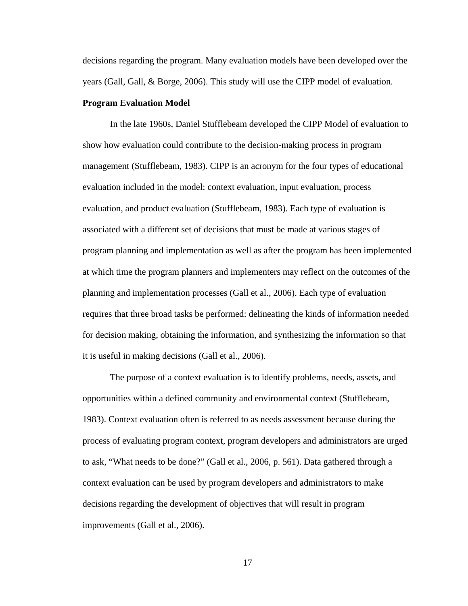decisions regarding the program. Many evaluation models have been developed over the years (Gall, Gall, & Borge, 2006). This study will use the CIPP model of evaluation.

#### **Program Evaluation Model**

In the late 1960s, Daniel Stufflebeam developed the CIPP Model of evaluation to show how evaluation could contribute to the decision-making process in program management (Stufflebeam, 1983). CIPP is an acronym for the four types of educational evaluation included in the model: context evaluation, input evaluation, process evaluation, and product evaluation (Stufflebeam, 1983). Each type of evaluation is associated with a different set of decisions that must be made at various stages of program planning and implementation as well as after the program has been implemented at which time the program planners and implementers may reflect on the outcomes of the planning and implementation processes (Gall et al., 2006). Each type of evaluation requires that three broad tasks be performed: delineating the kinds of information needed for decision making, obtaining the information, and synthesizing the information so that it is useful in making decisions (Gall et al., 2006).

The purpose of a context evaluation is to identify problems, needs, assets, and opportunities within a defined community and environmental context (Stufflebeam, 1983). Context evaluation often is referred to as needs assessment because during the process of evaluating program context, program developers and administrators are urged to ask, "What needs to be done?" (Gall et al., 2006, p. 561). Data gathered through a context evaluation can be used by program developers and administrators to make decisions regarding the development of objectives that will result in program improvements (Gall et al., 2006).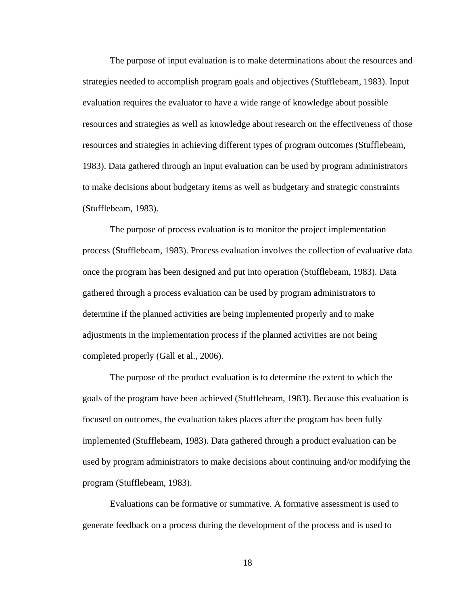The purpose of input evaluation is to make determinations about the resources and strategies needed to accomplish program goals and objectives (Stufflebeam, 1983). Input evaluation requires the evaluator to have a wide range of knowledge about possible resources and strategies as well as knowledge about research on the effectiveness of those resources and strategies in achieving different types of program outcomes (Stufflebeam, 1983). Data gathered through an input evaluation can be used by program administrators to make decisions about budgetary items as well as budgetary and strategic constraints (Stufflebeam, 1983).

The purpose of process evaluation is to monitor the project implementation process (Stufflebeam, 1983). Process evaluation involves the collection of evaluative data once the program has been designed and put into operation (Stufflebeam, 1983). Data gathered through a process evaluation can be used by program administrators to determine if the planned activities are being implemented properly and to make adjustments in the implementation process if the planned activities are not being completed properly (Gall et al., 2006).

The purpose of the product evaluation is to determine the extent to which the goals of the program have been achieved (Stufflebeam, 1983). Because this evaluation is focused on outcomes, the evaluation takes places after the program has been fully implemented (Stufflebeam, 1983). Data gathered through a product evaluation can be used by program administrators to make decisions about continuing and/or modifying the program (Stufflebeam, 1983).

Evaluations can be formative or summative. A formative assessment is used to generate feedback on a process during the development of the process and is used to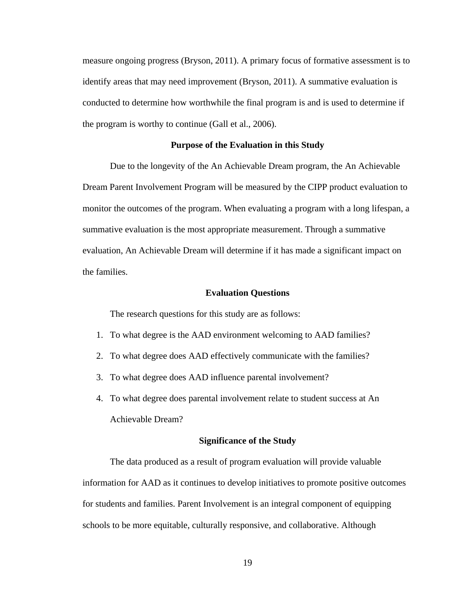measure ongoing progress (Bryson, 2011). A primary focus of formative assessment is to identify areas that may need improvement (Bryson, 2011). A summative evaluation is conducted to determine how worthwhile the final program is and is used to determine if the program is worthy to continue (Gall et al., 2006).

#### **Purpose of the Evaluation in this Study**

Due to the longevity of the An Achievable Dream program, the An Achievable Dream Parent Involvement Program will be measured by the CIPP product evaluation to monitor the outcomes of the program. When evaluating a program with a long lifespan, a summative evaluation is the most appropriate measurement. Through a summative evaluation, An Achievable Dream will determine if it has made a significant impact on the families.

#### **Evaluation Questions**

The research questions for this study are as follows:

- 1. To what degree is the AAD environment welcoming to AAD families?
- 2. To what degree does AAD effectively communicate with the families?
- 3. To what degree does AAD influence parental involvement?
- 4. To what degree does parental involvement relate to student success at An Achievable Dream?

#### **Significance of the Study**

The data produced as a result of program evaluation will provide valuable information for AAD as it continues to develop initiatives to promote positive outcomes for students and families. Parent Involvement is an integral component of equipping schools to be more equitable, culturally responsive, and collaborative. Although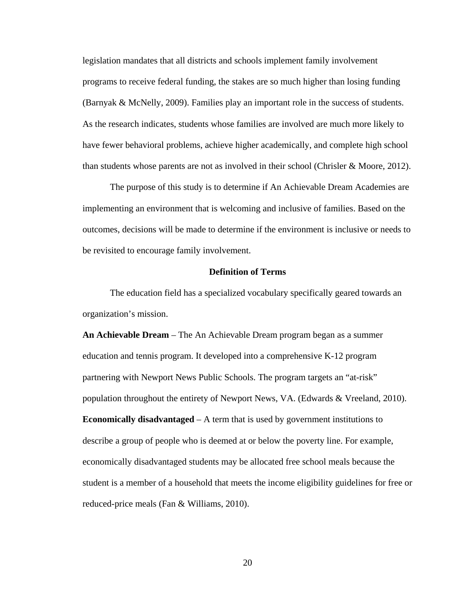legislation mandates that all districts and schools implement family involvement programs to receive federal funding, the stakes are so much higher than losing funding (Barnyak & McNelly, 2009). Families play an important role in the success of students. As the research indicates, students whose families are involved are much more likely to have fewer behavioral problems, achieve higher academically, and complete high school than students whose parents are not as involved in their school (Chrisler & Moore, 2012).

The purpose of this study is to determine if An Achievable Dream Academies are implementing an environment that is welcoming and inclusive of families. Based on the outcomes, decisions will be made to determine if the environment is inclusive or needs to be revisited to encourage family involvement.

#### **Definition of Terms**

The education field has a specialized vocabulary specifically geared towards an organization's mission.

**An Achievable Dream** – The An Achievable Dream program began as a summer education and tennis program. It developed into a comprehensive K-12 program partnering with Newport News Public Schools. The program targets an "at-risk" population throughout the entirety of Newport News, VA. (Edwards & Vreeland, 2010). **Economically disadvantaged** – A term that is used by government institutions to describe a group of people who is deemed at or below the poverty line. For example, economically disadvantaged students may be allocated free school meals because the student is a member of a household that meets the income eligibility guidelines for free or reduced-price meals (Fan & Williams, 2010).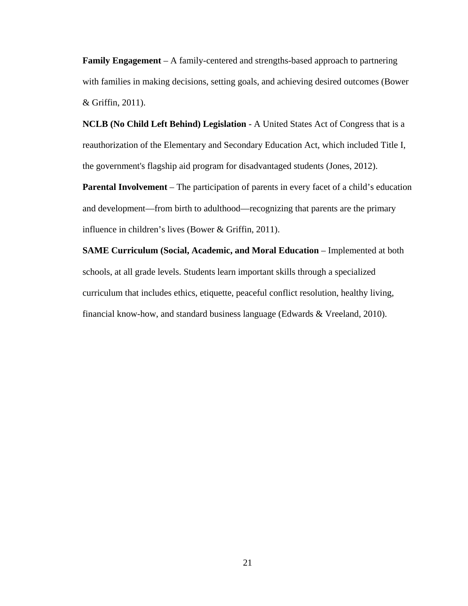**Family Engagement** – A family-centered and strengths-based approach to partnering with families in making decisions, setting goals, and achieving desired outcomes (Bower & Griffin, 2011).

**NCLB (No Child Left Behind) Legislation** - A United States Act of Congress that is a reauthorization of the Elementary and Secondary Education Act, which included Title I, the government's flagship aid program for disadvantaged students (Jones, 2012).

**Parental Involvement** – The participation of parents in every facet of a child's education and development—from birth to adulthood—recognizing that parents are the primary influence in children's lives (Bower & Griffin, 2011).

**SAME Curriculum (Social, Academic, and Moral Education** – Implemented at both schools, at all grade levels. Students learn important skills through a specialized curriculum that includes ethics, etiquette, peaceful conflict resolution, healthy living, financial know-how, and standard business language (Edwards & Vreeland, 2010).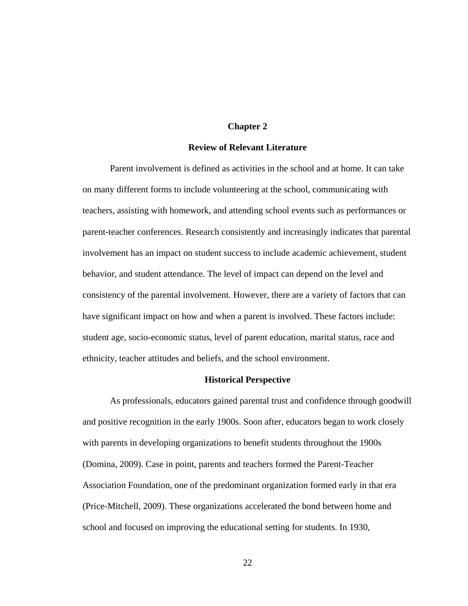#### **Chapter 2**

#### **Review of Relevant Literature**

Parent involvement is defined as activities in the school and at home. It can take on many different forms to include volunteering at the school, communicating with teachers, assisting with homework, and attending school events such as performances or parent-teacher conferences. Research consistently and increasingly indicates that parental involvement has an impact on student success to include academic achievement, student behavior, and student attendance. The level of impact can depend on the level and consistency of the parental involvement. However, there are a variety of factors that can have significant impact on how and when a parent is involved. These factors include: student age, socio-economic status, level of parent education, marital status, race and ethnicity, teacher attitudes and beliefs, and the school environment.

#### **Historical Perspective**

As professionals, educators gained parental trust and confidence through goodwill and positive recognition in the early 1900s. Soon after, educators began to work closely with parents in developing organizations to benefit students throughout the 1900s (Domina, 2009). Case in point, parents and teachers formed the Parent-Teacher Association Foundation, one of the predominant organization formed early in that era (Price-Mitchell, 2009). These organizations accelerated the bond between home and school and focused on improving the educational setting for students. In 1930,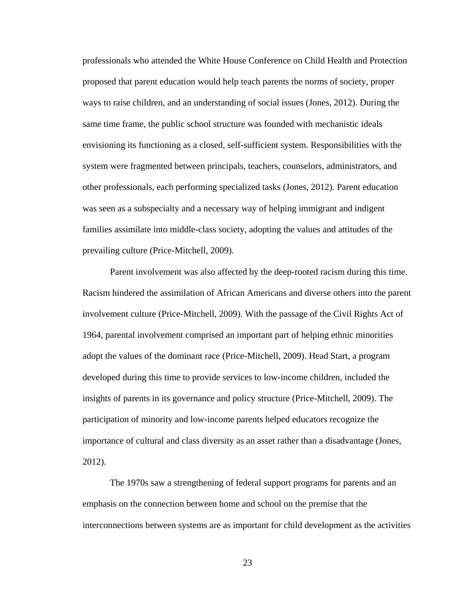professionals who attended the White House Conference on Child Health and Protection proposed that parent education would help teach parents the norms of society, proper ways to raise children, and an understanding of social issues (Jones, 2012). During the same time frame, the public school structure was founded with mechanistic ideals envisioning its functioning as a closed, self-sufficient system. Responsibilities with the system were fragmented between principals, teachers, counselors, administrators, and other professionals, each performing specialized tasks (Jones, 2012). Parent education was seen as a subspecialty and a necessary way of helping immigrant and indigent families assimilate into middle-class society, adopting the values and attitudes of the prevailing culture (Price-Mitchell, 2009).

Parent involvement was also affected by the deep-rooted racism during this time. Racism hindered the assimilation of African Americans and diverse others into the parent involvement culture (Price-Mitchell, 2009). With the passage of the Civil Rights Act of 1964, parental involvement comprised an important part of helping ethnic minorities adopt the values of the dominant race (Price-Mitchell, 2009). Head Start, a program developed during this time to provide services to low-income children, included the insights of parents in its governance and policy structure (Price-Mitchell, 2009). The participation of minority and low-income parents helped educators recognize the importance of cultural and class diversity as an asset rather than a disadvantage (Jones, 2012).

The 1970s saw a strengthening of federal support programs for parents and an emphasis on the connection between home and school on the premise that the interconnections between systems are as important for child development as the activities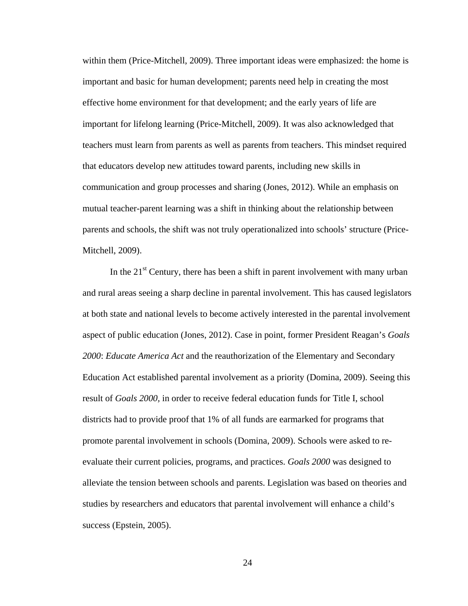within them (Price-Mitchell, 2009). Three important ideas were emphasized: the home is important and basic for human development; parents need help in creating the most effective home environment for that development; and the early years of life are important for lifelong learning (Price-Mitchell, 2009). It was also acknowledged that teachers must learn from parents as well as parents from teachers. This mindset required that educators develop new attitudes toward parents, including new skills in communication and group processes and sharing (Jones, 2012). While an emphasis on mutual teacher-parent learning was a shift in thinking about the relationship between parents and schools, the shift was not truly operationalized into schools' structure (Price-Mitchell, 2009).

In the  $21<sup>st</sup>$  Century, there has been a shift in parent involvement with many urban and rural areas seeing a sharp decline in parental involvement. This has caused legislators at both state and national levels to become actively interested in the parental involvement aspect of public education (Jones, 2012). Case in point, former President Reagan's *Goals 2000*: *Educate America Act* and the reauthorization of the Elementary and Secondary Education Act established parental involvement as a priority (Domina, 2009). Seeing this result of *Goals 2000,* in order to receive federal education funds for Title I, school districts had to provide proof that 1% of all funds are earmarked for programs that promote parental involvement in schools (Domina, 2009). Schools were asked to reevaluate their current policies, programs, and practices. *Goals 2000* was designed to alleviate the tension between schools and parents. Legislation was based on theories and studies by researchers and educators that parental involvement will enhance a child's success (Epstein, 2005).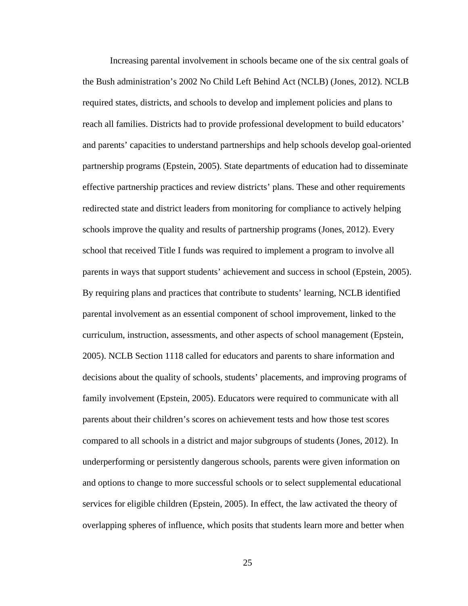Increasing parental involvement in schools became one of the six central goals of the Bush administration's 2002 No Child Left Behind Act (NCLB) (Jones, 2012). NCLB required states, districts, and schools to develop and implement policies and plans to reach all families. Districts had to provide professional development to build educators' and parents' capacities to understand partnerships and help schools develop goal-oriented partnership programs (Epstein, 2005). State departments of education had to disseminate effective partnership practices and review districts' plans. These and other requirements redirected state and district leaders from monitoring for compliance to actively helping schools improve the quality and results of partnership programs (Jones, 2012). Every school that received Title I funds was required to implement a program to involve all parents in ways that support students' achievement and success in school (Epstein, 2005). By requiring plans and practices that contribute to students' learning, NCLB identified parental involvement as an essential component of school improvement, linked to the curriculum, instruction, assessments, and other aspects of school management (Epstein, 2005). NCLB Section 1118 called for educators and parents to share information and decisions about the quality of schools, students' placements, and improving programs of family involvement (Epstein, 2005). Educators were required to communicate with all parents about their children's scores on achievement tests and how those test scores compared to all schools in a district and major subgroups of students (Jones, 2012). In underperforming or persistently dangerous schools, parents were given information on and options to change to more successful schools or to select supplemental educational services for eligible children (Epstein, 2005). In effect, the law activated the theory of overlapping spheres of influence, which posits that students learn more and better when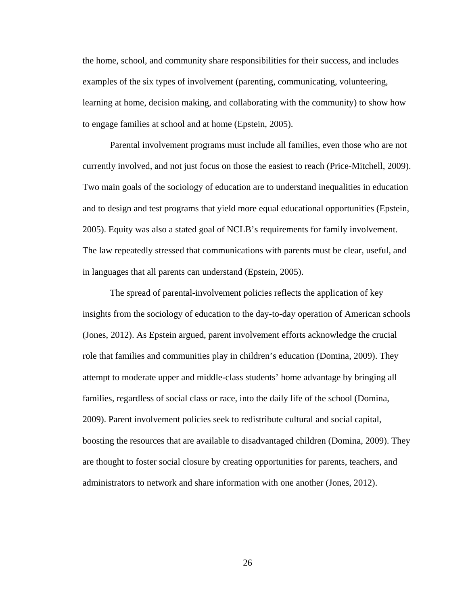the home, school, and community share responsibilities for their success, and includes examples of the six types of involvement (parenting, communicating, volunteering, learning at home, decision making, and collaborating with the community) to show how to engage families at school and at home (Epstein, 2005).

Parental involvement programs must include all families, even those who are not currently involved, and not just focus on those the easiest to reach (Price-Mitchell, 2009). Two main goals of the sociology of education are to understand inequalities in education and to design and test programs that yield more equal educational opportunities (Epstein, 2005). Equity was also a stated goal of NCLB's requirements for family involvement. The law repeatedly stressed that communications with parents must be clear, useful, and in languages that all parents can understand (Epstein, 2005).

The spread of parental-involvement policies reflects the application of key insights from the sociology of education to the day-to-day operation of American schools (Jones, 2012). As Epstein argued, parent involvement efforts acknowledge the crucial role that families and communities play in children's education (Domina, 2009). They attempt to moderate upper and middle-class students' home advantage by bringing all families, regardless of social class or race, into the daily life of the school (Domina, 2009). Parent involvement policies seek to redistribute cultural and social capital, boosting the resources that are available to disadvantaged children (Domina, 2009). They are thought to foster social closure by creating opportunities for parents, teachers, and administrators to network and share information with one another (Jones, 2012).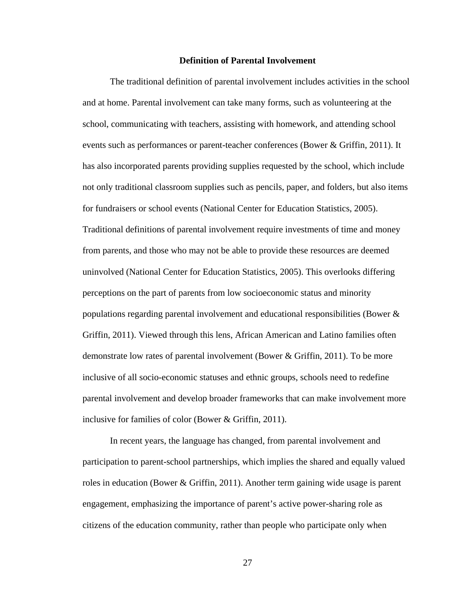## **Definition of Parental Involvement**

The traditional definition of parental involvement includes activities in the school and at home. Parental involvement can take many forms, such as volunteering at the school, communicating with teachers, assisting with homework, and attending school events such as performances or parent-teacher conferences (Bower & Griffin, 2011). It has also incorporated parents providing supplies requested by the school, which include not only traditional classroom supplies such as pencils, paper, and folders, but also items for fundraisers or school events (National Center for Education Statistics, 2005). Traditional definitions of parental involvement require investments of time and money from parents, and those who may not be able to provide these resources are deemed uninvolved (National Center for Education Statistics, 2005). This overlooks differing perceptions on the part of parents from low socioeconomic status and minority populations regarding parental involvement and educational responsibilities (Bower & Griffin, 2011). Viewed through this lens, African American and Latino families often demonstrate low rates of parental involvement (Bower & Griffin, 2011). To be more inclusive of all socio-economic statuses and ethnic groups, schools need to redefine parental involvement and develop broader frameworks that can make involvement more inclusive for families of color (Bower & Griffin, 2011).

In recent years, the language has changed, from parental involvement and participation to parent-school partnerships, which implies the shared and equally valued roles in education (Bower & Griffin, 2011). Another term gaining wide usage is parent engagement, emphasizing the importance of parent's active power-sharing role as citizens of the education community, rather than people who participate only when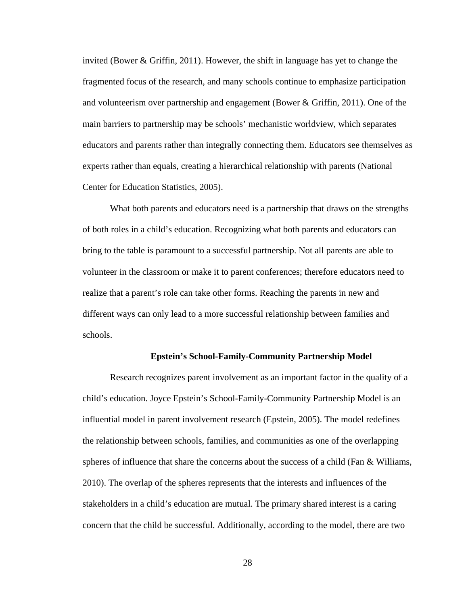invited (Bower & Griffin, 2011). However, the shift in language has yet to change the fragmented focus of the research, and many schools continue to emphasize participation and volunteerism over partnership and engagement (Bower & Griffin, 2011). One of the main barriers to partnership may be schools' mechanistic worldview, which separates educators and parents rather than integrally connecting them. Educators see themselves as experts rather than equals, creating a hierarchical relationship with parents (National Center for Education Statistics, 2005).

What both parents and educators need is a partnership that draws on the strengths of both roles in a child's education. Recognizing what both parents and educators can bring to the table is paramount to a successful partnership. Not all parents are able to volunteer in the classroom or make it to parent conferences; therefore educators need to realize that a parent's role can take other forms. Reaching the parents in new and different ways can only lead to a more successful relationship between families and schools.

#### **Epstein's School-Family-Community Partnership Model**

Research recognizes parent involvement as an important factor in the quality of a child's education. Joyce Epstein's School-Family-Community Partnership Model is an influential model in parent involvement research (Epstein, 2005). The model redefines the relationship between schools, families, and communities as one of the overlapping spheres of influence that share the concerns about the success of a child (Fan & Williams, 2010). The overlap of the spheres represents that the interests and influences of the stakeholders in a child's education are mutual. The primary shared interest is a caring concern that the child be successful. Additionally, according to the model, there are two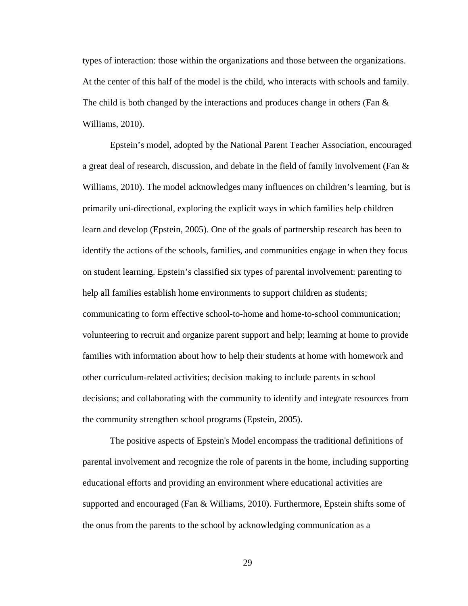types of interaction: those within the organizations and those between the organizations. At the center of this half of the model is the child, who interacts with schools and family. The child is both changed by the interactions and produces change in others (Fan  $\&$ Williams, 2010).

Epstein's model, adopted by the National Parent Teacher Association, encouraged a great deal of research, discussion, and debate in the field of family involvement (Fan & Williams, 2010). The model acknowledges many influences on children's learning, but is primarily uni-directional, exploring the explicit ways in which families help children learn and develop (Epstein, 2005). One of the goals of partnership research has been to identify the actions of the schools, families, and communities engage in when they focus on student learning. Epstein's classified six types of parental involvement: parenting to help all families establish home environments to support children as students; communicating to form effective school-to-home and home-to-school communication; volunteering to recruit and organize parent support and help; learning at home to provide families with information about how to help their students at home with homework and other curriculum-related activities; decision making to include parents in school decisions; and collaborating with the community to identify and integrate resources from the community strengthen school programs (Epstein, 2005).

The positive aspects of Epstein's Model encompass the traditional definitions of parental involvement and recognize the role of parents in the home, including supporting educational efforts and providing an environment where educational activities are supported and encouraged (Fan & Williams, 2010). Furthermore, Epstein shifts some of the onus from the parents to the school by acknowledging communication as a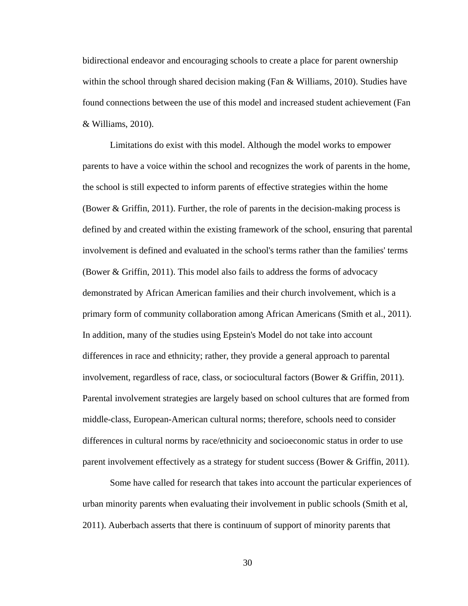bidirectional endeavor and encouraging schools to create a place for parent ownership within the school through shared decision making (Fan & Williams, 2010). Studies have found connections between the use of this model and increased student achievement (Fan & Williams, 2010).

Limitations do exist with this model. Although the model works to empower parents to have a voice within the school and recognizes the work of parents in the home, the school is still expected to inform parents of effective strategies within the home (Bower  $\&$  Griffin, 2011). Further, the role of parents in the decision-making process is defined by and created within the existing framework of the school, ensuring that parental involvement is defined and evaluated in the school's terms rather than the families' terms (Bower & Griffin, 2011). This model also fails to address the forms of advocacy demonstrated by African American families and their church involvement, which is a primary form of community collaboration among African Americans (Smith et al., 2011). In addition, many of the studies using Epstein's Model do not take into account differences in race and ethnicity; rather, they provide a general approach to parental involvement, regardless of race, class, or sociocultural factors (Bower & Griffin, 2011). Parental involvement strategies are largely based on school cultures that are formed from middle-class, European-American cultural norms; therefore, schools need to consider differences in cultural norms by race/ethnicity and socioeconomic status in order to use parent involvement effectively as a strategy for student success (Bower & Griffin, 2011).

Some have called for research that takes into account the particular experiences of urban minority parents when evaluating their involvement in public schools (Smith et al, 2011). Auberbach asserts that there is continuum of support of minority parents that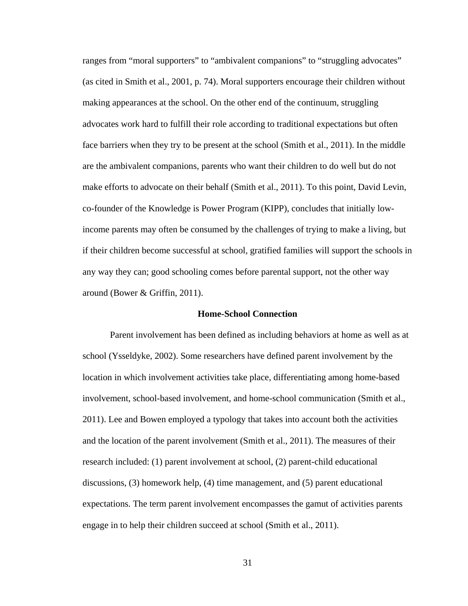ranges from "moral supporters" to "ambivalent companions" to "struggling advocates" (as cited in Smith et al., 2001, p. 74). Moral supporters encourage their children without making appearances at the school. On the other end of the continuum, struggling advocates work hard to fulfill their role according to traditional expectations but often face barriers when they try to be present at the school (Smith et al., 2011). In the middle are the ambivalent companions, parents who want their children to do well but do not make efforts to advocate on their behalf (Smith et al., 2011). To this point, David Levin, co-founder of the Knowledge is Power Program (KIPP), concludes that initially lowincome parents may often be consumed by the challenges of trying to make a living, but if their children become successful at school, gratified families will support the schools in any way they can; good schooling comes before parental support, not the other way around (Bower & Griffin, 2011).

### **Home-School Connection**

Parent involvement has been defined as including behaviors at home as well as at school (Ysseldyke, 2002). Some researchers have defined parent involvement by the location in which involvement activities take place, differentiating among home-based involvement, school-based involvement, and home-school communication (Smith et al., 2011). Lee and Bowen employed a typology that takes into account both the activities and the location of the parent involvement (Smith et al., 2011). The measures of their research included: (1) parent involvement at school, (2) parent-child educational discussions, (3) homework help, (4) time management, and (5) parent educational expectations. The term parent involvement encompasses the gamut of activities parents engage in to help their children succeed at school (Smith et al., 2011).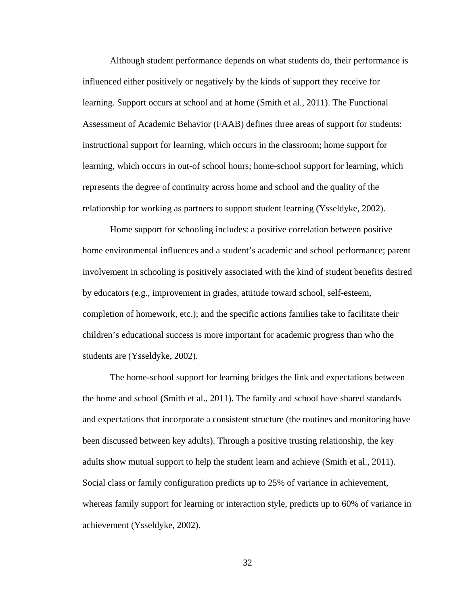Although student performance depends on what students do, their performance is influenced either positively or negatively by the kinds of support they receive for learning. Support occurs at school and at home (Smith et al., 2011). The Functional Assessment of Academic Behavior (FAAB) defines three areas of support for students: instructional support for learning, which occurs in the classroom; home support for learning, which occurs in out-of school hours; home-school support for learning, which represents the degree of continuity across home and school and the quality of the relationship for working as partners to support student learning (Ysseldyke, 2002).

Home support for schooling includes: a positive correlation between positive home environmental influences and a student's academic and school performance; parent involvement in schooling is positively associated with the kind of student benefits desired by educators (e.g., improvement in grades, attitude toward school, self-esteem, completion of homework, etc.); and the specific actions families take to facilitate their children's educational success is more important for academic progress than who the students are (Ysseldyke, 2002).

The home-school support for learning bridges the link and expectations between the home and school (Smith et al., 2011). The family and school have shared standards and expectations that incorporate a consistent structure (the routines and monitoring have been discussed between key adults). Through a positive trusting relationship, the key adults show mutual support to help the student learn and achieve (Smith et al., 2011). Social class or family configuration predicts up to 25% of variance in achievement, whereas family support for learning or interaction style, predicts up to 60% of variance in achievement (Ysseldyke, 2002).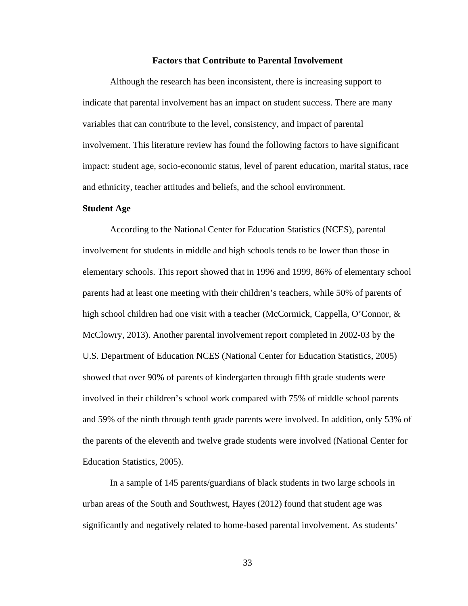#### **Factors that Contribute to Parental Involvement**

Although the research has been inconsistent, there is increasing support to indicate that parental involvement has an impact on student success. There are many variables that can contribute to the level, consistency, and impact of parental involvement. This literature review has found the following factors to have significant impact: student age, socio-economic status, level of parent education, marital status, race and ethnicity, teacher attitudes and beliefs, and the school environment.

### **Student Age**

According to the National Center for Education Statistics (NCES), parental involvement for students in middle and high schools tends to be lower than those in elementary schools. This report showed that in 1996 and 1999, 86% of elementary school parents had at least one meeting with their children's teachers, while 50% of parents of high school children had one visit with a teacher (McCormick, Cappella, O'Connor, & McClowry, 2013). Another parental involvement report completed in 2002-03 by the U.S. Department of Education NCES (National Center for Education Statistics, 2005) showed that over 90% of parents of kindergarten through fifth grade students were involved in their children's school work compared with 75% of middle school parents and 59% of the ninth through tenth grade parents were involved. In addition, only 53% of the parents of the eleventh and twelve grade students were involved (National Center for Education Statistics, 2005).

In a sample of 145 parents/guardians of black students in two large schools in urban areas of the South and Southwest, Hayes (2012) found that student age was significantly and negatively related to home-based parental involvement. As students'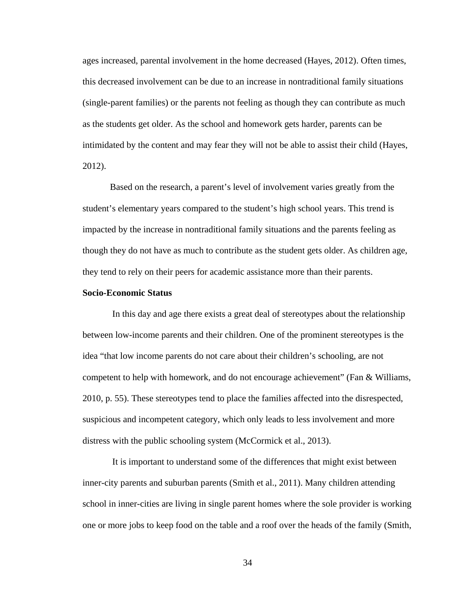ages increased, parental involvement in the home decreased (Hayes, 2012). Often times, this decreased involvement can be due to an increase in nontraditional family situations (single-parent families) or the parents not feeling as though they can contribute as much as the students get older. As the school and homework gets harder, parents can be intimidated by the content and may fear they will not be able to assist their child (Hayes, 2012).

Based on the research, a parent's level of involvement varies greatly from the student's elementary years compared to the student's high school years. This trend is impacted by the increase in nontraditional family situations and the parents feeling as though they do not have as much to contribute as the student gets older. As children age, they tend to rely on their peers for academic assistance more than their parents.

## **Socio-Economic Status**

In this day and age there exists a great deal of stereotypes about the relationship between low-income parents and their children. One of the prominent stereotypes is the idea "that low income parents do not care about their children's schooling, are not competent to help with homework, and do not encourage achievement" (Fan & Williams, 2010, p. 55). These stereotypes tend to place the families affected into the disrespected, suspicious and incompetent category, which only leads to less involvement and more distress with the public schooling system (McCormick et al., 2013).

It is important to understand some of the differences that might exist between inner-city parents and suburban parents (Smith et al., 2011). Many children attending school in inner-cities are living in single parent homes where the sole provider is working one or more jobs to keep food on the table and a roof over the heads of the family (Smith,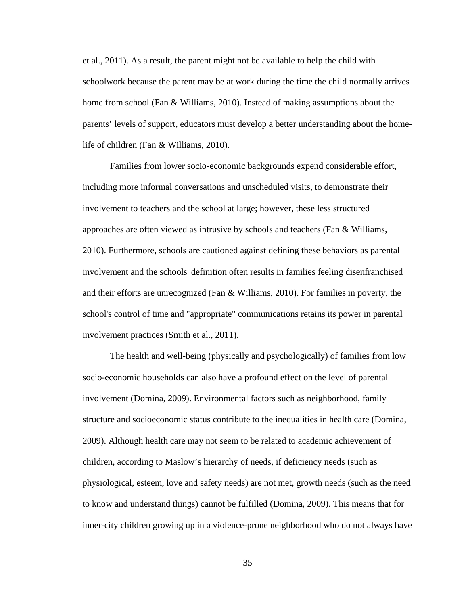et al., 2011). As a result, the parent might not be available to help the child with schoolwork because the parent may be at work during the time the child normally arrives home from school (Fan & Williams, 2010). Instead of making assumptions about the parents' levels of support, educators must develop a better understanding about the homelife of children (Fan & Williams, 2010).

Families from lower socio-economic backgrounds expend considerable effort, including more informal conversations and unscheduled visits, to demonstrate their involvement to teachers and the school at large; however, these less structured approaches are often viewed as intrusive by schools and teachers (Fan & Williams, 2010). Furthermore, schools are cautioned against defining these behaviors as parental involvement and the schools' definition often results in families feeling disenfranchised and their efforts are unrecognized (Fan & Williams, 2010). For families in poverty, the school's control of time and "appropriate" communications retains its power in parental involvement practices (Smith et al., 2011).

The health and well-being (physically and psychologically) of families from low socio-economic households can also have a profound effect on the level of parental involvement (Domina, 2009). Environmental factors such as neighborhood, family structure and socioeconomic status contribute to the inequalities in health care (Domina, 2009). Although health care may not seem to be related to academic achievement of children, according to Maslow's hierarchy of needs, if deficiency needs (such as physiological, esteem, love and safety needs) are not met, growth needs (such as the need to know and understand things) cannot be fulfilled (Domina, 2009). This means that for inner-city children growing up in a violence-prone neighborhood who do not always have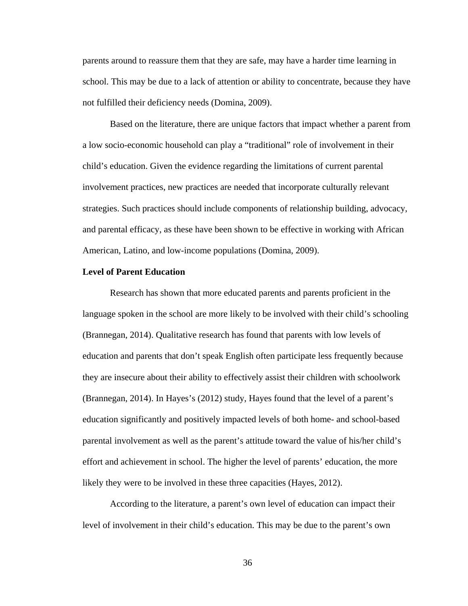parents around to reassure them that they are safe, may have a harder time learning in school. This may be due to a lack of attention or ability to concentrate, because they have not fulfilled their deficiency needs (Domina, 2009).

Based on the literature, there are unique factors that impact whether a parent from a low socio-economic household can play a "traditional" role of involvement in their child's education. Given the evidence regarding the limitations of current parental involvement practices, new practices are needed that incorporate culturally relevant strategies. Such practices should include components of relationship building, advocacy, and parental efficacy, as these have been shown to be effective in working with African American, Latino, and low-income populations (Domina, 2009).

### **Level of Parent Education**

Research has shown that more educated parents and parents proficient in the language spoken in the school are more likely to be involved with their child's schooling (Brannegan, 2014). Qualitative research has found that parents with low levels of education and parents that don't speak English often participate less frequently because they are insecure about their ability to effectively assist their children with schoolwork (Brannegan, 2014). In Hayes's (2012) study, Hayes found that the level of a parent's education significantly and positively impacted levels of both home- and school-based parental involvement as well as the parent's attitude toward the value of his/her child's effort and achievement in school. The higher the level of parents' education, the more likely they were to be involved in these three capacities (Hayes, 2012).

According to the literature, a parent's own level of education can impact their level of involvement in their child's education. This may be due to the parent's own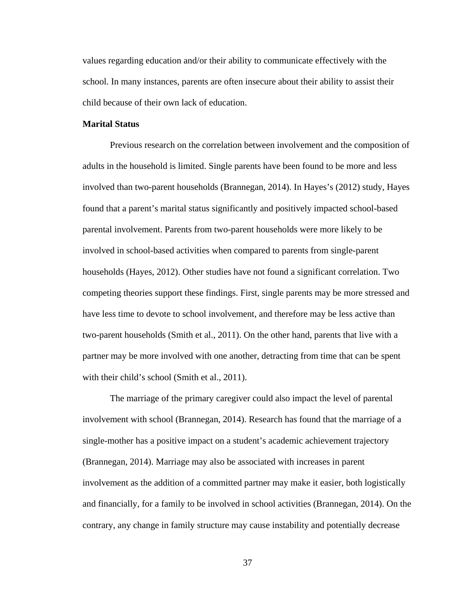values regarding education and/or their ability to communicate effectively with the school. In many instances, parents are often insecure about their ability to assist their child because of their own lack of education.

# **Marital Status**

Previous research on the correlation between involvement and the composition of adults in the household is limited. Single parents have been found to be more and less involved than two-parent households (Brannegan, 2014). In Hayes's (2012) study, Hayes found that a parent's marital status significantly and positively impacted school-based parental involvement. Parents from two-parent households were more likely to be involved in school-based activities when compared to parents from single-parent households (Hayes, 2012). Other studies have not found a significant correlation. Two competing theories support these findings. First, single parents may be more stressed and have less time to devote to school involvement, and therefore may be less active than two-parent households (Smith et al., 2011). On the other hand, parents that live with a partner may be more involved with one another, detracting from time that can be spent with their child's school (Smith et al., 2011).

The marriage of the primary caregiver could also impact the level of parental involvement with school (Brannegan, 2014). Research has found that the marriage of a single-mother has a positive impact on a student's academic achievement trajectory (Brannegan, 2014). Marriage may also be associated with increases in parent involvement as the addition of a committed partner may make it easier, both logistically and financially, for a family to be involved in school activities (Brannegan, 2014). On the contrary, any change in family structure may cause instability and potentially decrease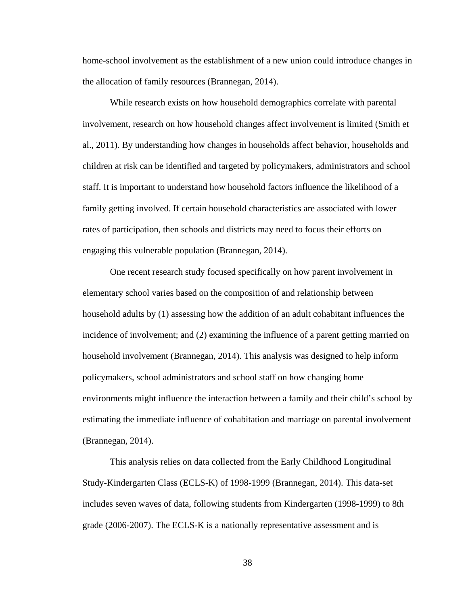home-school involvement as the establishment of a new union could introduce changes in the allocation of family resources (Brannegan, 2014).

While research exists on how household demographics correlate with parental involvement, research on how household changes affect involvement is limited (Smith et al., 2011). By understanding how changes in households affect behavior, households and children at risk can be identified and targeted by policymakers, administrators and school staff. It is important to understand how household factors influence the likelihood of a family getting involved. If certain household characteristics are associated with lower rates of participation, then schools and districts may need to focus their efforts on engaging this vulnerable population (Brannegan, 2014).

One recent research study focused specifically on how parent involvement in elementary school varies based on the composition of and relationship between household adults by (1) assessing how the addition of an adult cohabitant influences the incidence of involvement; and (2) examining the influence of a parent getting married on household involvement (Brannegan, 2014). This analysis was designed to help inform policymakers, school administrators and school staff on how changing home environments might influence the interaction between a family and their child's school by estimating the immediate influence of cohabitation and marriage on parental involvement (Brannegan, 2014).

This analysis relies on data collected from the Early Childhood Longitudinal Study-Kindergarten Class (ECLS-K) of 1998-1999 (Brannegan, 2014). This data-set includes seven waves of data, following students from Kindergarten (1998-1999) to 8th grade (2006-2007). The ECLS-K is a nationally representative assessment and is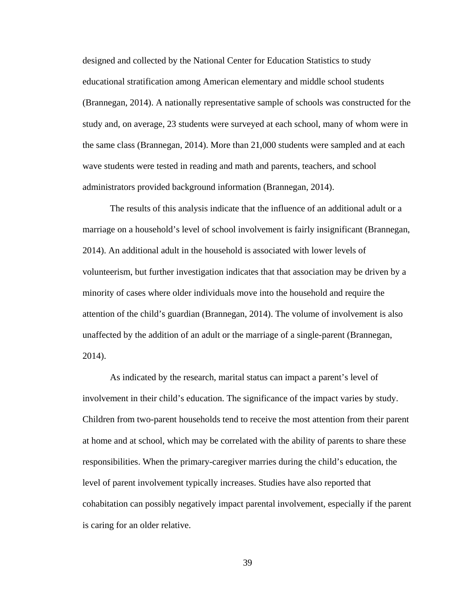designed and collected by the National Center for Education Statistics to study educational stratification among American elementary and middle school students (Brannegan, 2014). A nationally representative sample of schools was constructed for the study and, on average, 23 students were surveyed at each school, many of whom were in the same class (Brannegan, 2014). More than 21,000 students were sampled and at each wave students were tested in reading and math and parents, teachers, and school administrators provided background information (Brannegan, 2014).

The results of this analysis indicate that the influence of an additional adult or a marriage on a household's level of school involvement is fairly insignificant (Brannegan, 2014). An additional adult in the household is associated with lower levels of volunteerism, but further investigation indicates that that association may be driven by a minority of cases where older individuals move into the household and require the attention of the child's guardian (Brannegan, 2014). The volume of involvement is also unaffected by the addition of an adult or the marriage of a single-parent (Brannegan, 2014).

As indicated by the research, marital status can impact a parent's level of involvement in their child's education. The significance of the impact varies by study. Children from two-parent households tend to receive the most attention from their parent at home and at school, which may be correlated with the ability of parents to share these responsibilities. When the primary-caregiver marries during the child's education, the level of parent involvement typically increases. Studies have also reported that cohabitation can possibly negatively impact parental involvement, especially if the parent is caring for an older relative.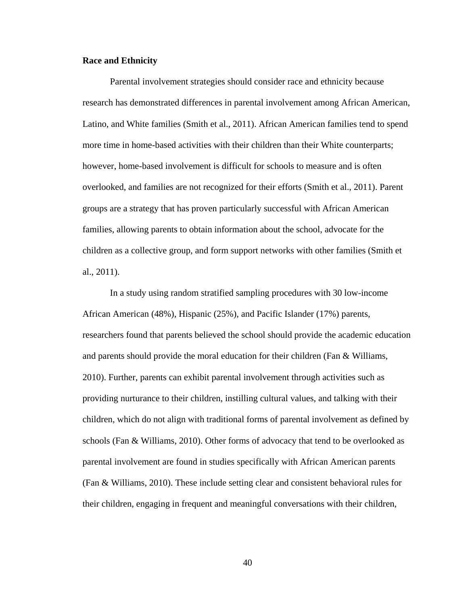### **Race and Ethnicity**

Parental involvement strategies should consider race and ethnicity because research has demonstrated differences in parental involvement among African American, Latino, and White families (Smith et al., 2011). African American families tend to spend more time in home-based activities with their children than their White counterparts; however, home-based involvement is difficult for schools to measure and is often overlooked, and families are not recognized for their efforts (Smith et al., 2011). Parent groups are a strategy that has proven particularly successful with African American families, allowing parents to obtain information about the school, advocate for the children as a collective group, and form support networks with other families (Smith et al., 2011).

In a study using random stratified sampling procedures with 30 low-income African American (48%), Hispanic (25%), and Pacific Islander (17%) parents, researchers found that parents believed the school should provide the academic education and parents should provide the moral education for their children (Fan & Williams, 2010). Further, parents can exhibit parental involvement through activities such as providing nurturance to their children, instilling cultural values, and talking with their children, which do not align with traditional forms of parental involvement as defined by schools (Fan & Williams, 2010). Other forms of advocacy that tend to be overlooked as parental involvement are found in studies specifically with African American parents (Fan & Williams, 2010). These include setting clear and consistent behavioral rules for their children, engaging in frequent and meaningful conversations with their children,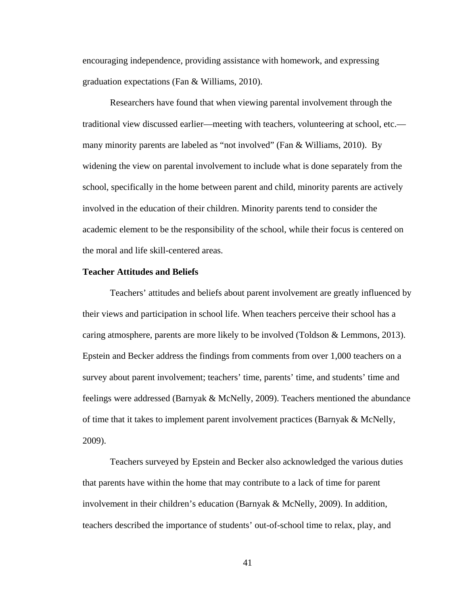encouraging independence, providing assistance with homework, and expressing graduation expectations (Fan & Williams, 2010).

Researchers have found that when viewing parental involvement through the traditional view discussed earlier—meeting with teachers, volunteering at school, etc. many minority parents are labeled as "not involved" (Fan & Williams, 2010). By widening the view on parental involvement to include what is done separately from the school, specifically in the home between parent and child, minority parents are actively involved in the education of their children. Minority parents tend to consider the academic element to be the responsibility of the school, while their focus is centered on the moral and life skill-centered areas.

### **Teacher Attitudes and Beliefs**

Teachers' attitudes and beliefs about parent involvement are greatly influenced by their views and participation in school life. When teachers perceive their school has a caring atmosphere, parents are more likely to be involved (Toldson & Lemmons, 2013). Epstein and Becker address the findings from comments from over 1,000 teachers on a survey about parent involvement; teachers' time, parents' time, and students' time and feelings were addressed (Barnyak & McNelly, 2009). Teachers mentioned the abundance of time that it takes to implement parent involvement practices (Barnyak & McNelly, 2009).

Teachers surveyed by Epstein and Becker also acknowledged the various duties that parents have within the home that may contribute to a lack of time for parent involvement in their children's education (Barnyak & McNelly, 2009). In addition, teachers described the importance of students' out-of-school time to relax, play, and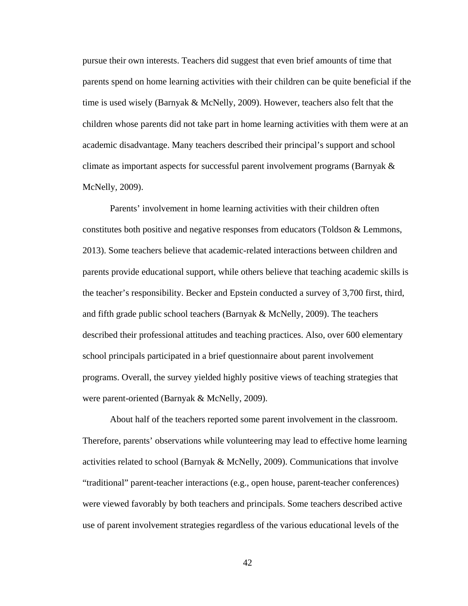pursue their own interests. Teachers did suggest that even brief amounts of time that parents spend on home learning activities with their children can be quite beneficial if the time is used wisely (Barnyak & McNelly, 2009). However, teachers also felt that the children whose parents did not take part in home learning activities with them were at an academic disadvantage. Many teachers described their principal's support and school climate as important aspects for successful parent involvement programs (Barnyak & McNelly, 2009).

Parents' involvement in home learning activities with their children often constitutes both positive and negative responses from educators (Toldson & Lemmons, 2013). Some teachers believe that academic-related interactions between children and parents provide educational support, while others believe that teaching academic skills is the teacher's responsibility. Becker and Epstein conducted a survey of 3,700 first, third, and fifth grade public school teachers (Barnyak & McNelly, 2009). The teachers described their professional attitudes and teaching practices. Also, over 600 elementary school principals participated in a brief questionnaire about parent involvement programs. Overall, the survey yielded highly positive views of teaching strategies that were parent-oriented (Barnyak & McNelly, 2009).

About half of the teachers reported some parent involvement in the classroom. Therefore, parents' observations while volunteering may lead to effective home learning activities related to school (Barnyak & McNelly, 2009). Communications that involve "traditional" parent-teacher interactions (e.g., open house, parent-teacher conferences) were viewed favorably by both teachers and principals. Some teachers described active use of parent involvement strategies regardless of the various educational levels of the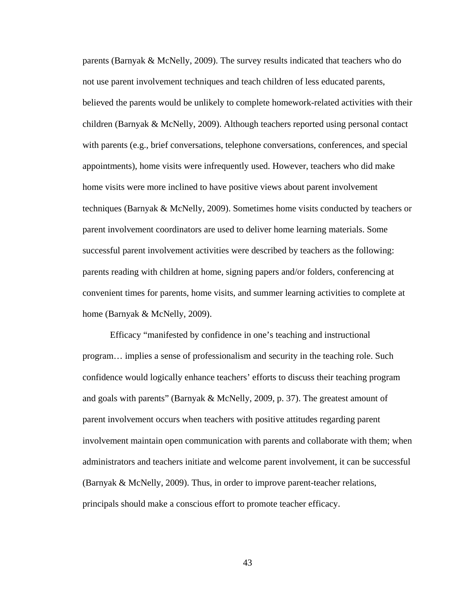parents (Barnyak & McNelly, 2009). The survey results indicated that teachers who do not use parent involvement techniques and teach children of less educated parents, believed the parents would be unlikely to complete homework-related activities with their children (Barnyak & McNelly, 2009). Although teachers reported using personal contact with parents (e.g., brief conversations, telephone conversations, conferences, and special appointments), home visits were infrequently used. However, teachers who did make home visits were more inclined to have positive views about parent involvement techniques (Barnyak & McNelly, 2009). Sometimes home visits conducted by teachers or parent involvement coordinators are used to deliver home learning materials. Some successful parent involvement activities were described by teachers as the following: parents reading with children at home, signing papers and/or folders, conferencing at convenient times for parents, home visits, and summer learning activities to complete at home (Barnyak & McNelly, 2009).

Efficacy "manifested by confidence in one's teaching and instructional program… implies a sense of professionalism and security in the teaching role. Such confidence would logically enhance teachers' efforts to discuss their teaching program and goals with parents" (Barnyak & McNelly, 2009, p. 37). The greatest amount of parent involvement occurs when teachers with positive attitudes regarding parent involvement maintain open communication with parents and collaborate with them; when administrators and teachers initiate and welcome parent involvement, it can be successful (Barnyak & McNelly, 2009). Thus, in order to improve parent-teacher relations, principals should make a conscious effort to promote teacher efficacy.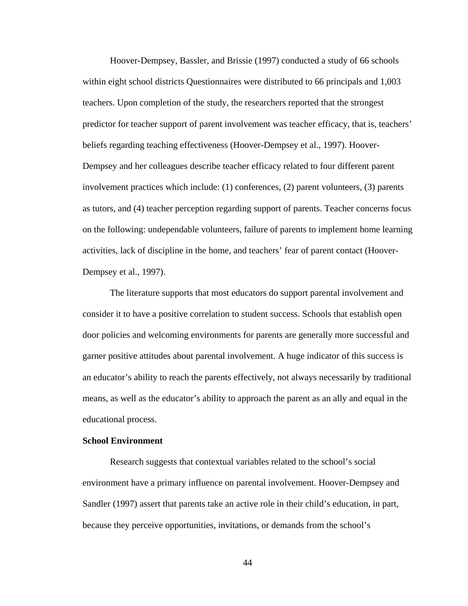Hoover-Dempsey, Bassler, and Brissie (1997) conducted a study of 66 schools within eight school districts Questionnaires were distributed to 66 principals and 1,003 teachers. Upon completion of the study, the researchers reported that the strongest predictor for teacher support of parent involvement was teacher efficacy, that is, teachers' beliefs regarding teaching effectiveness (Hoover-Dempsey et al., 1997). Hoover-Dempsey and her colleagues describe teacher efficacy related to four different parent involvement practices which include: (1) conferences, (2) parent volunteers, (3) parents as tutors, and (4) teacher perception regarding support of parents. Teacher concerns focus on the following: undependable volunteers, failure of parents to implement home learning activities, lack of discipline in the home, and teachers' fear of parent contact (Hoover-Dempsey et al., 1997).

The literature supports that most educators do support parental involvement and consider it to have a positive correlation to student success. Schools that establish open door policies and welcoming environments for parents are generally more successful and garner positive attitudes about parental involvement. A huge indicator of this success is an educator's ability to reach the parents effectively, not always necessarily by traditional means, as well as the educator's ability to approach the parent as an ally and equal in the educational process.

### **School Environment**

Research suggests that contextual variables related to the school's social environment have a primary influence on parental involvement. Hoover-Dempsey and Sandler (1997) assert that parents take an active role in their child's education, in part, because they perceive opportunities, invitations, or demands from the school's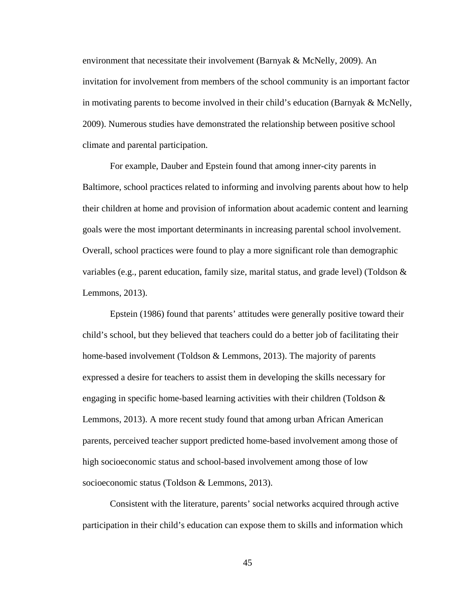environment that necessitate their involvement (Barnyak & McNelly, 2009). An invitation for involvement from members of the school community is an important factor in motivating parents to become involved in their child's education (Barnyak & McNelly, 2009). Numerous studies have demonstrated the relationship between positive school climate and parental participation.

For example, Dauber and Epstein found that among inner-city parents in Baltimore, school practices related to informing and involving parents about how to help their children at home and provision of information about academic content and learning goals were the most important determinants in increasing parental school involvement. Overall, school practices were found to play a more significant role than demographic variables (e.g., parent education, family size, marital status, and grade level) (Toldson  $\&$ Lemmons, 2013).

Epstein (1986) found that parents' attitudes were generally positive toward their child's school, but they believed that teachers could do a better job of facilitating their home-based involvement (Toldson & Lemmons, 2013). The majority of parents expressed a desire for teachers to assist them in developing the skills necessary for engaging in specific home-based learning activities with their children (Toldson  $\&$ Lemmons, 2013). A more recent study found that among urban African American parents, perceived teacher support predicted home-based involvement among those of high socioeconomic status and school-based involvement among those of low socioeconomic status (Toldson & Lemmons, 2013).

Consistent with the literature, parents' social networks acquired through active participation in their child's education can expose them to skills and information which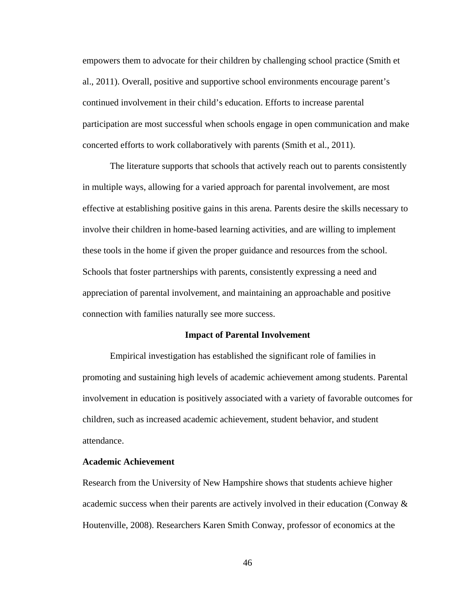empowers them to advocate for their children by challenging school practice (Smith et al., 2011). Overall, positive and supportive school environments encourage parent's continued involvement in their child's education. Efforts to increase parental participation are most successful when schools engage in open communication and make concerted efforts to work collaboratively with parents (Smith et al., 2011).

The literature supports that schools that actively reach out to parents consistently in multiple ways, allowing for a varied approach for parental involvement, are most effective at establishing positive gains in this arena. Parents desire the skills necessary to involve their children in home-based learning activities, and are willing to implement these tools in the home if given the proper guidance and resources from the school. Schools that foster partnerships with parents, consistently expressing a need and appreciation of parental involvement, and maintaining an approachable and positive connection with families naturally see more success.

#### **Impact of Parental Involvement**

Empirical investigation has established the significant role of families in promoting and sustaining high levels of academic achievement among students. Parental involvement in education is positively associated with a variety of favorable outcomes for children, such as increased academic achievement, student behavior, and student attendance.

## **Academic Achievement**

Research from the University of New Hampshire shows that students achieve higher academic success when their parents are actively involved in their education (Conway  $\&$ Houtenville, 2008). Researchers Karen Smith Conway, professor of economics at the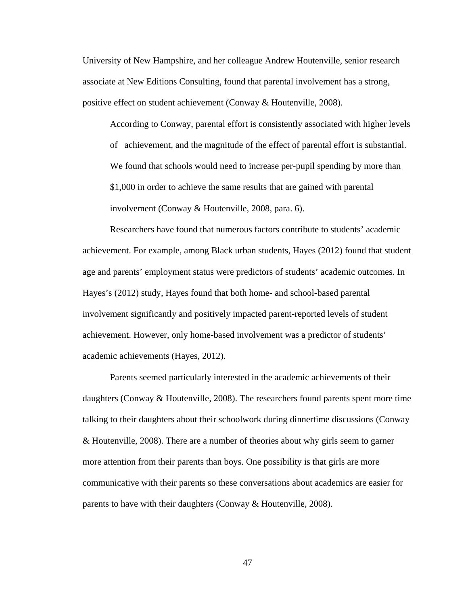University of New Hampshire, and her colleague Andrew Houtenville, senior research associate at New Editions Consulting, found that parental involvement has a strong, positive effect on student achievement (Conway & Houtenville, 2008).

According to Conway, parental effort is consistently associated with higher levels of achievement, and the magnitude of the effect of parental effort is substantial. We found that schools would need to increase per-pupil spending by more than \$1,000 in order to achieve the same results that are gained with parental involvement (Conway & Houtenville, 2008, para. 6).

Researchers have found that numerous factors contribute to students' academic achievement. For example, among Black urban students, Hayes (2012) found that student age and parents' employment status were predictors of students' academic outcomes. In Hayes's (2012) study, Hayes found that both home- and school-based parental involvement significantly and positively impacted parent-reported levels of student achievement. However, only home-based involvement was a predictor of students' academic achievements (Hayes, 2012).

Parents seemed particularly interested in the academic achievements of their daughters (Conway & Houtenville, 2008). The researchers found parents spent more time talking to their daughters about their schoolwork during dinnertime discussions (Conway & Houtenville, 2008). There are a number of theories about why girls seem to garner more attention from their parents than boys. One possibility is that girls are more communicative with their parents so these conversations about academics are easier for parents to have with their daughters (Conway & Houtenville, 2008).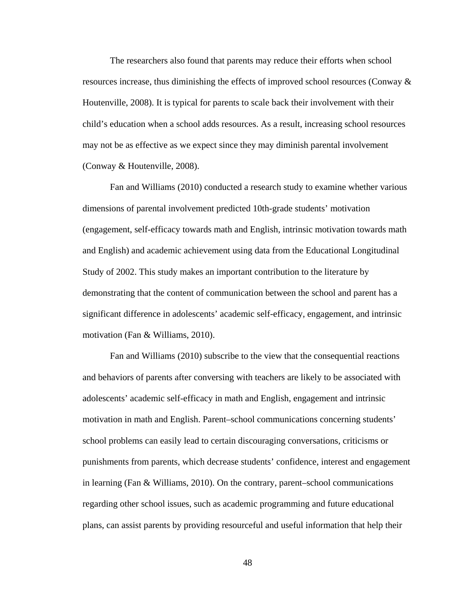The researchers also found that parents may reduce their efforts when school resources increase, thus diminishing the effects of improved school resources (Conway & Houtenville, 2008). It is typical for parents to scale back their involvement with their child's education when a school adds resources. As a result, increasing school resources may not be as effective as we expect since they may diminish parental involvement (Conway & Houtenville, 2008).

Fan and Williams (2010) conducted a research study to examine whether various dimensions of parental involvement predicted 10th-grade students' motivation (engagement, self-efficacy towards math and English, intrinsic motivation towards math and English) and academic achievement using data from the Educational Longitudinal Study of 2002. This study makes an important contribution to the literature by demonstrating that the content of communication between the school and parent has a significant difference in adolescents' academic self-efficacy, engagement, and intrinsic motivation (Fan & Williams, 2010).

Fan and Williams (2010) subscribe to the view that the consequential reactions and behaviors of parents after conversing with teachers are likely to be associated with adolescents' academic self-efficacy in math and English, engagement and intrinsic motivation in math and English. Parent–school communications concerning students' school problems can easily lead to certain discouraging conversations, criticisms or punishments from parents, which decrease students' confidence, interest and engagement in learning (Fan & Williams, 2010). On the contrary, parent–school communications regarding other school issues, such as academic programming and future educational plans, can assist parents by providing resourceful and useful information that help their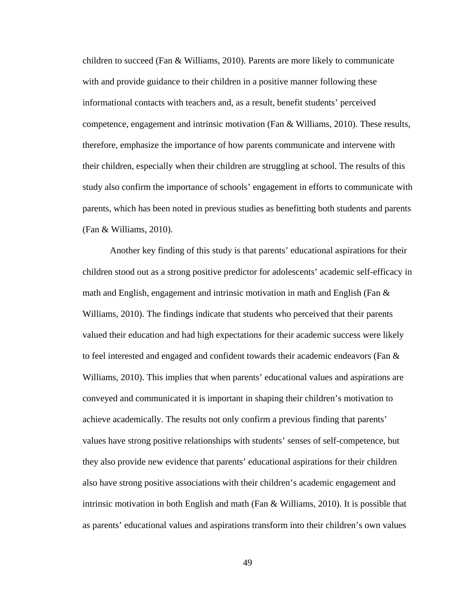children to succeed (Fan  $&$  Williams, 2010). Parents are more likely to communicate with and provide guidance to their children in a positive manner following these informational contacts with teachers and, as a result, benefit students' perceived competence, engagement and intrinsic motivation (Fan & Williams, 2010). These results, therefore, emphasize the importance of how parents communicate and intervene with their children, especially when their children are struggling at school. The results of this study also confirm the importance of schools' engagement in efforts to communicate with parents, which has been noted in previous studies as benefitting both students and parents (Fan & Williams, 2010).

Another key finding of this study is that parents' educational aspirations for their children stood out as a strong positive predictor for adolescents' academic self-efficacy in math and English, engagement and intrinsic motivation in math and English (Fan  $\&$ Williams, 2010). The findings indicate that students who perceived that their parents valued their education and had high expectations for their academic success were likely to feel interested and engaged and confident towards their academic endeavors (Fan & Williams, 2010). This implies that when parents' educational values and aspirations are conveyed and communicated it is important in shaping their children's motivation to achieve academically. The results not only confirm a previous finding that parents' values have strong positive relationships with students' senses of self-competence, but they also provide new evidence that parents' educational aspirations for their children also have strong positive associations with their children's academic engagement and intrinsic motivation in both English and math (Fan & Williams, 2010). It is possible that as parents' educational values and aspirations transform into their children's own values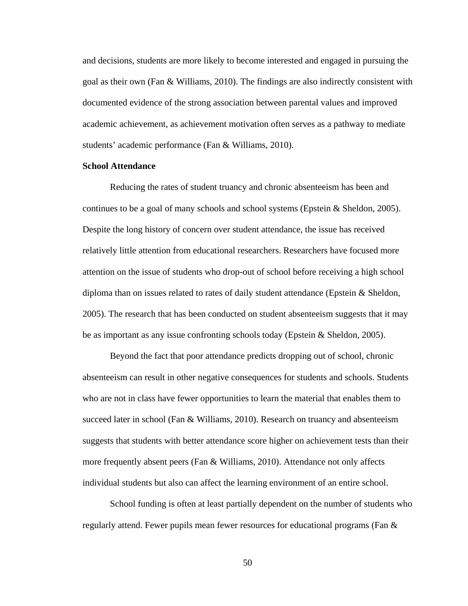and decisions, students are more likely to become interested and engaged in pursuing the goal as their own (Fan & Williams, 2010). The findings are also indirectly consistent with documented evidence of the strong association between parental values and improved academic achievement, as achievement motivation often serves as a pathway to mediate students' academic performance (Fan & Williams, 2010).

## **School Attendance**

Reducing the rates of student truancy and chronic absenteeism has been and continues to be a goal of many schools and school systems (Epstein  $\&$  Sheldon, 2005). Despite the long history of concern over student attendance, the issue has received relatively little attention from educational researchers. Researchers have focused more attention on the issue of students who drop-out of school before receiving a high school diploma than on issues related to rates of daily student attendance (Epstein & Sheldon, 2005). The research that has been conducted on student absenteeism suggests that it may be as important as any issue confronting schools today (Epstein & Sheldon, 2005).

Beyond the fact that poor attendance predicts dropping out of school, chronic absenteeism can result in other negative consequences for students and schools. Students who are not in class have fewer opportunities to learn the material that enables them to succeed later in school (Fan & Williams, 2010). Research on truancy and absenteeism suggests that students with better attendance score higher on achievement tests than their more frequently absent peers (Fan & Williams, 2010). Attendance not only affects individual students but also can affect the learning environment of an entire school.

School funding is often at least partially dependent on the number of students who regularly attend. Fewer pupils mean fewer resources for educational programs (Fan &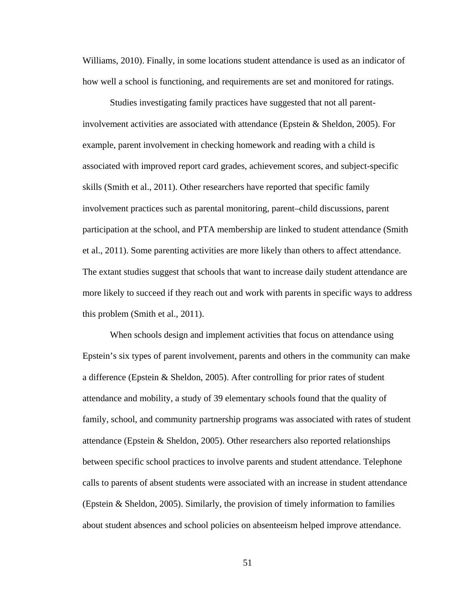Williams, 2010). Finally, in some locations student attendance is used as an indicator of how well a school is functioning, and requirements are set and monitored for ratings.

Studies investigating family practices have suggested that not all parentinvolvement activities are associated with attendance (Epstein & Sheldon, 2005). For example, parent involvement in checking homework and reading with a child is associated with improved report card grades, achievement scores, and subject-specific skills (Smith et al., 2011). Other researchers have reported that specific family involvement practices such as parental monitoring, parent–child discussions, parent participation at the school, and PTA membership are linked to student attendance (Smith et al., 2011). Some parenting activities are more likely than others to affect attendance. The extant studies suggest that schools that want to increase daily student attendance are more likely to succeed if they reach out and work with parents in specific ways to address this problem (Smith et al., 2011).

When schools design and implement activities that focus on attendance using Epstein's six types of parent involvement, parents and others in the community can make a difference (Epstein & Sheldon, 2005). After controlling for prior rates of student attendance and mobility, a study of 39 elementary schools found that the quality of family, school, and community partnership programs was associated with rates of student attendance (Epstein & Sheldon, 2005). Other researchers also reported relationships between specific school practices to involve parents and student attendance. Telephone calls to parents of absent students were associated with an increase in student attendance (Epstein & Sheldon, 2005). Similarly, the provision of timely information to families about student absences and school policies on absenteeism helped improve attendance.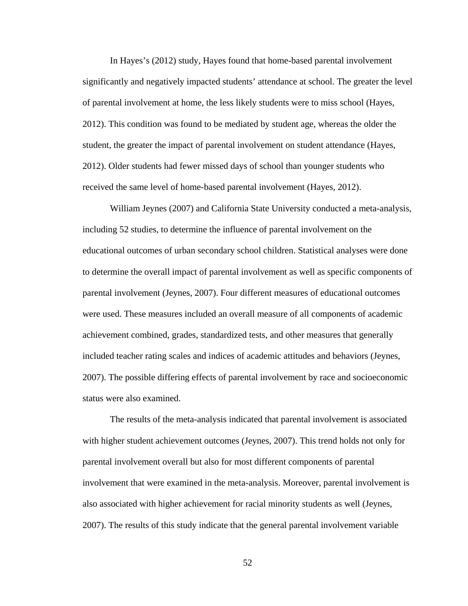In Hayes's (2012) study, Hayes found that home-based parental involvement significantly and negatively impacted students' attendance at school. The greater the level of parental involvement at home, the less likely students were to miss school (Hayes, 2012). This condition was found to be mediated by student age, whereas the older the student, the greater the impact of parental involvement on student attendance (Hayes, 2012). Older students had fewer missed days of school than younger students who received the same level of home-based parental involvement (Hayes, 2012).

William Jeynes (2007) and California State University conducted a meta-analysis, including 52 studies, to determine the influence of parental involvement on the educational outcomes of urban secondary school children. Statistical analyses were done to determine the overall impact of parental involvement as well as specific components of parental involvement (Jeynes, 2007). Four different measures of educational outcomes were used. These measures included an overall measure of all components of academic achievement combined, grades, standardized tests, and other measures that generally included teacher rating scales and indices of academic attitudes and behaviors (Jeynes, 2007). The possible differing effects of parental involvement by race and socioeconomic status were also examined.

The results of the meta-analysis indicated that parental involvement is associated with higher student achievement outcomes (Jeynes, 2007). This trend holds not only for parental involvement overall but also for most different components of parental involvement that were examined in the meta-analysis. Moreover, parental involvement is also associated with higher achievement for racial minority students as well (Jeynes, 2007). The results of this study indicate that the general parental involvement variable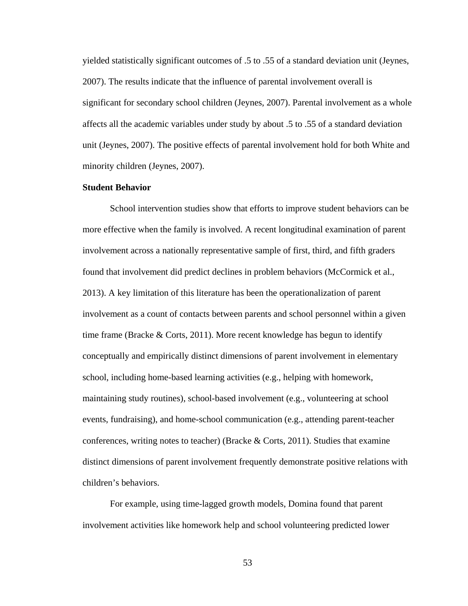yielded statistically significant outcomes of .5 to .55 of a standard deviation unit (Jeynes, 2007). The results indicate that the influence of parental involvement overall is significant for secondary school children (Jeynes, 2007). Parental involvement as a whole affects all the academic variables under study by about .5 to .55 of a standard deviation unit (Jeynes, 2007). The positive effects of parental involvement hold for both White and minority children (Jeynes, 2007).

## **Student Behavior**

School intervention studies show that efforts to improve student behaviors can be more effective when the family is involved. A recent longitudinal examination of parent involvement across a nationally representative sample of first, third, and fifth graders found that involvement did predict declines in problem behaviors (McCormick et al., 2013). A key limitation of this literature has been the operationalization of parent involvement as a count of contacts between parents and school personnel within a given time frame (Bracke  $\&$  Corts, 2011). More recent knowledge has begun to identify conceptually and empirically distinct dimensions of parent involvement in elementary school, including home-based learning activities (e.g., helping with homework, maintaining study routines), school-based involvement (e.g., volunteering at school events, fundraising), and home-school communication (e.g., attending parent-teacher conferences, writing notes to teacher) (Bracke  $\&$  Corts, 2011). Studies that examine distinct dimensions of parent involvement frequently demonstrate positive relations with children's behaviors.

For example, using time-lagged growth models, Domina found that parent involvement activities like homework help and school volunteering predicted lower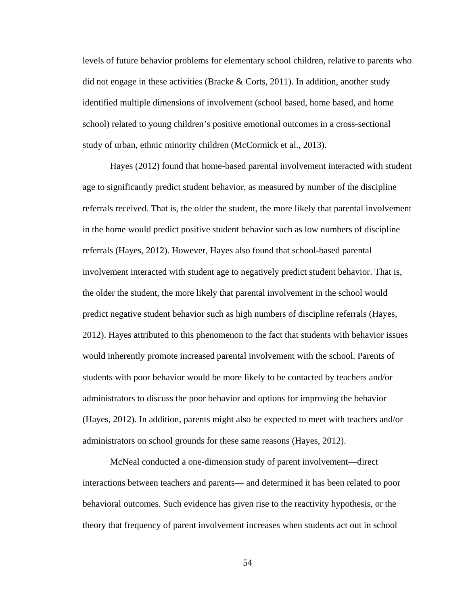levels of future behavior problems for elementary school children, relative to parents who did not engage in these activities (Bracke  $\&$  Corts, 2011). In addition, another study identified multiple dimensions of involvement (school based, home based, and home school) related to young children's positive emotional outcomes in a cross-sectional study of urban, ethnic minority children (McCormick et al., 2013).

Hayes (2012) found that home-based parental involvement interacted with student age to significantly predict student behavior, as measured by number of the discipline referrals received. That is, the older the student, the more likely that parental involvement in the home would predict positive student behavior such as low numbers of discipline referrals (Hayes, 2012). However, Hayes also found that school-based parental involvement interacted with student age to negatively predict student behavior. That is, the older the student, the more likely that parental involvement in the school would predict negative student behavior such as high numbers of discipline referrals (Hayes, 2012). Hayes attributed to this phenomenon to the fact that students with behavior issues would inherently promote increased parental involvement with the school. Parents of students with poor behavior would be more likely to be contacted by teachers and/or administrators to discuss the poor behavior and options for improving the behavior (Hayes, 2012). In addition, parents might also be expected to meet with teachers and/or administrators on school grounds for these same reasons (Hayes, 2012).

McNeal conducted a one-dimension study of parent involvement—direct interactions between teachers and parents— and determined it has been related to poor behavioral outcomes. Such evidence has given rise to the reactivity hypothesis, or the theory that frequency of parent involvement increases when students act out in school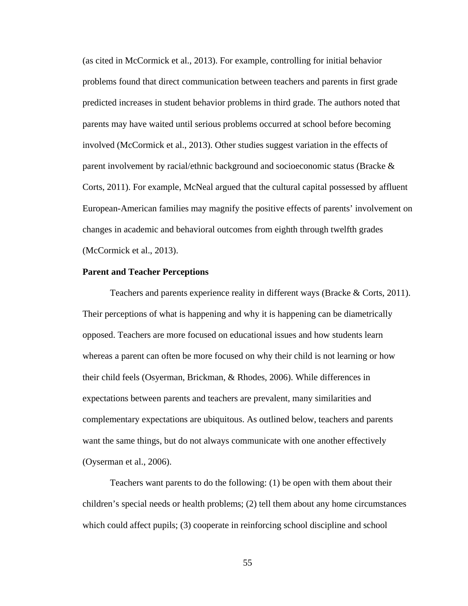(as cited in McCormick et al., 2013). For example, controlling for initial behavior problems found that direct communication between teachers and parents in first grade predicted increases in student behavior problems in third grade. The authors noted that parents may have waited until serious problems occurred at school before becoming involved (McCormick et al., 2013). Other studies suggest variation in the effects of parent involvement by racial/ethnic background and socioeconomic status (Bracke & Corts, 2011). For example, McNeal argued that the cultural capital possessed by affluent European-American families may magnify the positive effects of parents' involvement on changes in academic and behavioral outcomes from eighth through twelfth grades (McCormick et al., 2013).

#### **Parent and Teacher Perceptions**

Teachers and parents experience reality in different ways (Bracke & Corts, 2011). Their perceptions of what is happening and why it is happening can be diametrically opposed. Teachers are more focused on educational issues and how students learn whereas a parent can often be more focused on why their child is not learning or how their child feels (Osyerman, Brickman, & Rhodes, 2006). While differences in expectations between parents and teachers are prevalent, many similarities and complementary expectations are ubiquitous. As outlined below, teachers and parents want the same things, but do not always communicate with one another effectively (Oyserman et al., 2006).

Teachers want parents to do the following: (1) be open with them about their children's special needs or health problems; (2) tell them about any home circumstances which could affect pupils; (3) cooperate in reinforcing school discipline and school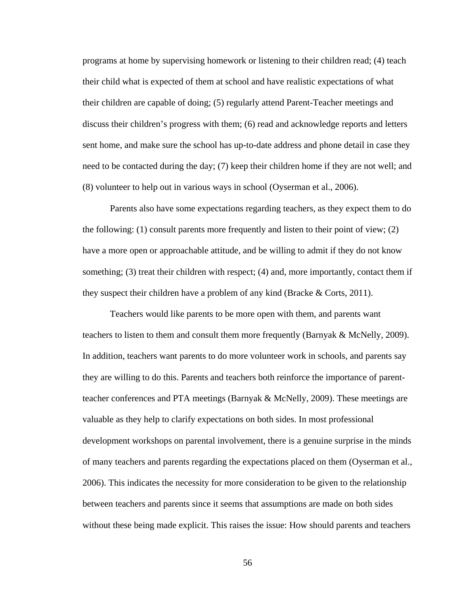programs at home by supervising homework or listening to their children read; (4) teach their child what is expected of them at school and have realistic expectations of what their children are capable of doing; (5) regularly attend Parent-Teacher meetings and discuss their children's progress with them; (6) read and acknowledge reports and letters sent home, and make sure the school has up-to-date address and phone detail in case they need to be contacted during the day; (7) keep their children home if they are not well; and (8) volunteer to help out in various ways in school (Oyserman et al., 2006).

Parents also have some expectations regarding teachers, as they expect them to do the following: (1) consult parents more frequently and listen to their point of view; (2) have a more open or approachable attitude, and be willing to admit if they do not know something; (3) treat their children with respect; (4) and, more importantly, contact them if they suspect their children have a problem of any kind (Bracke  $\&$  Corts, 2011).

Teachers would like parents to be more open with them, and parents want teachers to listen to them and consult them more frequently (Barnyak & McNelly, 2009). In addition, teachers want parents to do more volunteer work in schools, and parents say they are willing to do this. Parents and teachers both reinforce the importance of parentteacher conferences and PTA meetings (Barnyak & McNelly, 2009). These meetings are valuable as they help to clarify expectations on both sides. In most professional development workshops on parental involvement, there is a genuine surprise in the minds of many teachers and parents regarding the expectations placed on them (Oyserman et al., 2006). This indicates the necessity for more consideration to be given to the relationship between teachers and parents since it seems that assumptions are made on both sides without these being made explicit. This raises the issue: How should parents and teachers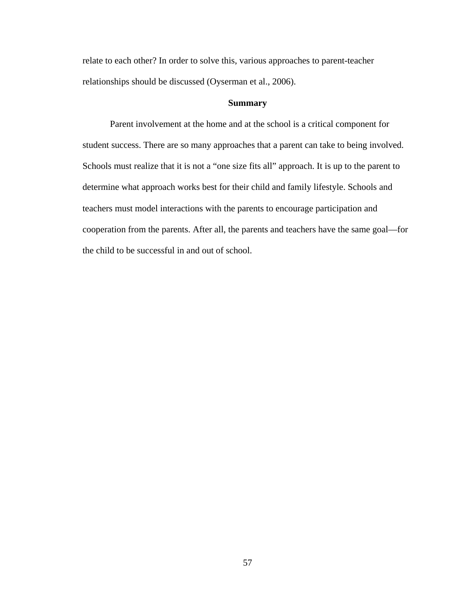relate to each other? In order to solve this, various approaches to parent-teacher relationships should be discussed (Oyserman et al., 2006).

## **Summary**

Parent involvement at the home and at the school is a critical component for student success. There are so many approaches that a parent can take to being involved. Schools must realize that it is not a "one size fits all" approach. It is up to the parent to determine what approach works best for their child and family lifestyle. Schools and teachers must model interactions with the parents to encourage participation and cooperation from the parents. After all, the parents and teachers have the same goal—for the child to be successful in and out of school.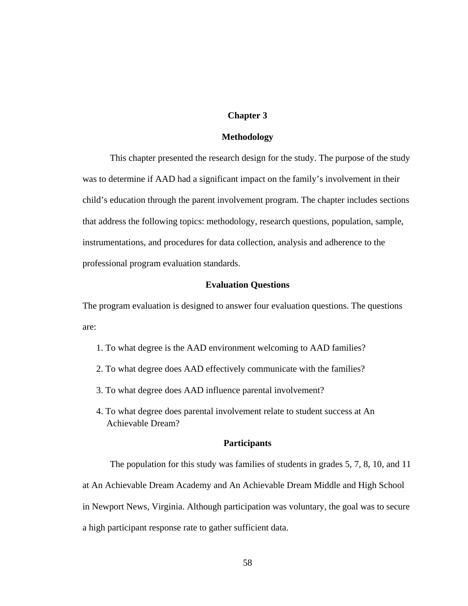## **Chapter 3**

### **Methodology**

This chapter presented the research design for the study. The purpose of the study was to determine if AAD had a significant impact on the family's involvement in their child's education through the parent involvement program. The chapter includes sections that address the following topics: methodology, research questions, population, sample, instrumentations, and procedures for data collection, analysis and adherence to the professional program evaluation standards.

## **Evaluation Questions**

The program evaluation is designed to answer four evaluation questions. The questions are:

- 1. To what degree is the AAD environment welcoming to AAD families?
- 2. To what degree does AAD effectively communicate with the families?
- 3. To what degree does AAD influence parental involvement?
- 4. To what degree does parental involvement relate to student success at An Achievable Dream?

# **Participants**

The population for this study was families of students in grades 5, 7, 8, 10, and 11 at An Achievable Dream Academy and An Achievable Dream Middle and High School in Newport News, Virginia. Although participation was voluntary, the goal was to secure a high participant response rate to gather sufficient data.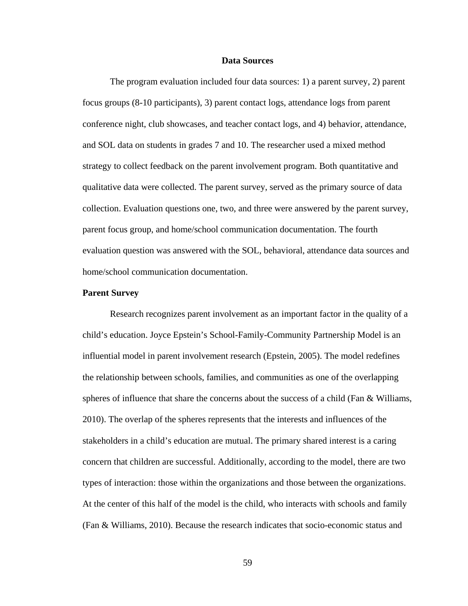#### **Data Sources**

The program evaluation included four data sources: 1) a parent survey, 2) parent focus groups (8-10 participants), 3) parent contact logs, attendance logs from parent conference night, club showcases, and teacher contact logs, and 4) behavior, attendance, and SOL data on students in grades 7 and 10. The researcher used a mixed method strategy to collect feedback on the parent involvement program. Both quantitative and qualitative data were collected. The parent survey, served as the primary source of data collection. Evaluation questions one, two, and three were answered by the parent survey, parent focus group, and home/school communication documentation. The fourth evaluation question was answered with the SOL, behavioral, attendance data sources and home/school communication documentation.

#### **Parent Survey**

Research recognizes parent involvement as an important factor in the quality of a child's education. Joyce Epstein's School-Family-Community Partnership Model is an influential model in parent involvement research (Epstein, 2005). The model redefines the relationship between schools, families, and communities as one of the overlapping spheres of influence that share the concerns about the success of a child (Fan & Williams, 2010). The overlap of the spheres represents that the interests and influences of the stakeholders in a child's education are mutual. The primary shared interest is a caring concern that children are successful. Additionally, according to the model, there are two types of interaction: those within the organizations and those between the organizations. At the center of this half of the model is the child, who interacts with schools and family (Fan & Williams, 2010). Because the research indicates that socio-economic status and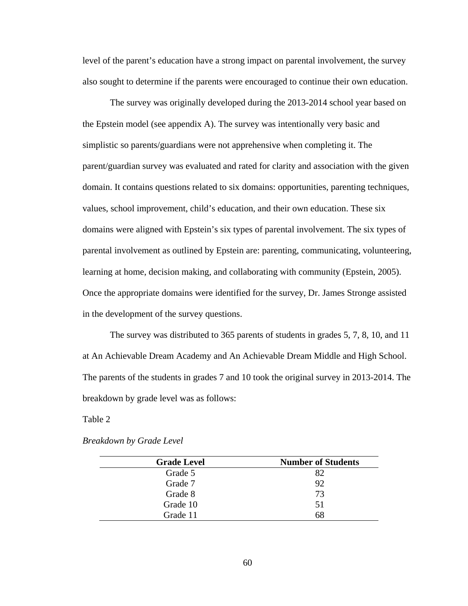level of the parent's education have a strong impact on parental involvement, the survey also sought to determine if the parents were encouraged to continue their own education.

The survey was originally developed during the 2013-2014 school year based on the Epstein model (see appendix A). The survey was intentionally very basic and simplistic so parents/guardians were not apprehensive when completing it. The parent/guardian survey was evaluated and rated for clarity and association with the given domain. It contains questions related to six domains: opportunities, parenting techniques, values, school improvement, child's education, and their own education. These six domains were aligned with Epstein's six types of parental involvement. The six types of parental involvement as outlined by Epstein are: parenting, communicating, volunteering, learning at home, decision making, and collaborating with community (Epstein, 2005). Once the appropriate domains were identified for the survey, Dr. James Stronge assisted in the development of the survey questions.

The survey was distributed to 365 parents of students in grades 5, 7, 8, 10, and 11 at An Achievable Dream Academy and An Achievable Dream Middle and High School. The parents of the students in grades 7 and 10 took the original survey in 2013-2014. The breakdown by grade level was as follows:

Table 2

| <b>Grade Level</b> | <b>Number of Students</b> |
|--------------------|---------------------------|
| Grade 5            | 82                        |
| Grade 7            | 92                        |
| Grade 8            | 73                        |
| Grade 10           | 51                        |
| Grade 11           | 68                        |

*Breakdown by Grade Level*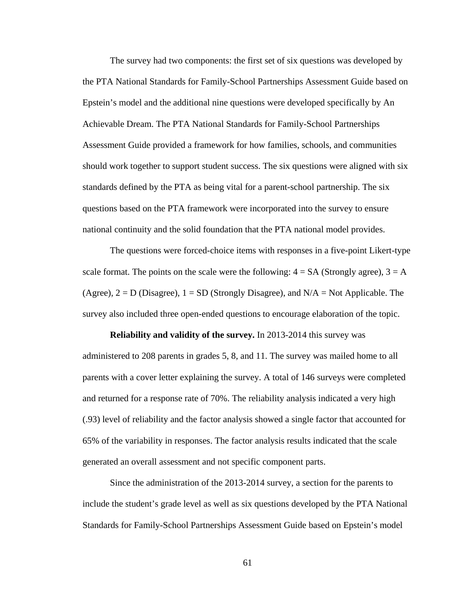The survey had two components: the first set of six questions was developed by the PTA National Standards for Family-School Partnerships Assessment Guide based on Epstein's model and the additional nine questions were developed specifically by An Achievable Dream. The PTA National Standards for Family-School Partnerships Assessment Guide provided a framework for how families, schools, and communities should work together to support student success. The six questions were aligned with six standards defined by the PTA as being vital for a parent-school partnership. The six questions based on the PTA framework were incorporated into the survey to ensure national continuity and the solid foundation that the PTA national model provides.

The questions were forced-choice items with responses in a five-point Likert-type scale format. The points on the scale were the following:  $4 = SA$  (Strongly agree),  $3 = A$ (Agree),  $2 = D$  (Disagree),  $1 = SD$  (Strongly Disagree), and  $N/A = Not$  Applicable. The survey also included three open-ended questions to encourage elaboration of the topic.

**Reliability and validity of the survey.** In 2013-2014 this survey was administered to 208 parents in grades 5, 8, and 11. The survey was mailed home to all parents with a cover letter explaining the survey. A total of 146 surveys were completed and returned for a response rate of 70%. The reliability analysis indicated a very high (.93) level of reliability and the factor analysis showed a single factor that accounted for 65% of the variability in responses. The factor analysis results indicated that the scale generated an overall assessment and not specific component parts.

Since the administration of the 2013-2014 survey, a section for the parents to include the student's grade level as well as six questions developed by the PTA National Standards for Family-School Partnerships Assessment Guide based on Epstein's model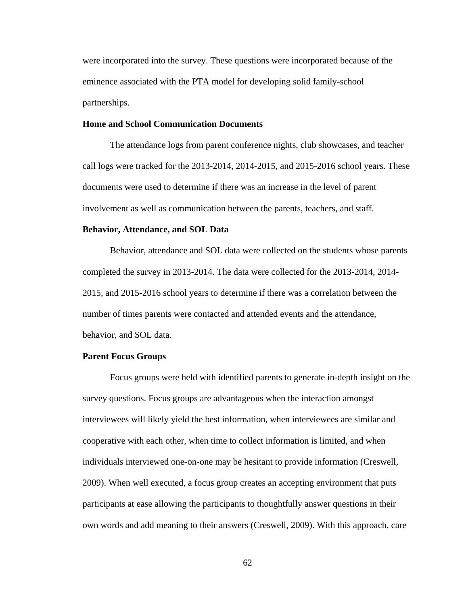were incorporated into the survey. These questions were incorporated because of the eminence associated with the PTA model for developing solid family-school partnerships.

## **Home and School Communication Documents**

The attendance logs from parent conference nights, club showcases, and teacher call logs were tracked for the 2013-2014, 2014-2015, and 2015-2016 school years. These documents were used to determine if there was an increase in the level of parent involvement as well as communication between the parents, teachers, and staff.

#### **Behavior, Attendance, and SOL Data**

Behavior, attendance and SOL data were collected on the students whose parents completed the survey in 2013-2014. The data were collected for the 2013-2014, 2014- 2015, and 2015-2016 school years to determine if there was a correlation between the number of times parents were contacted and attended events and the attendance, behavior, and SOL data.

#### **Parent Focus Groups**

Focus groups were held with identified parents to generate in-depth insight on the survey questions. Focus groups are advantageous when the interaction amongst interviewees will likely yield the best information, when interviewees are similar and cooperative with each other, when time to collect information is limited, and when individuals interviewed one-on-one may be hesitant to provide information (Creswell, 2009). When well executed, a focus group creates an accepting environment that puts participants at ease allowing the participants to thoughtfully answer questions in their own words and add meaning to their answers (Creswell, 2009). With this approach, care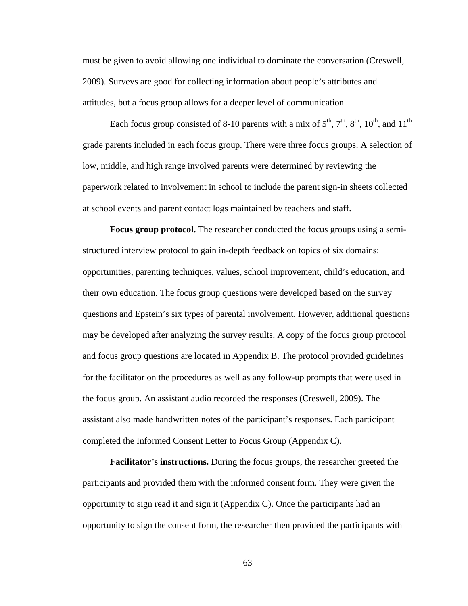must be given to avoid allowing one individual to dominate the conversation (Creswell, 2009). Surveys are good for collecting information about people's attributes and attitudes, but a focus group allows for a deeper level of communication.

Each focus group consisted of 8-10 parents with a mix of  $5<sup>th</sup>$ ,  $7<sup>th</sup>$ ,  $8<sup>th</sup>$ ,  $10<sup>th</sup>$ , and  $11<sup>th</sup>$ grade parents included in each focus group. There were three focus groups. A selection of low, middle, and high range involved parents were determined by reviewing the paperwork related to involvement in school to include the parent sign-in sheets collected at school events and parent contact logs maintained by teachers and staff.

**Focus group protocol.** The researcher conducted the focus groups using a semistructured interview protocol to gain in-depth feedback on topics of six domains: opportunities, parenting techniques, values, school improvement, child's education, and their own education. The focus group questions were developed based on the survey questions and Epstein's six types of parental involvement. However, additional questions may be developed after analyzing the survey results. A copy of the focus group protocol and focus group questions are located in Appendix B. The protocol provided guidelines for the facilitator on the procedures as well as any follow-up prompts that were used in the focus group. An assistant audio recorded the responses (Creswell, 2009). The assistant also made handwritten notes of the participant's responses. Each participant completed the Informed Consent Letter to Focus Group (Appendix C).

**Facilitator's instructions.** During the focus groups, the researcher greeted the participants and provided them with the informed consent form. They were given the opportunity to sign read it and sign it (Appendix C). Once the participants had an opportunity to sign the consent form, the researcher then provided the participants with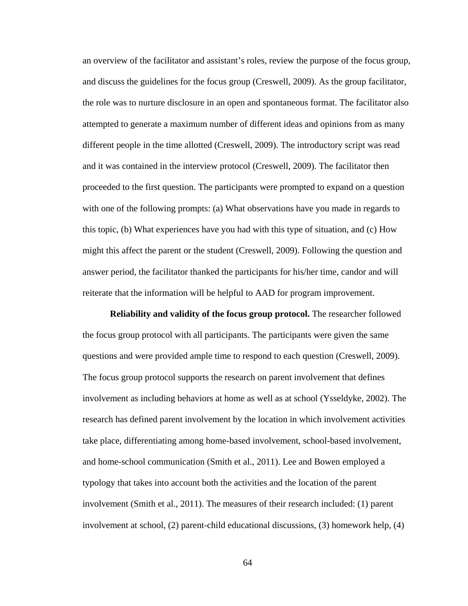an overview of the facilitator and assistant's roles, review the purpose of the focus group, and discuss the guidelines for the focus group (Creswell, 2009). As the group facilitator, the role was to nurture disclosure in an open and spontaneous format. The facilitator also attempted to generate a maximum number of different ideas and opinions from as many different people in the time allotted (Creswell, 2009). The introductory script was read and it was contained in the interview protocol (Creswell, 2009). The facilitator then proceeded to the first question. The participants were prompted to expand on a question with one of the following prompts: (a) What observations have you made in regards to this topic, (b) What experiences have you had with this type of situation, and (c) How might this affect the parent or the student (Creswell, 2009). Following the question and answer period, the facilitator thanked the participants for his/her time, candor and will reiterate that the information will be helpful to AAD for program improvement.

**Reliability and validity of the focus group protocol.** The researcher followed the focus group protocol with all participants. The participants were given the same questions and were provided ample time to respond to each question (Creswell, 2009). The focus group protocol supports the research on parent involvement that defines involvement as including behaviors at home as well as at school (Ysseldyke, 2002). The research has defined parent involvement by the location in which involvement activities take place, differentiating among home-based involvement, school-based involvement, and home-school communication (Smith et al., 2011). Lee and Bowen employed a typology that takes into account both the activities and the location of the parent involvement (Smith et al., 2011). The measures of their research included: (1) parent involvement at school, (2) parent-child educational discussions, (3) homework help, (4)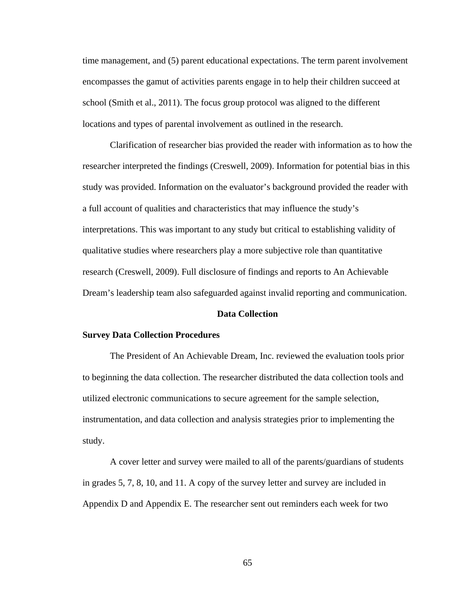time management, and (5) parent educational expectations. The term parent involvement encompasses the gamut of activities parents engage in to help their children succeed at school (Smith et al., 2011). The focus group protocol was aligned to the different locations and types of parental involvement as outlined in the research.

Clarification of researcher bias provided the reader with information as to how the researcher interpreted the findings (Creswell, 2009). Information for potential bias in this study was provided. Information on the evaluator's background provided the reader with a full account of qualities and characteristics that may influence the study's interpretations. This was important to any study but critical to establishing validity of qualitative studies where researchers play a more subjective role than quantitative research (Creswell, 2009). Full disclosure of findings and reports to An Achievable Dream's leadership team also safeguarded against invalid reporting and communication.

#### **Data Collection**

#### **Survey Data Collection Procedures**

The President of An Achievable Dream, Inc. reviewed the evaluation tools prior to beginning the data collection. The researcher distributed the data collection tools and utilized electronic communications to secure agreement for the sample selection, instrumentation, and data collection and analysis strategies prior to implementing the study.

A cover letter and survey were mailed to all of the parents/guardians of students in grades 5, 7, 8, 10, and 11. A copy of the survey letter and survey are included in Appendix D and Appendix E. The researcher sent out reminders each week for two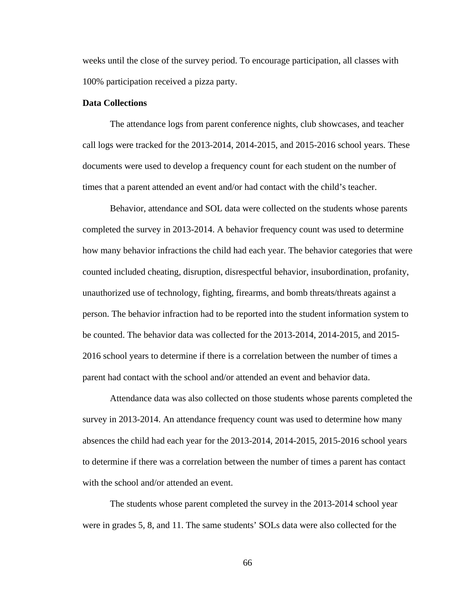weeks until the close of the survey period. To encourage participation, all classes with 100% participation received a pizza party.

# **Data Collections**

The attendance logs from parent conference nights, club showcases, and teacher call logs were tracked for the 2013-2014, 2014-2015, and 2015-2016 school years. These documents were used to develop a frequency count for each student on the number of times that a parent attended an event and/or had contact with the child's teacher.

Behavior, attendance and SOL data were collected on the students whose parents completed the survey in 2013-2014. A behavior frequency count was used to determine how many behavior infractions the child had each year. The behavior categories that were counted included cheating, disruption, disrespectful behavior, insubordination, profanity, unauthorized use of technology, fighting, firearms, and bomb threats/threats against a person. The behavior infraction had to be reported into the student information system to be counted. The behavior data was collected for the 2013-2014, 2014-2015, and 2015- 2016 school years to determine if there is a correlation between the number of times a parent had contact with the school and/or attended an event and behavior data.

Attendance data was also collected on those students whose parents completed the survey in 2013-2014. An attendance frequency count was used to determine how many absences the child had each year for the 2013-2014, 2014-2015, 2015-2016 school years to determine if there was a correlation between the number of times a parent has contact with the school and/or attended an event.

The students whose parent completed the survey in the 2013-2014 school year were in grades 5, 8, and 11. The same students' SOLs data were also collected for the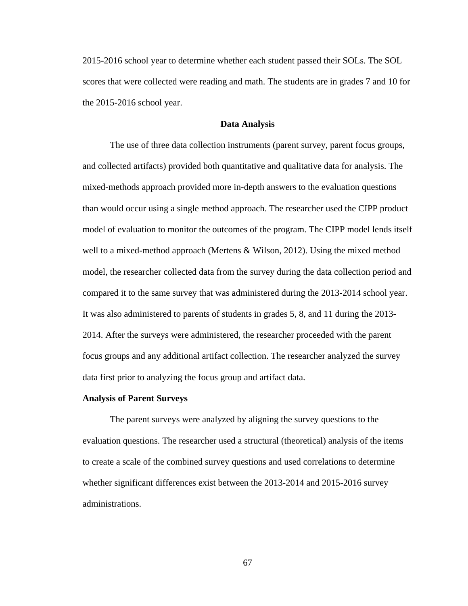2015-2016 school year to determine whether each student passed their SOLs. The SOL scores that were collected were reading and math. The students are in grades 7 and 10 for the 2015-2016 school year.

#### **Data Analysis**

The use of three data collection instruments (parent survey, parent focus groups, and collected artifacts) provided both quantitative and qualitative data for analysis. The mixed-methods approach provided more in-depth answers to the evaluation questions than would occur using a single method approach. The researcher used the CIPP product model of evaluation to monitor the outcomes of the program. The CIPP model lends itself well to a mixed-method approach (Mertens & Wilson, 2012). Using the mixed method model, the researcher collected data from the survey during the data collection period and compared it to the same survey that was administered during the 2013-2014 school year. It was also administered to parents of students in grades 5, 8, and 11 during the 2013- 2014. After the surveys were administered, the researcher proceeded with the parent focus groups and any additional artifact collection. The researcher analyzed the survey data first prior to analyzing the focus group and artifact data.

#### **Analysis of Parent Surveys**

The parent surveys were analyzed by aligning the survey questions to the evaluation questions. The researcher used a structural (theoretical) analysis of the items to create a scale of the combined survey questions and used correlations to determine whether significant differences exist between the 2013-2014 and 2015-2016 survey administrations.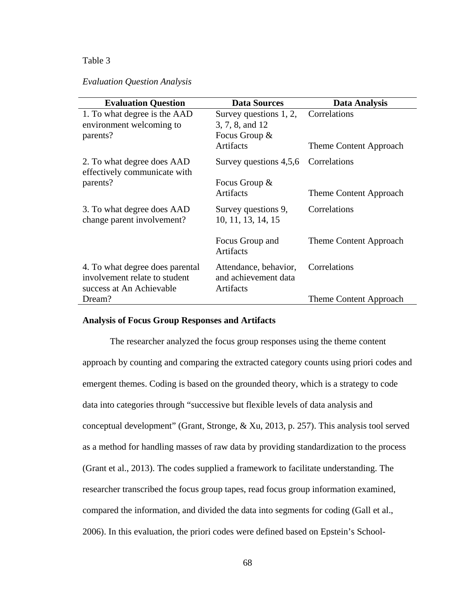# *Evaluation Question Analysis*

| <b>Evaluation Question</b>                                                                   | <b>Data Sources</b>                                        | Data Analysis          |
|----------------------------------------------------------------------------------------------|------------------------------------------------------------|------------------------|
| 1. To what degree is the AAD                                                                 | Survey questions 1, 2,                                     | Correlations           |
| environment welcoming to                                                                     | 3, 7, 8, and 12                                            |                        |
| parents?                                                                                     | Focus Group &                                              |                        |
|                                                                                              | Artifacts                                                  | Theme Content Approach |
| 2. To what degree does AAD<br>effectively communicate with                                   | Survey questions 4,5,6                                     | Correlations           |
| parents?                                                                                     | Focus Group $\&$                                           |                        |
|                                                                                              | Artifacts                                                  | Theme Content Approach |
| 3. To what degree does AAD<br>change parent involvement?                                     | Survey questions 9,<br>10, 11, 13, 14, 15                  | Correlations           |
|                                                                                              | Focus Group and<br>Artifacts                               | Theme Content Approach |
| 4. To what degree does parental<br>involvement relate to student<br>success at An Achievable | Attendance, behavior,<br>and achievement data<br>Artifacts | Correlations           |
| Dream?                                                                                       |                                                            | Theme Content Approach |

# **Analysis of Focus Group Responses and Artifacts**

The researcher analyzed the focus group responses using the theme content approach by counting and comparing the extracted category counts using priori codes and emergent themes. Coding is based on the grounded theory, which is a strategy to code data into categories through "successive but flexible levels of data analysis and conceptual development" (Grant, Stronge, & Xu, 2013, p. 257). This analysis tool served as a method for handling masses of raw data by providing standardization to the process (Grant et al., 2013). The codes supplied a framework to facilitate understanding. The researcher transcribed the focus group tapes, read focus group information examined, compared the information, and divided the data into segments for coding (Gall et al., 2006). In this evaluation, the priori codes were defined based on Epstein's School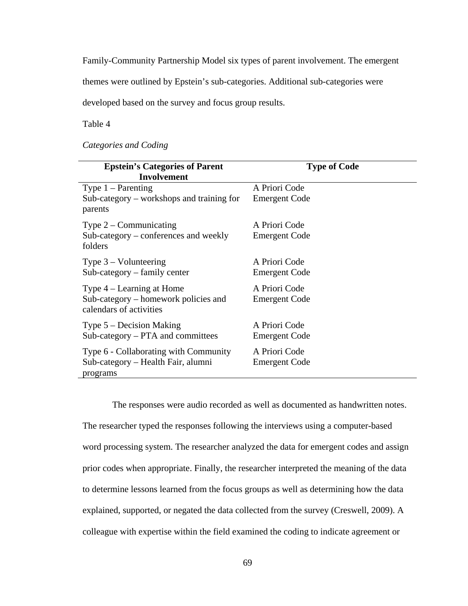Family-Community Partnership Model six types of parent involvement. The emergent

themes were outlined by Epstein's sub-categories. Additional sub-categories were

developed based on the survey and focus group results.

Table 4

*Categories and Coding*

| <b>Epstein's Categories of Parent</b><br><b>Involvement</b>     | <b>Type of Code</b>  |
|-----------------------------------------------------------------|----------------------|
| Type $1 -$ Parenting                                            | A Priori Code        |
| $Sub-category - workshops$ and training for<br>parents          | <b>Emergent Code</b> |
| Type $2$ – Communicating                                        | A Priori Code        |
| Sub-category – conferences and weekly<br>folders                | <b>Emergent Code</b> |
| Type $3 -$ Volunteering                                         | A Priori Code        |
| $Sub\text{-category}$ – family center                           | <b>Emergent Code</b> |
| Type $4$ – Learning at Home                                     | A Priori Code        |
| Sub-category – homework policies and<br>calendars of activities | <b>Emergent Code</b> |
| Type $5$ – Decision Making                                      | A Priori Code        |
| $Sub-categy - PTA$ and committees                               | <b>Emergent Code</b> |
| Type 6 - Collaborating with Community                           | A Priori Code        |
| Sub-category – Health Fair, alumni<br>programs                  | <b>Emergent Code</b> |

The responses were audio recorded as well as documented as handwritten notes. The researcher typed the responses following the interviews using a computer-based word processing system. The researcher analyzed the data for emergent codes and assign prior codes when appropriate. Finally, the researcher interpreted the meaning of the data to determine lessons learned from the focus groups as well as determining how the data explained, supported, or negated the data collected from the survey (Creswell, 2009). A colleague with expertise within the field examined the coding to indicate agreement or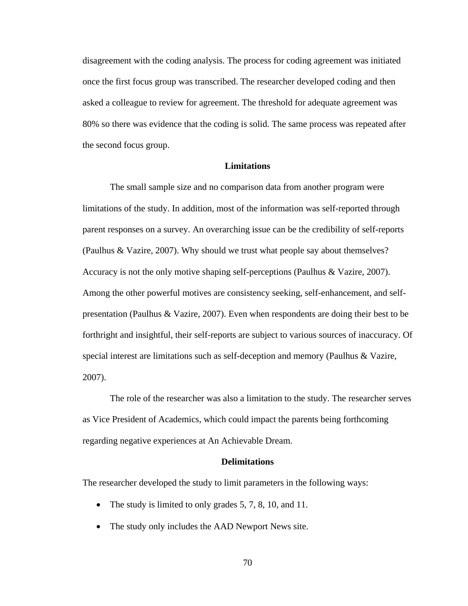disagreement with the coding analysis. The process for coding agreement was initiated once the first focus group was transcribed. The researcher developed coding and then asked a colleague to review for agreement. The threshold for adequate agreement was 80% so there was evidence that the coding is solid. The same process was repeated after the second focus group.

## **Limitations**

The small sample size and no comparison data from another program were limitations of the study. In addition, most of the information was self-reported through parent responses on a survey. An overarching issue can be the credibility of self-reports (Paulhus & Vazire, 2007). Why should we trust what people say about themselves? Accuracy is not the only motive shaping self-perceptions (Paulhus & Vazire, 2007). Among the other powerful motives are consistency seeking, self-enhancement, and selfpresentation (Paulhus & Vazire, 2007). Even when respondents are doing their best to be forthright and insightful, their self-reports are subject to various sources of inaccuracy. Of special interest are limitations such as self-deception and memory (Paulhus & Vazire, 2007).

The role of the researcher was also a limitation to the study. The researcher serves as Vice President of Academics, which could impact the parents being forthcoming regarding negative experiences at An Achievable Dream.

## **Delimitations**

The researcher developed the study to limit parameters in the following ways:

- The study is limited to only grades 5, 7, 8, 10, and 11.
- The study only includes the AAD Newport News site.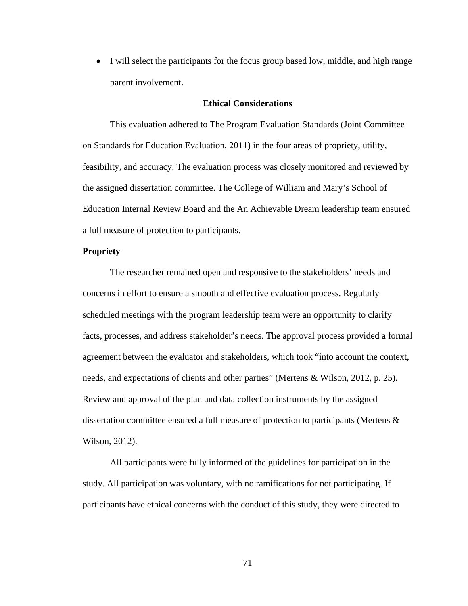• I will select the participants for the focus group based low, middle, and high range parent involvement.

### **Ethical Considerations**

This evaluation adhered to The Program Evaluation Standards (Joint Committee on Standards for Education Evaluation, 2011) in the four areas of propriety, utility, feasibility, and accuracy. The evaluation process was closely monitored and reviewed by the assigned dissertation committee. The College of William and Mary's School of Education Internal Review Board and the An Achievable Dream leadership team ensured a full measure of protection to participants.

# **Propriety**

The researcher remained open and responsive to the stakeholders' needs and concerns in effort to ensure a smooth and effective evaluation process. Regularly scheduled meetings with the program leadership team were an opportunity to clarify facts, processes, and address stakeholder's needs. The approval process provided a formal agreement between the evaluator and stakeholders, which took "into account the context, needs, and expectations of clients and other parties" (Mertens & Wilson, 2012, p. 25). Review and approval of the plan and data collection instruments by the assigned dissertation committee ensured a full measure of protection to participants (Mertens & Wilson, 2012).

All participants were fully informed of the guidelines for participation in the study. All participation was voluntary, with no ramifications for not participating. If participants have ethical concerns with the conduct of this study, they were directed to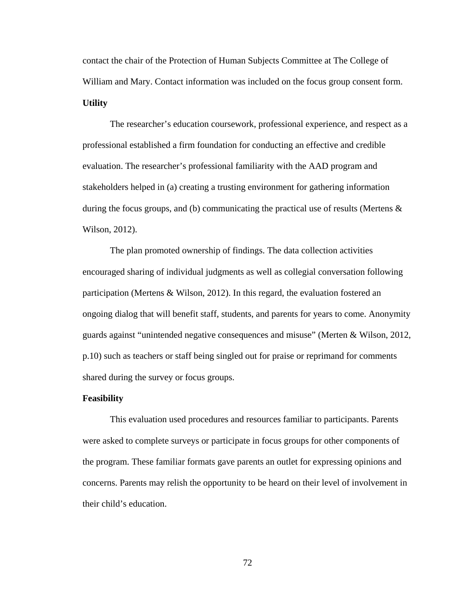contact the chair of the Protection of Human Subjects Committee at The College of William and Mary. Contact information was included on the focus group consent form. **Utility**

The researcher's education coursework, professional experience, and respect as a professional established a firm foundation for conducting an effective and credible evaluation. The researcher's professional familiarity with the AAD program and stakeholders helped in (a) creating a trusting environment for gathering information during the focus groups, and (b) communicating the practical use of results (Mertens  $\&$ Wilson, 2012).

The plan promoted ownership of findings. The data collection activities encouraged sharing of individual judgments as well as collegial conversation following participation (Mertens & Wilson, 2012). In this regard, the evaluation fostered an ongoing dialog that will benefit staff, students, and parents for years to come. Anonymity guards against "unintended negative consequences and misuse" (Merten & Wilson, 2012, p.10) such as teachers or staff being singled out for praise or reprimand for comments shared during the survey or focus groups.

#### **Feasibility**

This evaluation used procedures and resources familiar to participants. Parents were asked to complete surveys or participate in focus groups for other components of the program. These familiar formats gave parents an outlet for expressing opinions and concerns. Parents may relish the opportunity to be heard on their level of involvement in their child's education.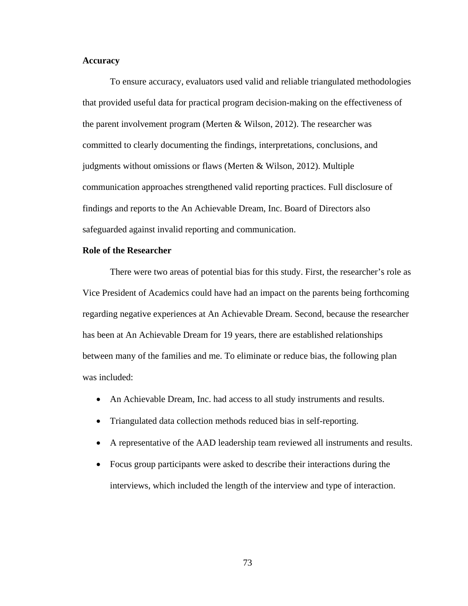# **Accuracy**

To ensure accuracy, evaluators used valid and reliable triangulated methodologies that provided useful data for practical program decision-making on the effectiveness of the parent involvement program (Merten  $\&$  Wilson, 2012). The researcher was committed to clearly documenting the findings, interpretations, conclusions, and judgments without omissions or flaws (Merten & Wilson, 2012). Multiple communication approaches strengthened valid reporting practices. Full disclosure of findings and reports to the An Achievable Dream, Inc. Board of Directors also safeguarded against invalid reporting and communication.

## **Role of the Researcher**

There were two areas of potential bias for this study. First, the researcher's role as Vice President of Academics could have had an impact on the parents being forthcoming regarding negative experiences at An Achievable Dream. Second, because the researcher has been at An Achievable Dream for 19 years, there are established relationships between many of the families and me. To eliminate or reduce bias, the following plan was included:

- An Achievable Dream, Inc. had access to all study instruments and results.
- Triangulated data collection methods reduced bias in self-reporting.
- A representative of the AAD leadership team reviewed all instruments and results.
- Focus group participants were asked to describe their interactions during the interviews, which included the length of the interview and type of interaction.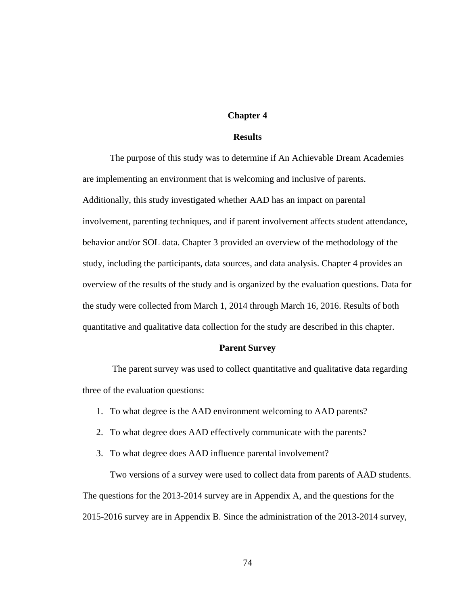# **Chapter 4**

## **Results**

The purpose of this study was to determine if An Achievable Dream Academies are implementing an environment that is welcoming and inclusive of parents. Additionally, this study investigated whether AAD has an impact on parental involvement, parenting techniques, and if parent involvement affects student attendance, behavior and/or SOL data. Chapter 3 provided an overview of the methodology of the study, including the participants, data sources, and data analysis. Chapter 4 provides an overview of the results of the study and is organized by the evaluation questions. Data for the study were collected from March 1, 2014 through March 16, 2016. Results of both quantitative and qualitative data collection for the study are described in this chapter.

# **Parent Survey**

The parent survey was used to collect quantitative and qualitative data regarding three of the evaluation questions:

- 1. To what degree is the AAD environment welcoming to AAD parents?
- 2. To what degree does AAD effectively communicate with the parents?
- 3. To what degree does AAD influence parental involvement?

Two versions of a survey were used to collect data from parents of AAD students. The questions for the 2013-2014 survey are in Appendix A, and the questions for the 2015-2016 survey are in Appendix B. Since the administration of the 2013-2014 survey,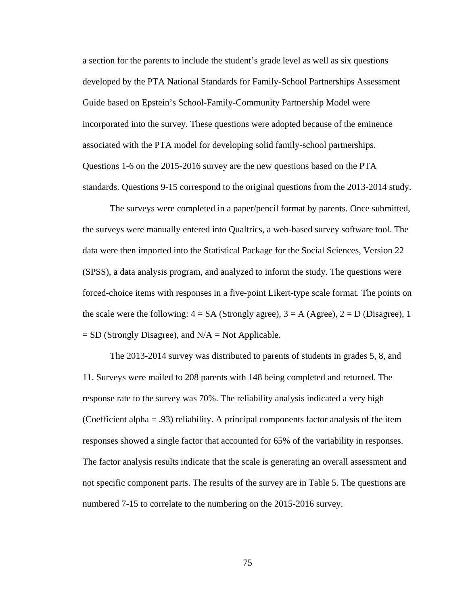a section for the parents to include the student's grade level as well as six questions developed by the PTA National Standards for Family-School Partnerships Assessment Guide based on Epstein's School-Family-Community Partnership Model were incorporated into the survey. These questions were adopted because of the eminence associated with the PTA model for developing solid family-school partnerships. Questions 1-6 on the 2015-2016 survey are the new questions based on the PTA standards. Questions 9-15 correspond to the original questions from the 2013-2014 study.

The surveys were completed in a paper/pencil format by parents. Once submitted, the surveys were manually entered into Qualtrics, a web-based survey software tool. The data were then imported into the Statistical Package for the Social Sciences, Version 22 (SPSS), a data analysis program, and analyzed to inform the study. The questions were forced-choice items with responses in a five-point Likert-type scale format. The points on the scale were the following:  $4 = SA$  (Strongly agree),  $3 = A$  (Agree),  $2 = D$  (Disagree), 1  $=$  SD (Strongly Disagree), and N/A  $=$  Not Applicable.

The 2013-2014 survey was distributed to parents of students in grades 5, 8, and 11. Surveys were mailed to 208 parents with 148 being completed and returned. The response rate to the survey was 70%. The reliability analysis indicated a very high (Coefficient alpha = .93) reliability. A principal components factor analysis of the item responses showed a single factor that accounted for 65% of the variability in responses. The factor analysis results indicate that the scale is generating an overall assessment and not specific component parts. The results of the survey are in Table 5. The questions are numbered 7-15 to correlate to the numbering on the 2015-2016 survey.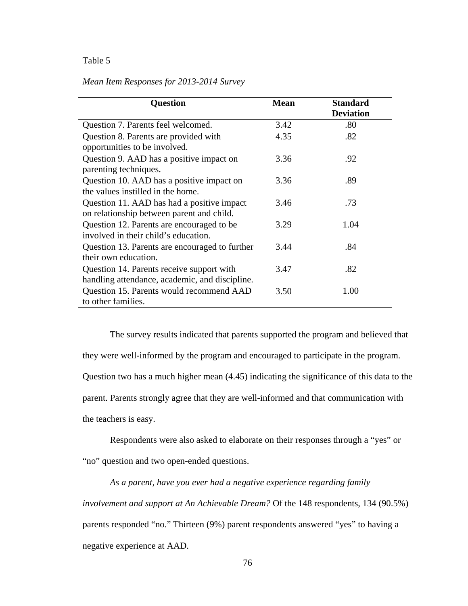# *Mean Item Responses for 2013-2014 Survey*

| <b>Question</b>                                | <b>Mean</b> | <b>Standard</b>  |
|------------------------------------------------|-------------|------------------|
|                                                |             | <b>Deviation</b> |
| Question 7. Parents feel welcomed.             | 3.42        | .80              |
| Question 8. Parents are provided with          | 4.35        | .82              |
| opportunities to be involved.                  |             |                  |
| Question 9. AAD has a positive impact on       | 3.36        | .92              |
| parenting techniques.                          |             |                  |
| Question 10. AAD has a positive impact on      | 3.36        | .89              |
| the values instilled in the home.              |             |                  |
| Question 11. AAD has had a positive impact     | 3.46        | .73              |
| on relationship between parent and child.      |             |                  |
| Question 12. Parents are encouraged to be      | 3.29        | 1.04             |
| involved in their child's education.           |             |                  |
| Question 13. Parents are encouraged to further | 3.44        | .84              |
| their own education.                           |             |                  |
| Question 14. Parents receive support with      | 3.47        | .82              |
| handling attendance, academic, and discipline. |             |                  |
| Question 15. Parents would recommend AAD       | 3.50        | 1.00             |
| to other families.                             |             |                  |

The survey results indicated that parents supported the program and believed that they were well-informed by the program and encouraged to participate in the program. Question two has a much higher mean (4.45) indicating the significance of this data to the parent. Parents strongly agree that they are well-informed and that communication with the teachers is easy.

Respondents were also asked to elaborate on their responses through a "yes" or "no" question and two open-ended questions.

*As a parent, have you ever had a negative experience regarding family involvement and support at An Achievable Dream?* Of the 148 respondents, 134 (90.5%) parents responded "no." Thirteen (9%) parent respondents answered "yes" to having a negative experience at AAD.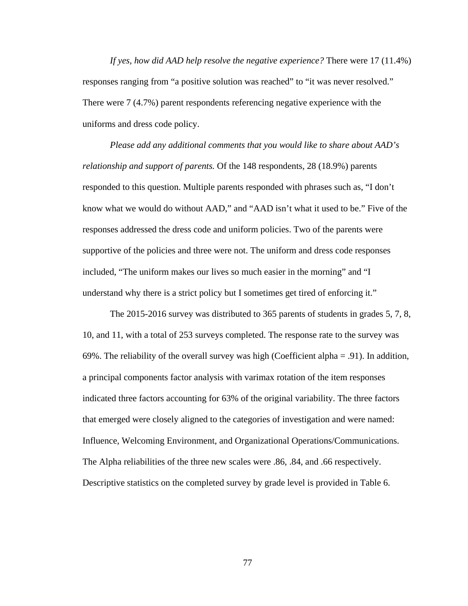*If yes, how did AAD help resolve the negative experience?* There were 17 (11.4%) responses ranging from "a positive solution was reached" to "it was never resolved." There were 7 (4.7%) parent respondents referencing negative experience with the uniforms and dress code policy.

*Please add any additional comments that you would like to share about AAD's relationship and support of parents.* Of the 148 respondents, 28 (18.9%) parents responded to this question. Multiple parents responded with phrases such as, "I don't know what we would do without AAD," and "AAD isn't what it used to be." Five of the responses addressed the dress code and uniform policies. Two of the parents were supportive of the policies and three were not. The uniform and dress code responses included, "The uniform makes our lives so much easier in the morning" and "I understand why there is a strict policy but I sometimes get tired of enforcing it."

The 2015-2016 survey was distributed to 365 parents of students in grades 5, 7, 8, 10, and 11, with a total of 253 surveys completed. The response rate to the survey was 69%. The reliability of the overall survey was high (Coefficient alpha = .91). In addition, a principal components factor analysis with varimax rotation of the item responses indicated three factors accounting for 63% of the original variability. The three factors that emerged were closely aligned to the categories of investigation and were named: Influence, Welcoming Environment, and Organizational Operations/Communications. The Alpha reliabilities of the three new scales were .86, .84, and .66 respectively. Descriptive statistics on the completed survey by grade level is provided in Table 6.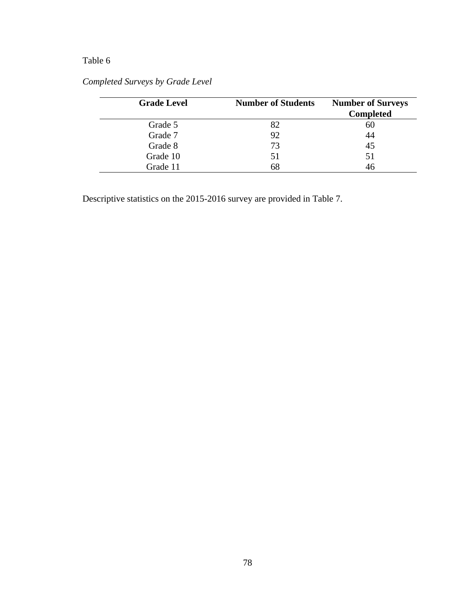| <b>Grade Level</b> | <b>Number of Students</b> | <b>Number of Surveys</b><br><b>Completed</b> |
|--------------------|---------------------------|----------------------------------------------|
| Grade 5            | 82                        | 60                                           |
| Grade 7            | 92                        | 44                                           |
| Grade 8            | 73                        | 45                                           |
| Grade 10           | 51                        | 51                                           |
| Grade 11           | 68                        | 46                                           |

# *Completed Surveys by Grade Level*

Descriptive statistics on the 2015-2016 survey are provided in Table 7.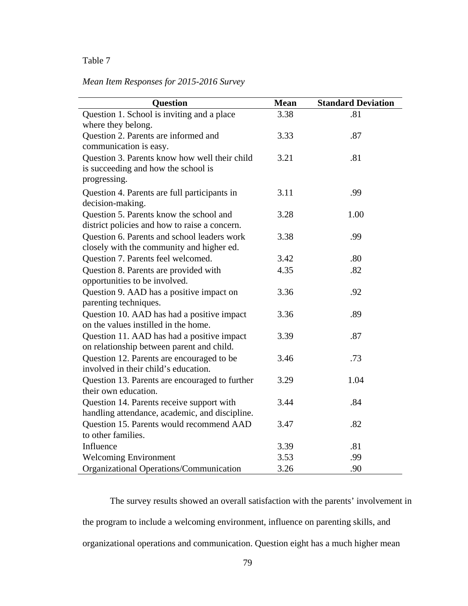# *Mean Item Responses for 2015-2016 Survey*

| <b>Question</b>                                | <b>Mean</b> | <b>Standard Deviation</b> |
|------------------------------------------------|-------------|---------------------------|
| Question 1. School is inviting and a place     | 3.38        | .81                       |
| where they belong.                             |             |                           |
| Question 2. Parents are informed and           | 3.33        | .87                       |
| communication is easy.                         |             |                           |
| Question 3. Parents know how well their child  | 3.21        | .81                       |
| is succeeding and how the school is            |             |                           |
| progressing.                                   |             |                           |
| Question 4. Parents are full participants in   | 3.11        | .99                       |
| decision-making.                               |             |                           |
| Question 5. Parents know the school and        | 3.28        | 1.00                      |
| district policies and how to raise a concern.  |             |                           |
| Question 6. Parents and school leaders work    | 3.38        | .99                       |
| closely with the community and higher ed.      |             |                           |
| Question 7. Parents feel welcomed.             | 3.42        | .80                       |
| Question 8. Parents are provided with          | 4.35        | .82                       |
| opportunities to be involved.                  |             |                           |
| Question 9. AAD has a positive impact on       | 3.36        | .92                       |
| parenting techniques.                          |             |                           |
| Question 10. AAD has had a positive impact     | 3.36        | .89                       |
| on the values instilled in the home.           |             |                           |
| Question 11. AAD has had a positive impact     | 3.39        | .87                       |
| on relationship between parent and child.      |             |                           |
| Question 12. Parents are encouraged to be      | 3.46        | .73                       |
| involved in their child's education.           |             |                           |
| Question 13. Parents are encouraged to further | 3.29        | 1.04                      |
| their own education.                           |             |                           |
| Question 14. Parents receive support with      | 3.44        | .84                       |
| handling attendance, academic, and discipline. |             |                           |
| Question 15. Parents would recommend AAD       | 3.47        | .82                       |
| to other families.                             |             |                           |
| Influence                                      | 3.39        | .81                       |
| <b>Welcoming Environment</b>                   | 3.53        | .99                       |
| Organizational Operations/Communication        | 3.26        | .90                       |

The survey results showed an overall satisfaction with the parents' involvement in the program to include a welcoming environment, influence on parenting skills, and organizational operations and communication. Question eight has a much higher mean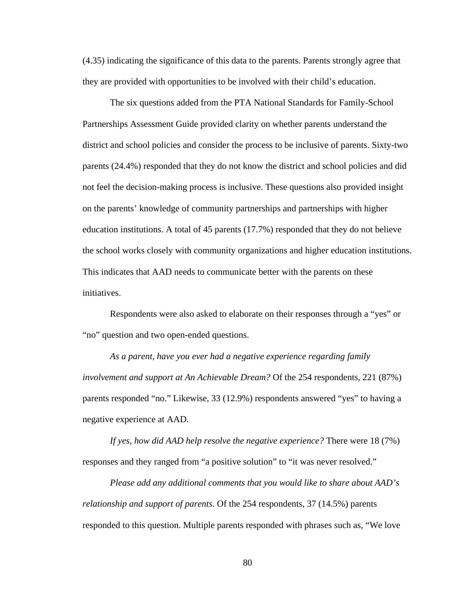(4.35) indicating the significance of this data to the parents. Parents strongly agree that they are provided with opportunities to be involved with their child's education.

The six questions added from the PTA National Standards for Family-School Partnerships Assessment Guide provided clarity on whether parents understand the district and school policies and consider the process to be inclusive of parents. Sixty-two parents (24.4%) responded that they do not know the district and school policies and did not feel the decision-making process is inclusive. These questions also provided insight on the parents' knowledge of community partnerships and partnerships with higher education institutions. A total of 45 parents (17.7%) responded that they do not believe the school works closely with community organizations and higher education institutions. This indicates that AAD needs to communicate better with the parents on these initiatives.

Respondents were also asked to elaborate on their responses through a "yes" or "no" question and two open-ended questions.

*As a parent, have you ever had a negative experience regarding family involvement and support at An Achievable Dream?* Of the 254 respondents, 221 (87%) parents responded "no." Likewise, 33 (12.9%) respondents answered "yes" to having a negative experience at AAD.

*If yes, how did AAD help resolve the negative experience?* There were 18 (7%) responses and they ranged from "a positive solution" to "it was never resolved."

*Please add any additional comments that you would like to share about AAD's relationship and support of parents.* Of the 254 respondents, 37 (14.5%) parents responded to this question. Multiple parents responded with phrases such as, "We love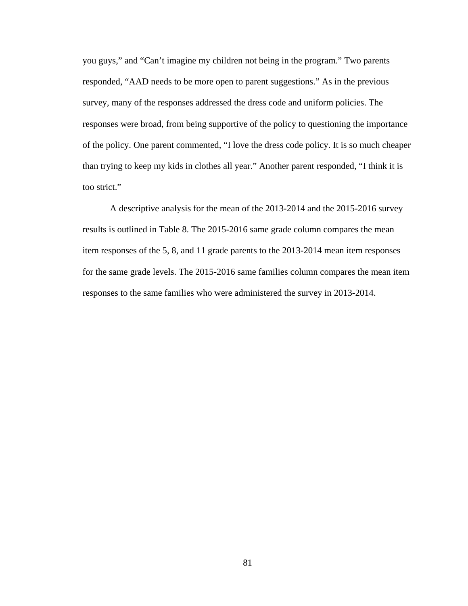you guys," and "Can't imagine my children not being in the program." Two parents responded, "AAD needs to be more open to parent suggestions." As in the previous survey, many of the responses addressed the dress code and uniform policies. The responses were broad, from being supportive of the policy to questioning the importance of the policy. One parent commented, "I love the dress code policy. It is so much cheaper than trying to keep my kids in clothes all year." Another parent responded, "I think it is too strict."

A descriptive analysis for the mean of the 2013-2014 and the 2015-2016 survey results is outlined in Table 8. The 2015-2016 same grade column compares the mean item responses of the 5, 8, and 11 grade parents to the 2013-2014 mean item responses for the same grade levels. The 2015-2016 same families column compares the mean item responses to the same families who were administered the survey in 2013-2014.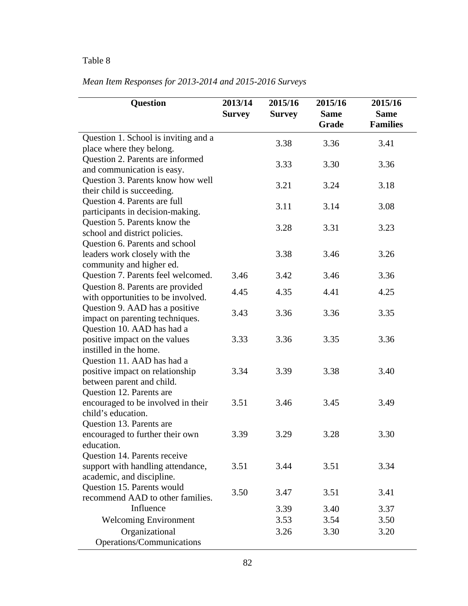| <b>Question</b>                                                                                | 2013/14<br><b>Survey</b> | 2015/16<br><b>Survey</b> | 2015/16<br><b>Same</b><br>Grade | 2015/16<br><b>Same</b><br><b>Families</b> |
|------------------------------------------------------------------------------------------------|--------------------------|--------------------------|---------------------------------|-------------------------------------------|
| Question 1. School is inviting and a<br>place where they belong.                               |                          | 3.38                     | 3.36                            | 3.41                                      |
| Question 2. Parents are informed<br>and communication is easy.                                 |                          | 3.33                     | 3.30                            | 3.36                                      |
| Question 3. Parents know how well<br>their child is succeeding.                                |                          | 3.21                     | 3.24                            | 3.18                                      |
| Question 4. Parents are full<br>participants in decision-making.                               |                          | 3.11                     | 3.14                            | 3.08                                      |
| Question 5. Parents know the<br>school and district policies.                                  |                          | 3.28                     | 3.31                            | 3.23                                      |
| Question 6. Parents and school<br>leaders work closely with the<br>community and higher ed.    |                          | 3.38                     | 3.46                            | 3.26                                      |
| Question 7. Parents feel welcomed.                                                             | 3.46                     | 3.42                     | 3.46                            | 3.36                                      |
| Question 8. Parents are provided<br>with opportunities to be involved.                         | 4.45                     | 4.35                     | 4.41                            | 4.25                                      |
| Question 9. AAD has a positive<br>impact on parenting techniques.                              | 3.43                     | 3.36                     | 3.36                            | 3.35                                      |
| Question 10. AAD has had a<br>positive impact on the values<br>instilled in the home.          | 3.33                     | 3.36                     | 3.35                            | 3.36                                      |
| Question 11. AAD has had a<br>positive impact on relationship<br>between parent and child.     | 3.34                     | 3.39                     | 3.38                            | 3.40                                      |
| Question 12. Parents are<br>encouraged to be involved in their<br>child's education.           | 3.51                     | 3.46                     | 3.45                            | 3.49                                      |
| Question 13. Parents are<br>encouraged to further their own<br>education.                      | 3.39                     | 3.29                     | 3.28                            | 3.30                                      |
| Question 14. Parents receive<br>support with handling attendance,<br>academic, and discipline. | 3.51                     | 3.44                     | 3.51                            | 3.34                                      |
| Question 15. Parents would<br>recommend AAD to other families.                                 | 3.50                     | 3.47                     | 3.51                            | 3.41                                      |
| Influence                                                                                      |                          | 3.39                     | 3.40                            | 3.37                                      |
| <b>Welcoming Environment</b>                                                                   |                          | 3.53                     | 3.54                            | 3.50                                      |
| Organizational<br>Operations/Communications                                                    |                          | 3.26                     | 3.30                            | 3.20                                      |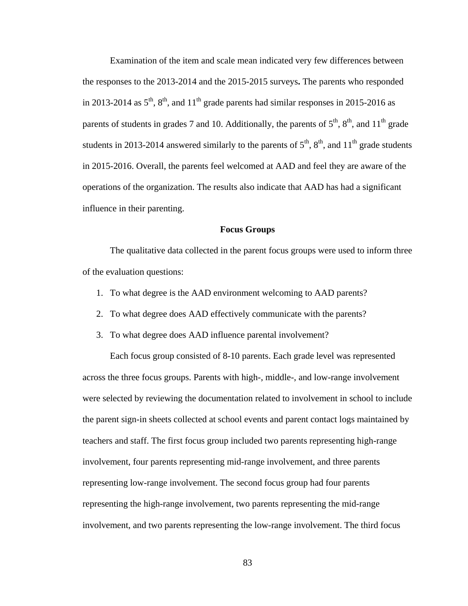Examination of the item and scale mean indicated very few differences between the responses to the 2013-2014 and the 2015-2015 surveys**.** The parents who responded in 2013-2014 as  $5<sup>th</sup>$ ,  $8<sup>th</sup>$ , and  $11<sup>th</sup>$  grade parents had similar responses in 2015-2016 as parents of students in grades 7 and 10. Additionally, the parents of  $5<sup>th</sup>$ ,  $8<sup>th</sup>$ , and  $11<sup>th</sup>$  grade students in 2013-2014 answered similarly to the parents of  $5<sup>th</sup>$ ,  $8<sup>th</sup>$ , and  $11<sup>th</sup>$  grade students in 2015-2016. Overall, the parents feel welcomed at AAD and feel they are aware of the operations of the organization. The results also indicate that AAD has had a significant influence in their parenting.

#### **Focus Groups**

The qualitative data collected in the parent focus groups were used to inform three of the evaluation questions:

- 1. To what degree is the AAD environment welcoming to AAD parents?
- 2. To what degree does AAD effectively communicate with the parents?
- 3. To what degree does AAD influence parental involvement?

Each focus group consisted of 8-10 parents. Each grade level was represented across the three focus groups. Parents with high-, middle-, and low-range involvement were selected by reviewing the documentation related to involvement in school to include the parent sign-in sheets collected at school events and parent contact logs maintained by teachers and staff. The first focus group included two parents representing high-range involvement, four parents representing mid-range involvement, and three parents representing low-range involvement. The second focus group had four parents representing the high-range involvement, two parents representing the mid-range involvement, and two parents representing the low-range involvement. The third focus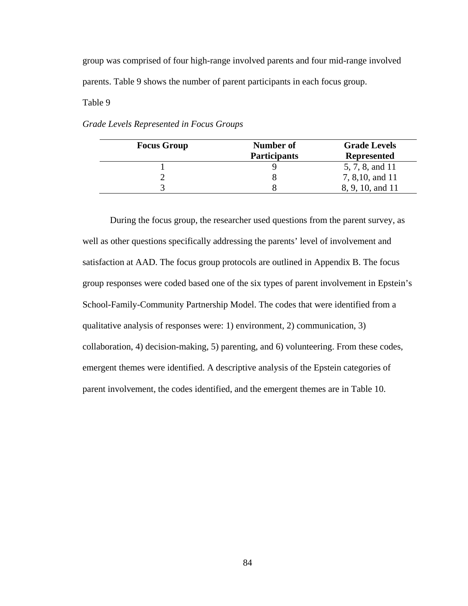group was comprised of four high-range involved parents and four mid-range involved parents. Table 9 shows the number of parent participants in each focus group.

Table 9

*Grade Levels Represented in Focus Groups*

| <b>Focus Group</b> | Number of           | <b>Grade Levels</b> |
|--------------------|---------------------|---------------------|
|                    | <b>Participants</b> | <b>Represented</b>  |
|                    |                     | 5, 7, 8, and 11     |
|                    |                     | 7, 8, 10, and 11    |
|                    |                     | 8, 9, 10, and 11    |

During the focus group, the researcher used questions from the parent survey, as well as other questions specifically addressing the parents' level of involvement and satisfaction at AAD. The focus group protocols are outlined in Appendix B. The focus group responses were coded based one of the six types of parent involvement in Epstein's School-Family-Community Partnership Model. The codes that were identified from a qualitative analysis of responses were: 1) environment, 2) communication, 3) collaboration, 4) decision-making, 5) parenting, and 6) volunteering. From these codes, emergent themes were identified. A descriptive analysis of the Epstein categories of parent involvement, the codes identified, and the emergent themes are in Table 10.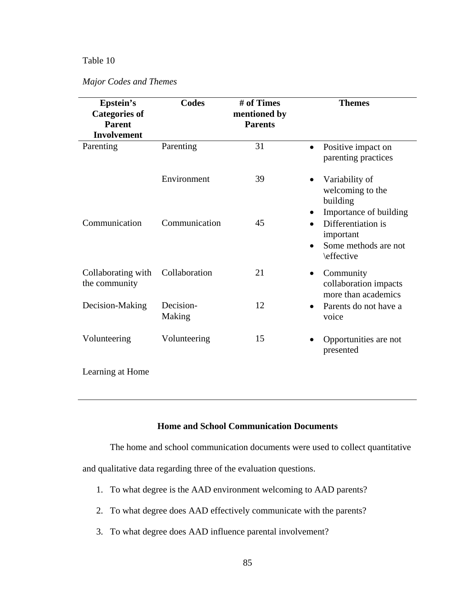*Major Codes and Themes*

| Epstein's<br><b>Categories of</b><br><b>Parent</b><br><b>Involvement</b> | <b>Codes</b>        | # of Times<br>mentioned by<br><b>Parents</b> | <b>Themes</b>                                                                         |
|--------------------------------------------------------------------------|---------------------|----------------------------------------------|---------------------------------------------------------------------------------------|
| Parenting                                                                | Parenting           | 31                                           | Positive impact on<br>$\bullet$<br>parenting practices                                |
|                                                                          | Environment         | 39                                           | Variability of<br>$\bullet$<br>welcoming to the<br>building<br>Importance of building |
| Communication                                                            | Communication       | 45                                           | Differentiation is<br>important<br>Some methods are not<br>\effective                 |
| Collaborating with<br>the community                                      | Collaboration       | 21                                           | Community<br>$\bullet$<br>collaboration impacts<br>more than academics                |
| Decision-Making                                                          | Decision-<br>Making | 12                                           | Parents do not have a<br>voice                                                        |
| Volunteering                                                             | Volunteering        | 15                                           | Opportunities are not<br>presented                                                    |
| Learning at Home                                                         |                     |                                              |                                                                                       |

# **Home and School Communication Documents**

The home and school communication documents were used to collect quantitative

and qualitative data regarding three of the evaluation questions.

- 1. To what degree is the AAD environment welcoming to AAD parents?
- 2. To what degree does AAD effectively communicate with the parents?
- 3. To what degree does AAD influence parental involvement?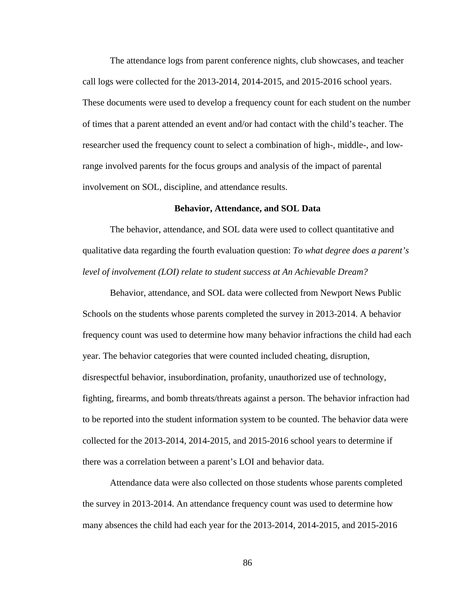The attendance logs from parent conference nights, club showcases, and teacher call logs were collected for the 2013-2014, 2014-2015, and 2015-2016 school years. These documents were used to develop a frequency count for each student on the number of times that a parent attended an event and/or had contact with the child's teacher. The researcher used the frequency count to select a combination of high-, middle-, and lowrange involved parents for the focus groups and analysis of the impact of parental involvement on SOL, discipline, and attendance results.

#### **Behavior, Attendance, and SOL Data**

The behavior, attendance, and SOL data were used to collect quantitative and qualitative data regarding the fourth evaluation question: *To what degree does a parent's level of involvement (LOI) relate to student success at An Achievable Dream?*

Behavior, attendance, and SOL data were collected from Newport News Public Schools on the students whose parents completed the survey in 2013-2014. A behavior frequency count was used to determine how many behavior infractions the child had each year. The behavior categories that were counted included cheating, disruption, disrespectful behavior, insubordination, profanity, unauthorized use of technology, fighting, firearms, and bomb threats/threats against a person. The behavior infraction had to be reported into the student information system to be counted. The behavior data were collected for the 2013-2014, 2014-2015, and 2015-2016 school years to determine if there was a correlation between a parent's LOI and behavior data.

Attendance data were also collected on those students whose parents completed the survey in 2013-2014. An attendance frequency count was used to determine how many absences the child had each year for the 2013-2014, 2014-2015, and 2015-2016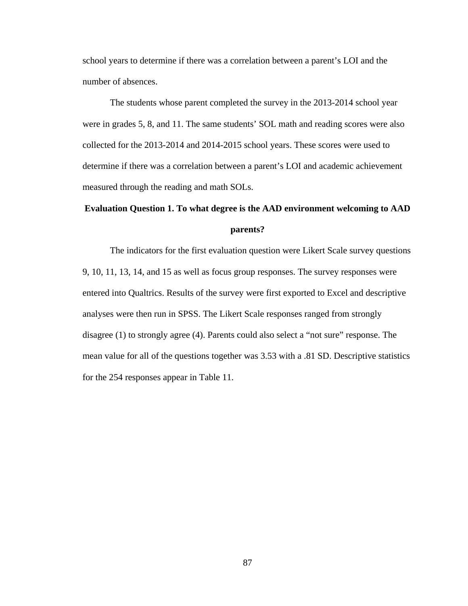school years to determine if there was a correlation between a parent's LOI and the number of absences.

The students whose parent completed the survey in the 2013-2014 school year were in grades 5, 8, and 11. The same students' SOL math and reading scores were also collected for the 2013-2014 and 2014-2015 school years. These scores were used to determine if there was a correlation between a parent's LOI and academic achievement measured through the reading and math SOLs.

# **Evaluation Question 1. To what degree is the AAD environment welcoming to AAD parents?**

The indicators for the first evaluation question were Likert Scale survey questions 9, 10, 11, 13, 14, and 15 as well as focus group responses. The survey responses were entered into Qualtrics. Results of the survey were first exported to Excel and descriptive analyses were then run in SPSS. The Likert Scale responses ranged from strongly disagree (1) to strongly agree (4). Parents could also select a "not sure" response. The mean value for all of the questions together was 3.53 with a .81 SD. Descriptive statistics for the 254 responses appear in Table 11.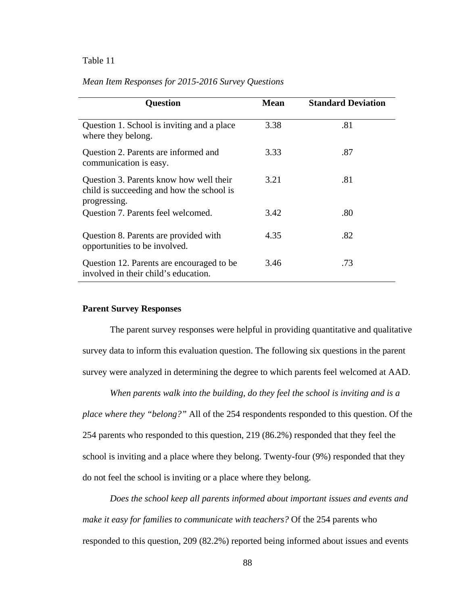| Mean Item Responses for 2015-2016 Survey Questions |  |  |  |  |
|----------------------------------------------------|--|--|--|--|
|----------------------------------------------------|--|--|--|--|

| <b>Question</b>                                                                                      | <b>Mean</b> | <b>Standard Deviation</b> |
|------------------------------------------------------------------------------------------------------|-------------|---------------------------|
| Question 1. School is inviting and a place<br>where they belong.                                     | 3.38        | .81                       |
| Question 2. Parents are informed and<br>communication is easy.                                       | 3.33        | .87                       |
| Question 3. Parents know how well their<br>child is succeeding and how the school is<br>progressing. | 3.21        | .81                       |
| Question 7. Parents feel welcomed.                                                                   | 3.42        | .80                       |
| Question 8. Parents are provided with<br>opportunities to be involved.                               | 4.35        | .82                       |
| Question 12. Parents are encouraged to be.<br>involved in their child's education.                   | 3.46        | .73                       |

## **Parent Survey Responses**

The parent survey responses were helpful in providing quantitative and qualitative survey data to inform this evaluation question. The following six questions in the parent survey were analyzed in determining the degree to which parents feel welcomed at AAD.

*When parents walk into the building, do they feel the school is inviting and is a place where they "belong?"* All of the 254 respondents responded to this question. Of the 254 parents who responded to this question, 219 (86.2%) responded that they feel the school is inviting and a place where they belong. Twenty-four (9%) responded that they do not feel the school is inviting or a place where they belong.

*Does the school keep all parents informed about important issues and events and make it easy for families to communicate with teachers?* Of the 254 parents who responded to this question, 209 (82.2%) reported being informed about issues and events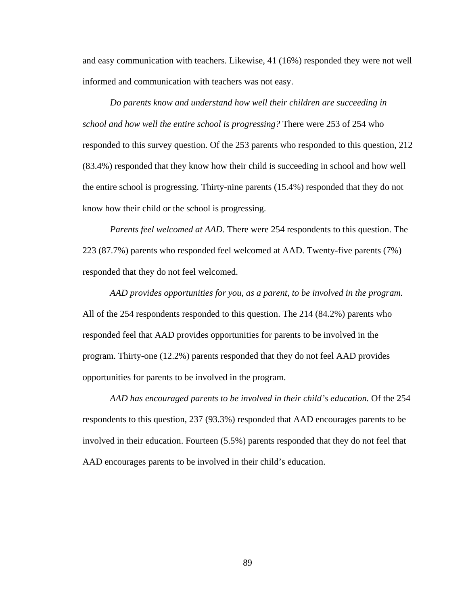and easy communication with teachers. Likewise, 41 (16%) responded they were not well informed and communication with teachers was not easy.

*Do parents know and understand how well their children are succeeding in school and how well the entire school is progressing?* There were 253 of 254 who responded to this survey question. Of the 253 parents who responded to this question, 212 (83.4%) responded that they know how their child is succeeding in school and how well the entire school is progressing. Thirty-nine parents (15.4%) responded that they do not know how their child or the school is progressing.

*Parents feel welcomed at AAD.* There were 254 respondents to this question. The 223 (87.7%) parents who responded feel welcomed at AAD. Twenty-five parents (7%) responded that they do not feel welcomed.

*AAD provides opportunities for you, as a parent, to be involved in the program.* All of the 254 respondents responded to this question. The 214 (84.2%) parents who responded feel that AAD provides opportunities for parents to be involved in the program. Thirty-one (12.2%) parents responded that they do not feel AAD provides opportunities for parents to be involved in the program.

*AAD has encouraged parents to be involved in their child's education.* Of the 254 respondents to this question, 237 (93.3%) responded that AAD encourages parents to be involved in their education. Fourteen (5.5%) parents responded that they do not feel that AAD encourages parents to be involved in their child's education.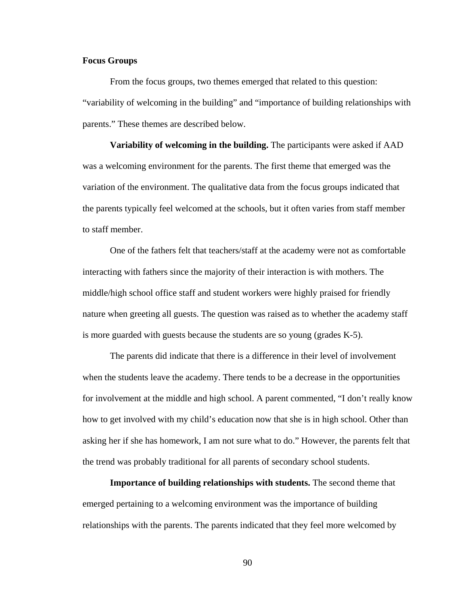# **Focus Groups**

From the focus groups, two themes emerged that related to this question: "variability of welcoming in the building" and "importance of building relationships with parents." These themes are described below.

**Variability of welcoming in the building.** The participants were asked if AAD was a welcoming environment for the parents. The first theme that emerged was the variation of the environment. The qualitative data from the focus groups indicated that the parents typically feel welcomed at the schools, but it often varies from staff member to staff member.

One of the fathers felt that teachers/staff at the academy were not as comfortable interacting with fathers since the majority of their interaction is with mothers. The middle/high school office staff and student workers were highly praised for friendly nature when greeting all guests. The question was raised as to whether the academy staff is more guarded with guests because the students are so young (grades K-5).

The parents did indicate that there is a difference in their level of involvement when the students leave the academy. There tends to be a decrease in the opportunities for involvement at the middle and high school. A parent commented, "I don't really know how to get involved with my child's education now that she is in high school. Other than asking her if she has homework, I am not sure what to do." However, the parents felt that the trend was probably traditional for all parents of secondary school students.

**Importance of building relationships with students.** The second theme that emerged pertaining to a welcoming environment was the importance of building relationships with the parents. The parents indicated that they feel more welcomed by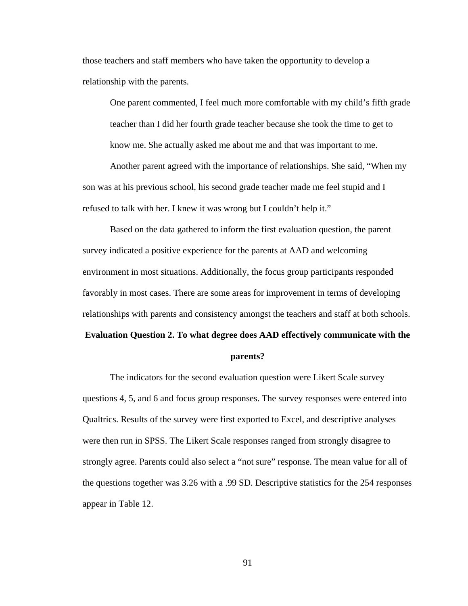those teachers and staff members who have taken the opportunity to develop a relationship with the parents.

One parent commented, I feel much more comfortable with my child's fifth grade teacher than I did her fourth grade teacher because she took the time to get to know me. She actually asked me about me and that was important to me.

Another parent agreed with the importance of relationships. She said, "When my son was at his previous school, his second grade teacher made me feel stupid and I refused to talk with her. I knew it was wrong but I couldn't help it."

Based on the data gathered to inform the first evaluation question, the parent survey indicated a positive experience for the parents at AAD and welcoming environment in most situations. Additionally, the focus group participants responded favorably in most cases. There are some areas for improvement in terms of developing relationships with parents and consistency amongst the teachers and staff at both schools.

### **Evaluation Question 2. To what degree does AAD effectively communicate with the**

#### **parents?**

The indicators for the second evaluation question were Likert Scale survey questions 4, 5, and 6 and focus group responses. The survey responses were entered into Qualtrics. Results of the survey were first exported to Excel, and descriptive analyses were then run in SPSS. The Likert Scale responses ranged from strongly disagree to strongly agree. Parents could also select a "not sure" response. The mean value for all of the questions together was 3.26 with a .99 SD. Descriptive statistics for the 254 responses appear in Table 12.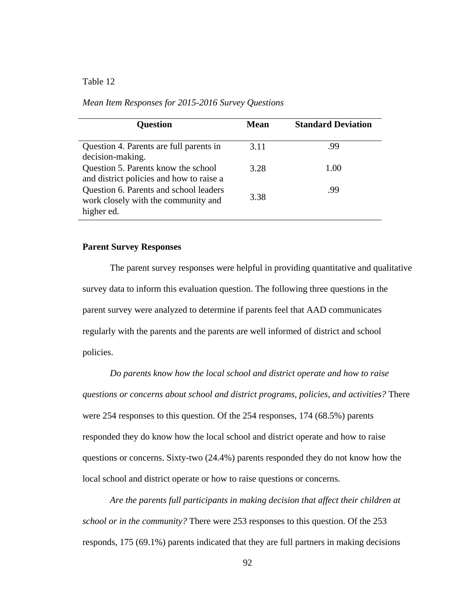| <b>Question</b>                                                                             | <b>Mean</b> | <b>Standard Deviation</b> |
|---------------------------------------------------------------------------------------------|-------------|---------------------------|
| Question 4. Parents are full parents in<br>decision-making.                                 | 3.11        | .99                       |
| Question 5. Parents know the school<br>and district policies and how to raise a             | 3.28        | 1.00                      |
| Question 6. Parents and school leaders<br>work closely with the community and<br>higher ed. | 3.38        | .99                       |

#### **Parent Survey Responses**

The parent survey responses were helpful in providing quantitative and qualitative survey data to inform this evaluation question. The following three questions in the parent survey were analyzed to determine if parents feel that AAD communicates regularly with the parents and the parents are well informed of district and school policies.

*Do parents know how the local school and district operate and how to raise questions or concerns about school and district programs, policies, and activities?* There were 254 responses to this question. Of the 254 responses, 174 (68.5%) parents responded they do know how the local school and district operate and how to raise questions or concerns. Sixty-two (24.4%) parents responded they do not know how the local school and district operate or how to raise questions or concerns.

*Are the parents full participants in making decision that affect their children at school or in the community?* There were 253 responses to this question. Of the 253 responds, 175 (69.1%) parents indicated that they are full partners in making decisions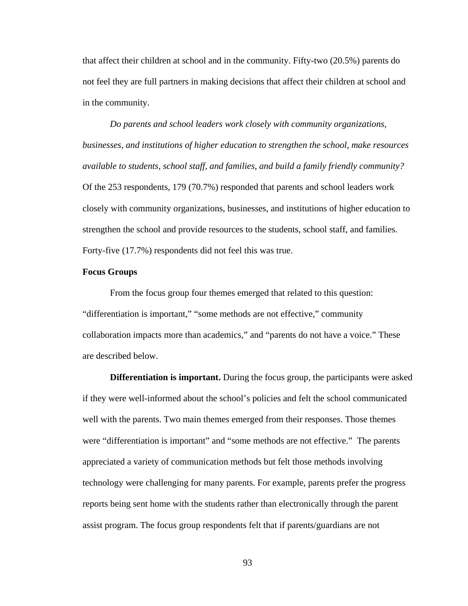that affect their children at school and in the community. Fifty-two (20.5%) parents do not feel they are full partners in making decisions that affect their children at school and in the community.

*Do parents and school leaders work closely with community organizations, businesses, and institutions of higher education to strengthen the school, make resources available to students, school staff, and families, and build a family friendly community?* Of the 253 respondents, 179 (70.7%) responded that parents and school leaders work closely with community organizations, businesses, and institutions of higher education to strengthen the school and provide resources to the students, school staff, and families. Forty-five (17.7%) respondents did not feel this was true.

# **Focus Groups**

From the focus group four themes emerged that related to this question: "differentiation is important," "some methods are not effective," community collaboration impacts more than academics," and "parents do not have a voice." These are described below.

**Differentiation is important.** During the focus group, the participants were asked if they were well-informed about the school's policies and felt the school communicated well with the parents. Two main themes emerged from their responses. Those themes were "differentiation is important" and "some methods are not effective." The parents appreciated a variety of communication methods but felt those methods involving technology were challenging for many parents. For example, parents prefer the progress reports being sent home with the students rather than electronically through the parent assist program. The focus group respondents felt that if parents/guardians are not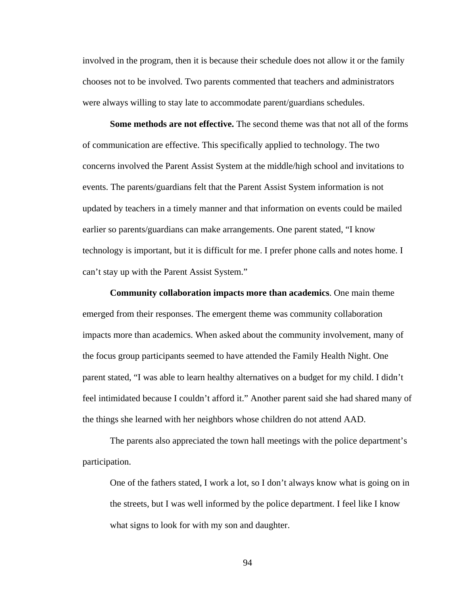involved in the program, then it is because their schedule does not allow it or the family chooses not to be involved. Two parents commented that teachers and administrators were always willing to stay late to accommodate parent/guardians schedules.

**Some methods are not effective.** The second theme was that not all of the forms of communication are effective. This specifically applied to technology. The two concerns involved the Parent Assist System at the middle/high school and invitations to events. The parents/guardians felt that the Parent Assist System information is not updated by teachers in a timely manner and that information on events could be mailed earlier so parents/guardians can make arrangements. One parent stated, "I know technology is important, but it is difficult for me. I prefer phone calls and notes home. I can't stay up with the Parent Assist System."

**Community collaboration impacts more than academics**. One main theme emerged from their responses. The emergent theme was community collaboration impacts more than academics. When asked about the community involvement, many of the focus group participants seemed to have attended the Family Health Night. One parent stated, "I was able to learn healthy alternatives on a budget for my child. I didn't feel intimidated because I couldn't afford it." Another parent said she had shared many of the things she learned with her neighbors whose children do not attend AAD.

The parents also appreciated the town hall meetings with the police department's participation.

One of the fathers stated, I work a lot, so I don't always know what is going on in the streets, but I was well informed by the police department. I feel like I know what signs to look for with my son and daughter.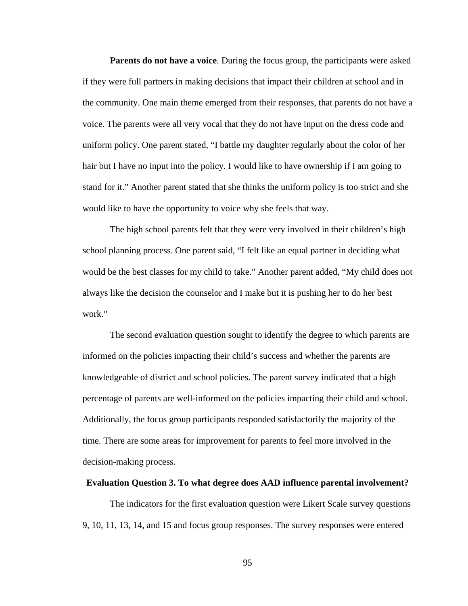**Parents do not have a voice**. During the focus group, the participants were asked if they were full partners in making decisions that impact their children at school and in the community. One main theme emerged from their responses, that parents do not have a voice. The parents were all very vocal that they do not have input on the dress code and uniform policy. One parent stated, "I battle my daughter regularly about the color of her hair but I have no input into the policy. I would like to have ownership if I am going to stand for it." Another parent stated that she thinks the uniform policy is too strict and she would like to have the opportunity to voice why she feels that way.

The high school parents felt that they were very involved in their children's high school planning process. One parent said, "I felt like an equal partner in deciding what would be the best classes for my child to take." Another parent added, "My child does not always like the decision the counselor and I make but it is pushing her to do her best work."

The second evaluation question sought to identify the degree to which parents are informed on the policies impacting their child's success and whether the parents are knowledgeable of district and school policies. The parent survey indicated that a high percentage of parents are well-informed on the policies impacting their child and school. Additionally, the focus group participants responded satisfactorily the majority of the time. There are some areas for improvement for parents to feel more involved in the decision-making process.

#### **Evaluation Question 3. To what degree does AAD influence parental involvement?**

The indicators for the first evaluation question were Likert Scale survey questions 9, 10, 11, 13, 14, and 15 and focus group responses. The survey responses were entered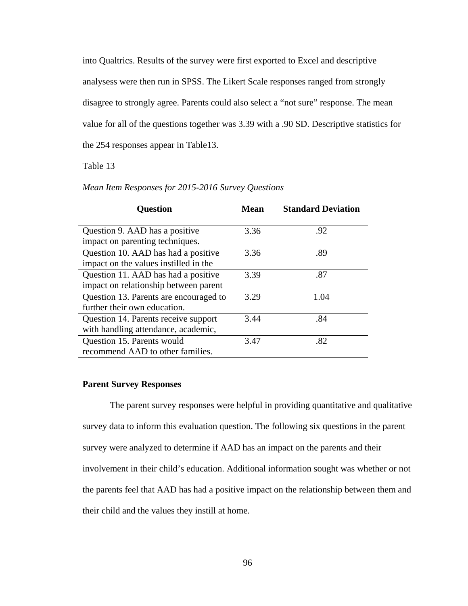into Qualtrics. Results of the survey were first exported to Excel and descriptive analysess were then run in SPSS. The Likert Scale responses ranged from strongly disagree to strongly agree. Parents could also select a "not sure" response. The mean value for all of the questions together was 3.39 with a .90 SD. Descriptive statistics for the 254 responses appear in Table13.

### Table 13

| <b>Question</b>                                                              | <b>Mean</b> | <b>Standard Deviation</b> |
|------------------------------------------------------------------------------|-------------|---------------------------|
| Question 9. AAD has a positive<br>impact on parenting techniques.            | 3.36        | .92                       |
| Question 10. AAD has had a positive<br>impact on the values instilled in the | 3.36        | .89                       |
| Question 11. AAD has had a positive<br>impact on relationship between parent | 3.39        | .87                       |
| Question 13. Parents are encouraged to<br>further their own education.       | 3.29        | 1.04                      |
| Question 14. Parents receive support<br>with handling attendance, academic,  | 3.44        | .84                       |
| Question 15. Parents would<br>recommend AAD to other families.               | 3.47        | .82                       |

*Mean Item Responses for 2015-2016 Survey Questions*

#### **Parent Survey Responses**

The parent survey responses were helpful in providing quantitative and qualitative survey data to inform this evaluation question. The following six questions in the parent survey were analyzed to determine if AAD has an impact on the parents and their involvement in their child's education. Additional information sought was whether or not the parents feel that AAD has had a positive impact on the relationship between them and their child and the values they instill at home.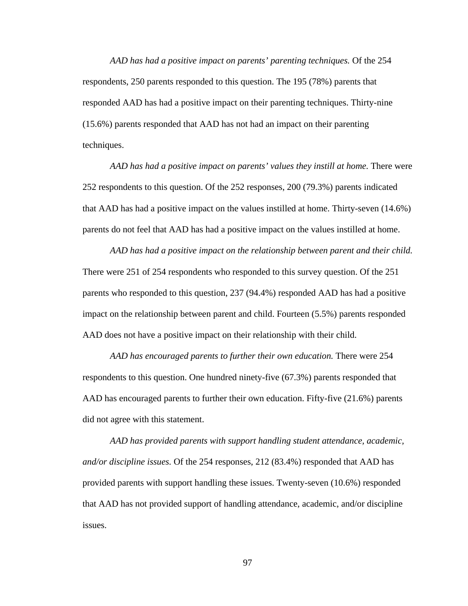*AAD has had a positive impact on parents' parenting techniques.* Of the 254 respondents, 250 parents responded to this question. The 195 (78%) parents that responded AAD has had a positive impact on their parenting techniques. Thirty-nine (15.6%) parents responded that AAD has not had an impact on their parenting techniques.

*AAD has had a positive impact on parents' values they instill at home.* There were 252 respondents to this question. Of the 252 responses, 200 (79.3%) parents indicated that AAD has had a positive impact on the values instilled at home. Thirty-seven (14.6%) parents do not feel that AAD has had a positive impact on the values instilled at home.

*AAD has had a positive impact on the relationship between parent and their child.*  There were 251 of 254 respondents who responded to this survey question. Of the 251 parents who responded to this question, 237 (94.4%) responded AAD has had a positive impact on the relationship between parent and child. Fourteen (5.5%) parents responded AAD does not have a positive impact on their relationship with their child.

*AAD has encouraged parents to further their own education.* There were 254 respondents to this question. One hundred ninety-five (67.3%) parents responded that AAD has encouraged parents to further their own education. Fifty-five (21.6%) parents did not agree with this statement.

*AAD has provided parents with support handling student attendance, academic, and/or discipline issues.* Of the 254 responses, 212 (83.4%) responded that AAD has provided parents with support handling these issues. Twenty-seven (10.6%) responded that AAD has not provided support of handling attendance, academic, and/or discipline issues.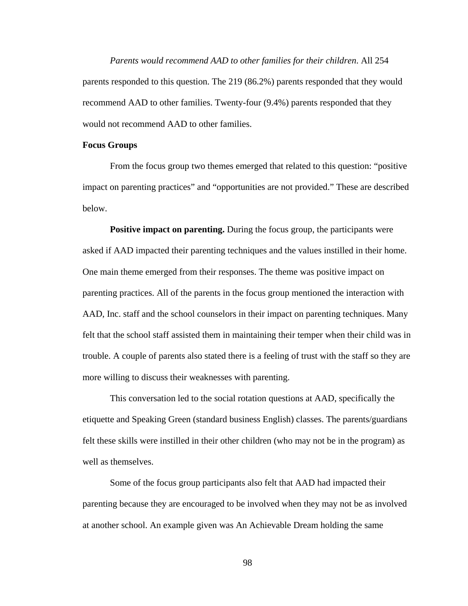*Parents would recommend AAD to other families for their children*. All 254 parents responded to this question. The 219 (86.2%) parents responded that they would recommend AAD to other families. Twenty-four (9.4%) parents responded that they would not recommend AAD to other families.

#### **Focus Groups**

From the focus group two themes emerged that related to this question: "positive impact on parenting practices" and "opportunities are not provided." These are described below.

**Positive impact on parenting.** During the focus group, the participants were asked if AAD impacted their parenting techniques and the values instilled in their home. One main theme emerged from their responses. The theme was positive impact on parenting practices. All of the parents in the focus group mentioned the interaction with AAD, Inc. staff and the school counselors in their impact on parenting techniques. Many felt that the school staff assisted them in maintaining their temper when their child was in trouble. A couple of parents also stated there is a feeling of trust with the staff so they are more willing to discuss their weaknesses with parenting.

This conversation led to the social rotation questions at AAD, specifically the etiquette and Speaking Green (standard business English) classes. The parents/guardians felt these skills were instilled in their other children (who may not be in the program) as well as themselves.

Some of the focus group participants also felt that AAD had impacted their parenting because they are encouraged to be involved when they may not be as involved at another school. An example given was An Achievable Dream holding the same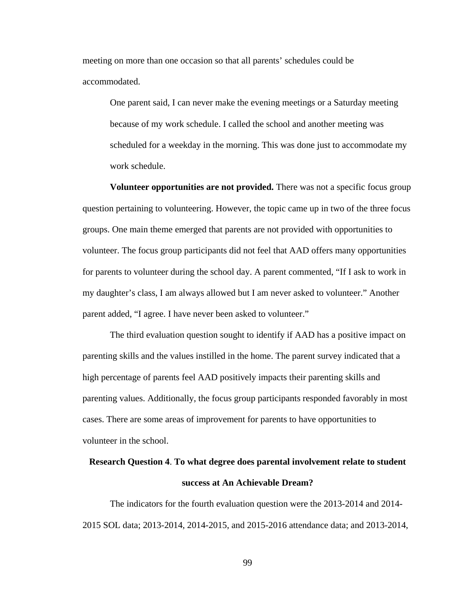meeting on more than one occasion so that all parents' schedules could be accommodated.

One parent said, I can never make the evening meetings or a Saturday meeting because of my work schedule. I called the school and another meeting was scheduled for a weekday in the morning. This was done just to accommodate my work schedule.

**Volunteer opportunities are not provided.** There was not a specific focus group question pertaining to volunteering. However, the topic came up in two of the three focus groups. One main theme emerged that parents are not provided with opportunities to volunteer. The focus group participants did not feel that AAD offers many opportunities for parents to volunteer during the school day. A parent commented, "If I ask to work in my daughter's class, I am always allowed but I am never asked to volunteer." Another parent added, "I agree. I have never been asked to volunteer."

The third evaluation question sought to identify if AAD has a positive impact on parenting skills and the values instilled in the home. The parent survey indicated that a high percentage of parents feel AAD positively impacts their parenting skills and parenting values. Additionally, the focus group participants responded favorably in most cases. There are some areas of improvement for parents to have opportunities to volunteer in the school.

# **Research Question 4**. **To what degree does parental involvement relate to student success at An Achievable Dream?**

The indicators for the fourth evaluation question were the 2013-2014 and 2014- 2015 SOL data; 2013-2014, 2014-2015, and 2015-2016 attendance data; and 2013-2014,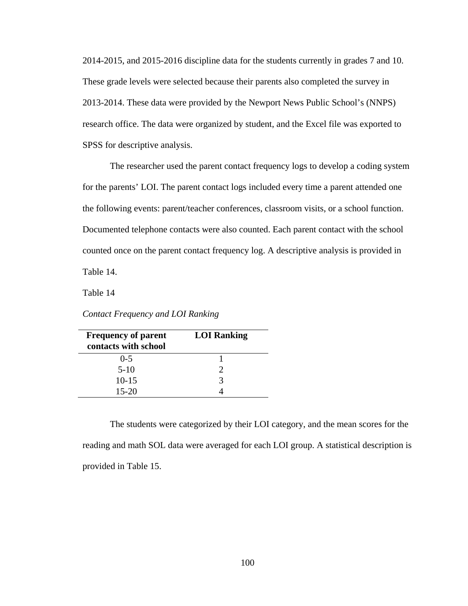2014-2015, and 2015-2016 discipline data for the students currently in grades 7 and 10. These grade levels were selected because their parents also completed the survey in 2013-2014. These data were provided by the Newport News Public School's (NNPS) research office. The data were organized by student, and the Excel file was exported to SPSS for descriptive analysis.

The researcher used the parent contact frequency logs to develop a coding system for the parents' LOI. The parent contact logs included every time a parent attended one the following events: parent/teacher conferences, classroom visits, or a school function. Documented telephone contacts were also counted. Each parent contact with the school counted once on the parent contact frequency log. A descriptive analysis is provided in Table 14.

Table 14

| <b>Frequency of parent</b> | <b>LOI Ranking</b> |
|----------------------------|--------------------|
| contacts with school       |                    |

 $0-5$  1 5-10 2 10-15 3 15-20 4

*Contact Frequency and LOI Ranking*

| The students were categorized by their LOI category, and the mean scores for the         |  |
|------------------------------------------------------------------------------------------|--|
| reading and math SOL data were averaged for each LOI group. A statistical description is |  |
| provided in Table 15.                                                                    |  |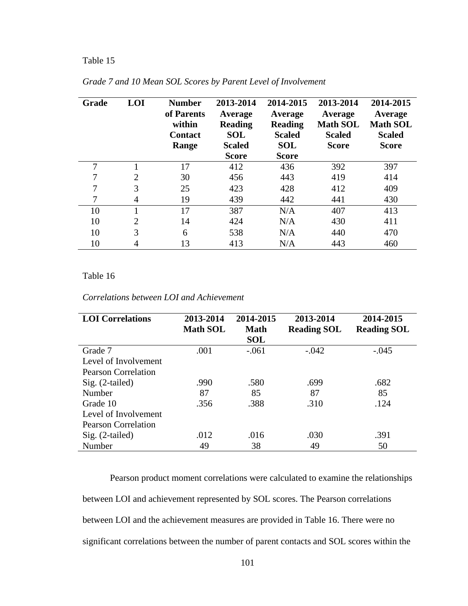### Table 15

| Grade | LOI            | <b>Number</b><br>of Parents<br>within<br><b>Contact</b><br>Range | 2013-2014<br>Average<br><b>Reading</b><br><b>SOL</b><br><b>Scaled</b><br><b>Score</b> | 2014-2015<br>Average<br><b>Reading</b><br><b>Scaled</b><br><b>SOL</b><br><b>Score</b> | 2013-2014<br>Average<br><b>Math SOL</b><br><b>Scaled</b><br><b>Score</b> | 2014-2015<br>Average<br><b>Math SOL</b><br><b>Scaled</b><br><b>Score</b> |
|-------|----------------|------------------------------------------------------------------|---------------------------------------------------------------------------------------|---------------------------------------------------------------------------------------|--------------------------------------------------------------------------|--------------------------------------------------------------------------|
| 7     |                | 17                                                               | 412                                                                                   | 436                                                                                   | 392                                                                      | 397                                                                      |
|       | 2              | 30                                                               | 456                                                                                   | 443                                                                                   | 419                                                                      | 414                                                                      |
| 7     | 3              | 25                                                               | 423                                                                                   | 428                                                                                   | 412                                                                      | 409                                                                      |
|       | 4              | 19                                                               | 439                                                                                   | 442                                                                                   | 441                                                                      | 430                                                                      |
| 10    |                | 17                                                               | 387                                                                                   | N/A                                                                                   | 407                                                                      | 413                                                                      |
| 10    | $\overline{2}$ | 14                                                               | 424                                                                                   | N/A                                                                                   | 430                                                                      | 411                                                                      |
| 10    | 3              | 6                                                                | 538                                                                                   | N/A                                                                                   | 440                                                                      | 470                                                                      |
| 10    | 4              | 13                                                               | 413                                                                                   | N/A                                                                                   | 443                                                                      | 460                                                                      |

*Grade 7 and 10 Mean SOL Scores by Parent Level of Involvement*

### Table 16

| <b>LOI</b> Correlations    | 2013-2014<br><b>Math SOL</b> | 2014-2015<br><b>Math</b><br><b>SOL</b> | 2013-2014<br><b>Reading SOL</b> | 2014-2015<br><b>Reading SOL</b> |
|----------------------------|------------------------------|----------------------------------------|---------------------------------|---------------------------------|
| Grade 7                    | .001                         | $-.061$                                | $-.042$                         | $-.045$                         |
| Level of Involvement       |                              |                                        |                                 |                                 |
| <b>Pearson Correlation</b> |                              |                                        |                                 |                                 |
| $Sig. (2-tailed)$          | .990                         | .580                                   | .699                            | .682                            |
| Number                     | 87                           | 85                                     | 87                              | 85                              |
| Grade 10                   | .356                         | .388                                   | .310                            | .124                            |
| Level of Involvement       |                              |                                        |                                 |                                 |
| <b>Pearson Correlation</b> |                              |                                        |                                 |                                 |
| $Sig. (2-tailed)$          | .012                         | .016                                   | .030                            | .391                            |
| Number                     | 49                           | 38                                     | 49                              | 50                              |

Pearson product moment correlations were calculated to examine the relationships between LOI and achievement represented by SOL scores. The Pearson correlations between LOI and the achievement measures are provided in Table 16. There were no significant correlations between the number of parent contacts and SOL scores within the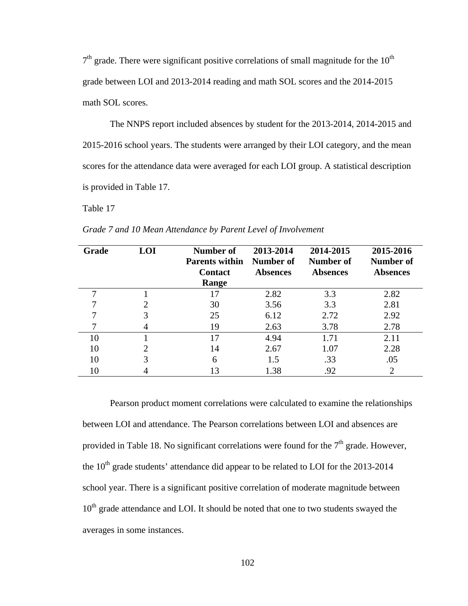$7<sup>th</sup>$  grade. There were significant positive correlations of small magnitude for the  $10<sup>th</sup>$ grade between LOI and 2013-2014 reading and math SOL scores and the 2014-2015 math SOL scores.

The NNPS report included absences by student for the 2013-2014, 2014-2015 and 2015-2016 school years. The students were arranged by their LOI category, and the mean scores for the attendance data were averaged for each LOI group. A statistical description is provided in Table 17.

Table 17

| Grade | <b>LOI</b> | <b>Number of</b><br><b>Parents within</b><br><b>Contact</b><br>Range | 2013-2014<br>Number of<br><b>Absences</b> | 2014-2015<br>Number of<br><b>Absences</b> | 2015-2016<br>Number of<br><b>Absences</b> |
|-------|------------|----------------------------------------------------------------------|-------------------------------------------|-------------------------------------------|-------------------------------------------|
|       |            | 17                                                                   | 2.82                                      | 3.3                                       | 2.82                                      |
|       | ာ          | 30                                                                   | 3.56                                      | 3.3                                       | 2.81                                      |
|       | 3          | 25                                                                   | 6.12                                      | 2.72                                      | 2.92                                      |
|       |            | 19                                                                   | 2.63                                      | 3.78                                      | 2.78                                      |
| 10    |            | 17                                                                   | 4.94                                      | 1.71                                      | 2.11                                      |
| 10    | 2          | 14                                                                   | 2.67                                      | 1.07                                      | 2.28                                      |
| 10    | 3          | 6                                                                    | 1.5                                       | .33                                       | .05                                       |
| 10    |            | 13                                                                   | 1.38                                      | .92                                       | 2                                         |

*Grade 7 and 10 Mean Attendance by Parent Level of Involvement*

Pearson product moment correlations were calculated to examine the relationships between LOI and attendance. The Pearson correlations between LOI and absences are provided in Table 18. No significant correlations were found for the  $7<sup>th</sup>$  grade. However, the  $10<sup>th</sup>$  grade students' attendance did appear to be related to LOI for the 2013-2014 school year. There is a significant positive correlation of moderate magnitude between  $10<sup>th</sup>$  grade attendance and LOI. It should be noted that one to two students swayed the averages in some instances.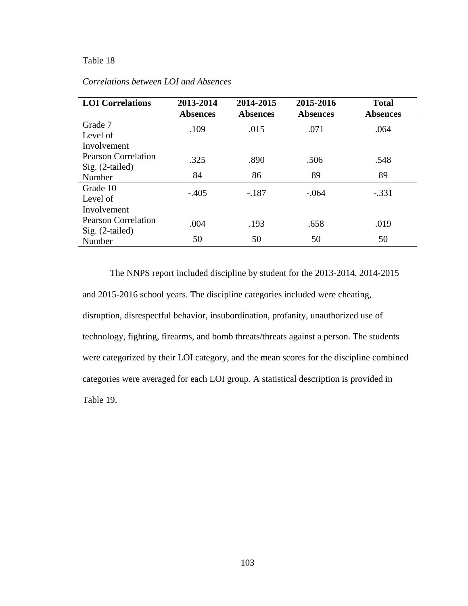### Table 18

| <b>LOI</b> Correlations     | 2013-2014<br><b>Absences</b> | 2014-2015<br><b>Absences</b> | 2015-2016<br><b>Absences</b> | <b>Total</b><br><b>Absences</b> |
|-----------------------------|------------------------------|------------------------------|------------------------------|---------------------------------|
| Grade 7<br>Level of         | .109                         | .015                         | .071                         | .064                            |
| Involvement                 |                              |                              |                              |                                 |
| <b>Pearson Correlation</b>  | .325                         | .890                         | .506                         | .548                            |
| $Sig. (2-tailed)$<br>Number | 84                           | 86                           | 89                           | 89                              |
| Grade 10<br>Level of        | $-.405$                      | $-.187$                      | $-.064$                      | $-.331$                         |
| Involvement                 |                              |                              |                              |                                 |
| Pearson Correlation         | .004                         | .193                         | .658                         | .019                            |
| $Sig. (2-tailed)$<br>Number | 50                           | 50                           | 50                           | 50                              |

### *Correlations between LOI and Absences*

The NNPS report included discipline by student for the 2013-2014, 2014-2015 and 2015-2016 school years. The discipline categories included were cheating, disruption, disrespectful behavior, insubordination, profanity, unauthorized use of technology, fighting, firearms, and bomb threats/threats against a person. The students were categorized by their LOI category, and the mean scores for the discipline combined categories were averaged for each LOI group. A statistical description is provided in Table 19.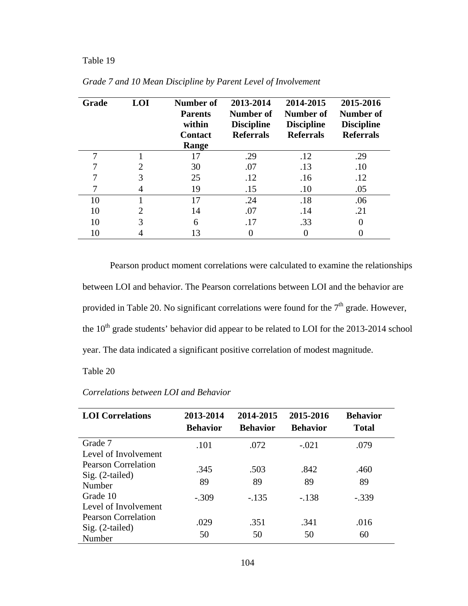### Table 19

| Grade | <b>LOI</b>                  | <b>Number of</b><br><b>Parents</b><br>within<br><b>Contact</b><br>Range | 2013-2014<br>Number of<br><b>Discipline</b><br><b>Referrals</b> | 2014-2015<br>Number of<br><b>Discipline</b><br><b>Referrals</b> | 2015-2016<br>Number of<br><b>Discipline</b><br><b>Referrals</b> |
|-------|-----------------------------|-------------------------------------------------------------------------|-----------------------------------------------------------------|-----------------------------------------------------------------|-----------------------------------------------------------------|
| ┑     |                             | 17                                                                      | .29                                                             | .12                                                             | .29                                                             |
|       | $\mathfrak{D}$              | 30                                                                      | .07                                                             | .13                                                             | .10                                                             |
|       | 3                           | 25                                                                      | .12                                                             | .16                                                             | .12                                                             |
|       | 4                           | 19                                                                      | .15                                                             | .10                                                             | .05                                                             |
| 10    |                             | 17                                                                      | .24                                                             | .18                                                             | .06                                                             |
| 10    | $\mathcal{D}_{\mathcal{A}}$ | 14                                                                      | .07                                                             | .14                                                             | .21                                                             |
| 10    | 3                           | 6                                                                       | .17                                                             | .33                                                             |                                                                 |
| 10    |                             | 13                                                                      |                                                                 |                                                                 |                                                                 |

*Grade 7 and 10 Mean Discipline by Parent Level of Involvement*

Pearson product moment correlations were calculated to examine the relationships between LOI and behavior. The Pearson correlations between LOI and the behavior are provided in Table 20. No significant correlations were found for the  $7<sup>th</sup>$  grade. However, the  $10<sup>th</sup>$  grade students' behavior did appear to be related to LOI for the 2013-2014 school year. The data indicated a significant positive correlation of modest magnitude.

Table 20

| <b>LOI</b> Correlations | 2013-2014       | 2014-2015       | 2015-2016       | <b>Behavior</b> |
|-------------------------|-----------------|-----------------|-----------------|-----------------|
|                         | <b>Behavior</b> | <b>Behavior</b> | <b>Behavior</b> | <b>Total</b>    |
| Grade 7                 | .101            | .072            | $-.021$         | .079            |
| Level of Involvement    |                 |                 |                 |                 |
| Pearson Correlation     | .345            | .503            | .842            | .460            |
| $Sig. (2-tailed)$       |                 |                 |                 |                 |
| Number                  | 89              | 89              | 89              | 89              |
| Grade 10                | $-.309$         | $-.135$         | $-.138$         | $-.339$         |
| Level of Involvement    |                 |                 |                 |                 |
| Pearson Correlation     | .029            | .351            | .341            | .016            |
| $Sig. (2-tailed)$       |                 |                 |                 |                 |
| Number                  | 50              | 50              | 50              | 60              |

*Correlations between LOI and Behavior*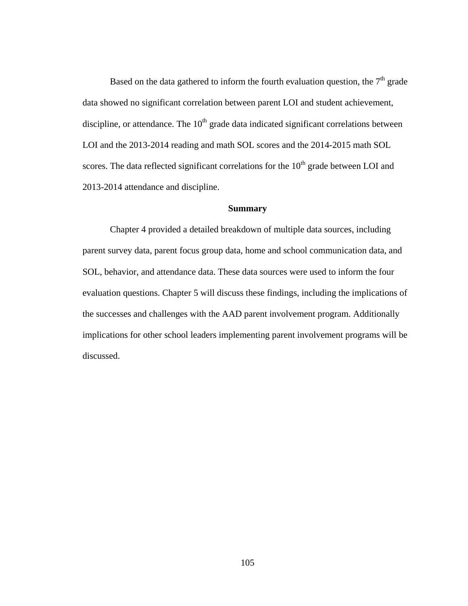Based on the data gathered to inform the fourth evaluation question, the  $7<sup>th</sup>$  grade data showed no significant correlation between parent LOI and student achievement, discipline, or attendance. The  $10<sup>th</sup>$  grade data indicated significant correlations between LOI and the 2013-2014 reading and math SOL scores and the 2014-2015 math SOL scores. The data reflected significant correlations for the  $10<sup>th</sup>$  grade between LOI and 2013-2014 attendance and discipline.

### **Summary**

Chapter 4 provided a detailed breakdown of multiple data sources, including parent survey data, parent focus group data, home and school communication data, and SOL, behavior, and attendance data. These data sources were used to inform the four evaluation questions. Chapter 5 will discuss these findings, including the implications of the successes and challenges with the AAD parent involvement program. Additionally implications for other school leaders implementing parent involvement programs will be discussed.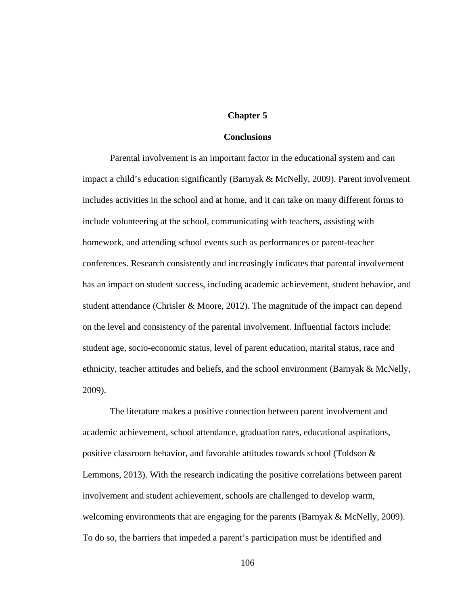### **Chapter 5**

#### **Conclusions**

Parental involvement is an important factor in the educational system and can impact a child's education significantly (Barnyak & McNelly, 2009). Parent involvement includes activities in the school and at home, and it can take on many different forms to include volunteering at the school, communicating with teachers, assisting with homework, and attending school events such as performances or parent-teacher conferences. Research consistently and increasingly indicates that parental involvement has an impact on student success, including academic achievement, student behavior, and student attendance (Chrisler & Moore, 2012). The magnitude of the impact can depend on the level and consistency of the parental involvement. Influential factors include: student age, socio-economic status, level of parent education, marital status, race and ethnicity, teacher attitudes and beliefs, and the school environment (Barnyak & McNelly, 2009).

The literature makes a positive connection between parent involvement and academic achievement, school attendance, graduation rates, educational aspirations, positive classroom behavior, and favorable attitudes towards school (Toldson & Lemmons, 2013). With the research indicating the positive correlations between parent involvement and student achievement, schools are challenged to develop warm, welcoming environments that are engaging for the parents (Barnyak & McNelly, 2009). To do so, the barriers that impeded a parent's participation must be identified and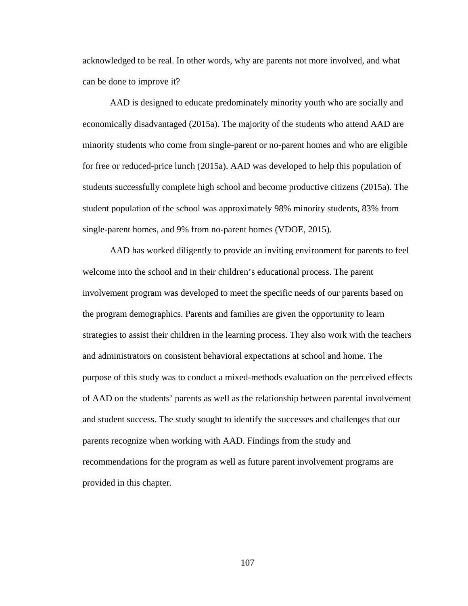acknowledged to be real. In other words, why are parents not more involved, and what can be done to improve it?

AAD is designed to educate predominately minority youth who are socially and economically disadvantaged (2015a). The majority of the students who attend AAD are minority students who come from single-parent or no-parent homes and who are eligible for free or reduced-price lunch (2015a). AAD was developed to help this population of students successfully complete high school and become productive citizens (2015a). The student population of the school was approximately 98% minority students, 83% from single-parent homes, and 9% from no-parent homes (VDOE, 2015).

AAD has worked diligently to provide an inviting environment for parents to feel welcome into the school and in their children's educational process. The parent involvement program was developed to meet the specific needs of our parents based on the program demographics. Parents and families are given the opportunity to learn strategies to assist their children in the learning process. They also work with the teachers and administrators on consistent behavioral expectations at school and home. The purpose of this study was to conduct a mixed-methods evaluation on the perceived effects of AAD on the students' parents as well as the relationship between parental involvement and student success. The study sought to identify the successes and challenges that our parents recognize when working with AAD. Findings from the study and recommendations for the program as well as future parent involvement programs are provided in this chapter.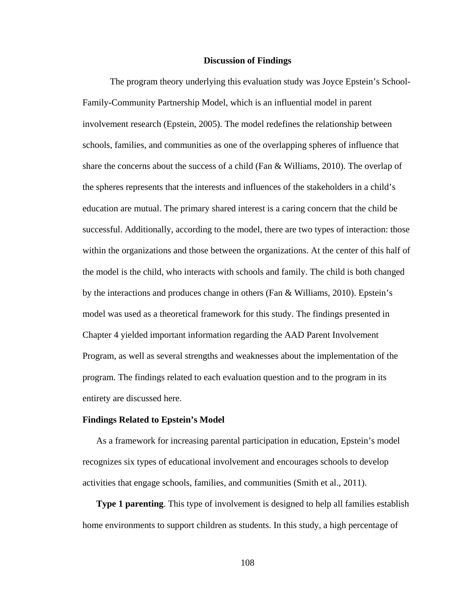#### **Discussion of Findings**

The program theory underlying this evaluation study was Joyce Epstein's School-Family-Community Partnership Model, which is an influential model in parent involvement research (Epstein, 2005). The model redefines the relationship between schools, families, and communities as one of the overlapping spheres of influence that share the concerns about the success of a child (Fan & Williams, 2010). The overlap of the spheres represents that the interests and influences of the stakeholders in a child's education are mutual. The primary shared interest is a caring concern that the child be successful. Additionally, according to the model, there are two types of interaction: those within the organizations and those between the organizations. At the center of this half of the model is the child, who interacts with schools and family. The child is both changed by the interactions and produces change in others (Fan & Williams, 2010). Epstein's model was used as a theoretical framework for this study. The findings presented in Chapter 4 yielded important information regarding the AAD Parent Involvement Program, as well as several strengths and weaknesses about the implementation of the program. The findings related to each evaluation question and to the program in its entirety are discussed here.

#### **Findings Related to Epstein's Model**

As a framework for increasing parental participation in education, Epstein's model recognizes six types of educational involvement and encourages schools to develop activities that engage schools, families, and communities (Smith et al., 2011).

**Type 1 parenting**. This type of involvement is designed to help all families establish home environments to support children as students. In this study, a high percentage of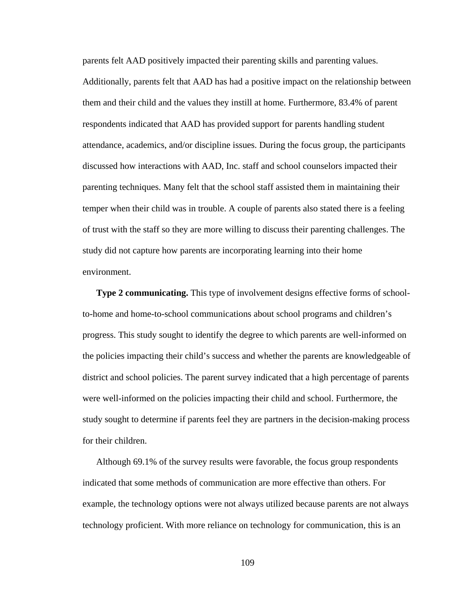parents felt AAD positively impacted their parenting skills and parenting values. Additionally, parents felt that AAD has had a positive impact on the relationship between them and their child and the values they instill at home. Furthermore, 83.4% of parent respondents indicated that AAD has provided support for parents handling student attendance, academics, and/or discipline issues. During the focus group, the participants discussed how interactions with AAD, Inc. staff and school counselors impacted their parenting techniques. Many felt that the school staff assisted them in maintaining their temper when their child was in trouble. A couple of parents also stated there is a feeling of trust with the staff so they are more willing to discuss their parenting challenges. The study did not capture how parents are incorporating learning into their home environment.

**Type 2 communicating.** This type of involvement designs effective forms of schoolto-home and home-to-school communications about school programs and children's progress. This study sought to identify the degree to which parents are well-informed on the policies impacting their child's success and whether the parents are knowledgeable of district and school policies. The parent survey indicated that a high percentage of parents were well-informed on the policies impacting their child and school. Furthermore, the study sought to determine if parents feel they are partners in the decision-making process for their children.

Although 69.1% of the survey results were favorable, the focus group respondents indicated that some methods of communication are more effective than others. For example, the technology options were not always utilized because parents are not always technology proficient. With more reliance on technology for communication, this is an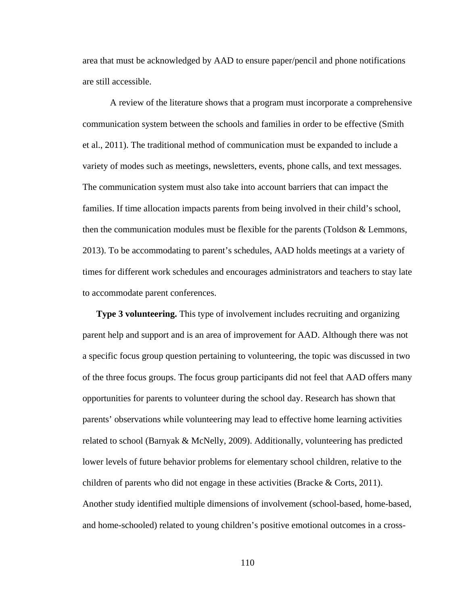area that must be acknowledged by AAD to ensure paper/pencil and phone notifications are still accessible.

A review of the literature shows that a program must incorporate a comprehensive communication system between the schools and families in order to be effective (Smith et al., 2011). The traditional method of communication must be expanded to include a variety of modes such as meetings, newsletters, events, phone calls, and text messages. The communication system must also take into account barriers that can impact the families. If time allocation impacts parents from being involved in their child's school, then the communication modules must be flexible for the parents (Toldson & Lemmons, 2013). To be accommodating to parent's schedules, AAD holds meetings at a variety of times for different work schedules and encourages administrators and teachers to stay late to accommodate parent conferences.

**Type 3 volunteering.** This type of involvement includes recruiting and organizing parent help and support and is an area of improvement for AAD. Although there was not a specific focus group question pertaining to volunteering, the topic was discussed in two of the three focus groups. The focus group participants did not feel that AAD offers many opportunities for parents to volunteer during the school day. Research has shown that parents' observations while volunteering may lead to effective home learning activities related to school (Barnyak & McNelly, 2009). Additionally, volunteering has predicted lower levels of future behavior problems for elementary school children, relative to the children of parents who did not engage in these activities (Bracke & Corts, 2011). Another study identified multiple dimensions of involvement (school-based, home-based, and home-schooled) related to young children's positive emotional outcomes in a cross-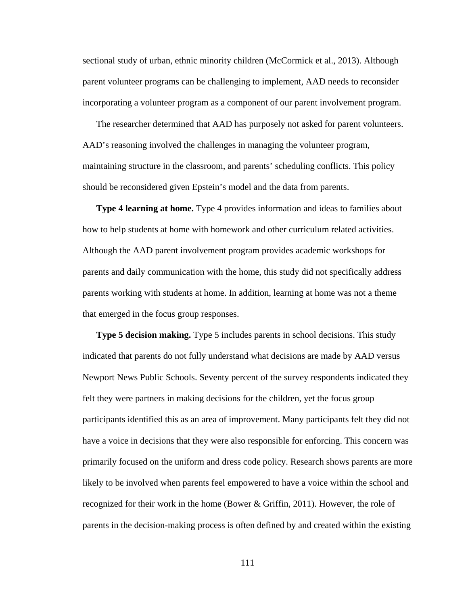sectional study of urban, ethnic minority children (McCormick et al., 2013). Although parent volunteer programs can be challenging to implement, AAD needs to reconsider incorporating a volunteer program as a component of our parent involvement program.

The researcher determined that AAD has purposely not asked for parent volunteers. AAD's reasoning involved the challenges in managing the volunteer program, maintaining structure in the classroom, and parents' scheduling conflicts. This policy should be reconsidered given Epstein's model and the data from parents.

**Type 4 learning at home.** Type 4 provides information and ideas to families about how to help students at home with homework and other curriculum related activities. Although the AAD parent involvement program provides academic workshops for parents and daily communication with the home, this study did not specifically address parents working with students at home. In addition, learning at home was not a theme that emerged in the focus group responses.

**Type 5 decision making.** Type 5 includes parents in school decisions. This study indicated that parents do not fully understand what decisions are made by AAD versus Newport News Public Schools. Seventy percent of the survey respondents indicated they felt they were partners in making decisions for the children, yet the focus group participants identified this as an area of improvement. Many participants felt they did not have a voice in decisions that they were also responsible for enforcing. This concern was primarily focused on the uniform and dress code policy. Research shows parents are more likely to be involved when parents feel empowered to have a voice within the school and recognized for their work in the home (Bower & Griffin, 2011). However, the role of parents in the decision-making process is often defined by and created within the existing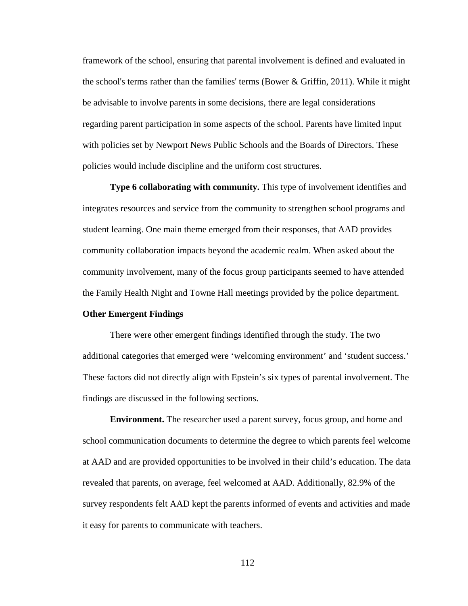framework of the school, ensuring that parental involvement is defined and evaluated in the school's terms rather than the families' terms (Bower  $\&$  Griffin, 2011). While it might be advisable to involve parents in some decisions, there are legal considerations regarding parent participation in some aspects of the school. Parents have limited input with policies set by Newport News Public Schools and the Boards of Directors. These policies would include discipline and the uniform cost structures.

**Type 6 collaborating with community.** This type of involvement identifies and integrates resources and service from the community to strengthen school programs and student learning. One main theme emerged from their responses, that AAD provides community collaboration impacts beyond the academic realm. When asked about the community involvement, many of the focus group participants seemed to have attended the Family Health Night and Towne Hall meetings provided by the police department.

### **Other Emergent Findings**

There were other emergent findings identified through the study. The two additional categories that emerged were 'welcoming environment' and 'student success.' These factors did not directly align with Epstein's six types of parental involvement. The findings are discussed in the following sections.

**Environment.** The researcher used a parent survey, focus group, and home and school communication documents to determine the degree to which parents feel welcome at AAD and are provided opportunities to be involved in their child's education. The data revealed that parents, on average, feel welcomed at AAD. Additionally, 82.9% of the survey respondents felt AAD kept the parents informed of events and activities and made it easy for parents to communicate with teachers.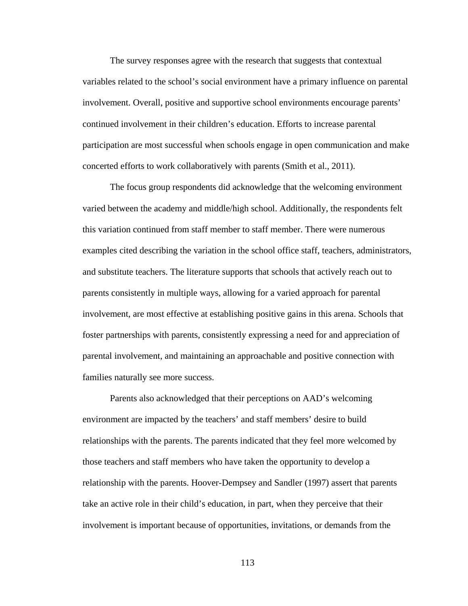The survey responses agree with the research that suggests that contextual variables related to the school's social environment have a primary influence on parental involvement. Overall, positive and supportive school environments encourage parents' continued involvement in their children's education. Efforts to increase parental participation are most successful when schools engage in open communication and make concerted efforts to work collaboratively with parents (Smith et al., 2011).

The focus group respondents did acknowledge that the welcoming environment varied between the academy and middle/high school. Additionally, the respondents felt this variation continued from staff member to staff member. There were numerous examples cited describing the variation in the school office staff, teachers, administrators, and substitute teachers. The literature supports that schools that actively reach out to parents consistently in multiple ways, allowing for a varied approach for parental involvement, are most effective at establishing positive gains in this arena. Schools that foster partnerships with parents, consistently expressing a need for and appreciation of parental involvement, and maintaining an approachable and positive connection with families naturally see more success.

Parents also acknowledged that their perceptions on AAD's welcoming environment are impacted by the teachers' and staff members' desire to build relationships with the parents. The parents indicated that they feel more welcomed by those teachers and staff members who have taken the opportunity to develop a relationship with the parents. Hoover-Dempsey and Sandler (1997) assert that parents take an active role in their child's education, in part, when they perceive that their involvement is important because of opportunities, invitations, or demands from the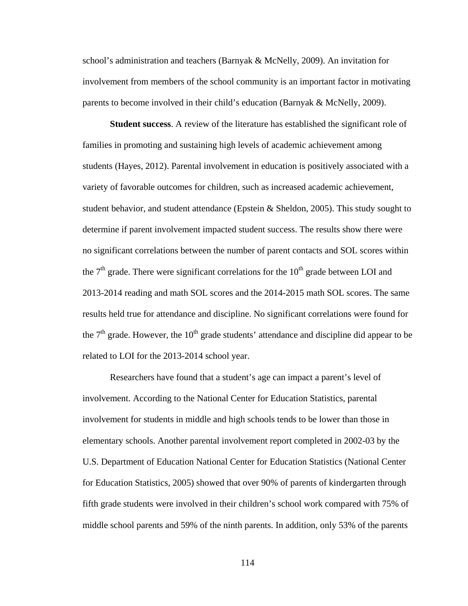school's administration and teachers (Barnyak & McNelly, 2009). An invitation for involvement from members of the school community is an important factor in motivating parents to become involved in their child's education (Barnyak & McNelly, 2009).

**Student success**. A review of the literature has established the significant role of families in promoting and sustaining high levels of academic achievement among students (Hayes, 2012). Parental involvement in education is positively associated with a variety of favorable outcomes for children, such as increased academic achievement, student behavior, and student attendance (Epstein  $\&$  Sheldon, 2005). This study sought to determine if parent involvement impacted student success. The results show there were no significant correlations between the number of parent contacts and SOL scores within the  $7<sup>th</sup>$  grade. There were significant correlations for the  $10<sup>th</sup>$  grade between LOI and 2013-2014 reading and math SOL scores and the 2014-2015 math SOL scores. The same results held true for attendance and discipline. No significant correlations were found for the  $7<sup>th</sup>$  grade. However, the  $10<sup>th</sup>$  grade students' attendance and discipline did appear to be related to LOI for the 2013-2014 school year.

Researchers have found that a student's age can impact a parent's level of involvement. According to the National Center for Education Statistics, parental involvement for students in middle and high schools tends to be lower than those in elementary schools. Another parental involvement report completed in 2002-03 by the U.S. Department of Education National Center for Education Statistics (National Center for Education Statistics, 2005) showed that over 90% of parents of kindergarten through fifth grade students were involved in their children's school work compared with 75% of middle school parents and 59% of the ninth parents. In addition, only 53% of the parents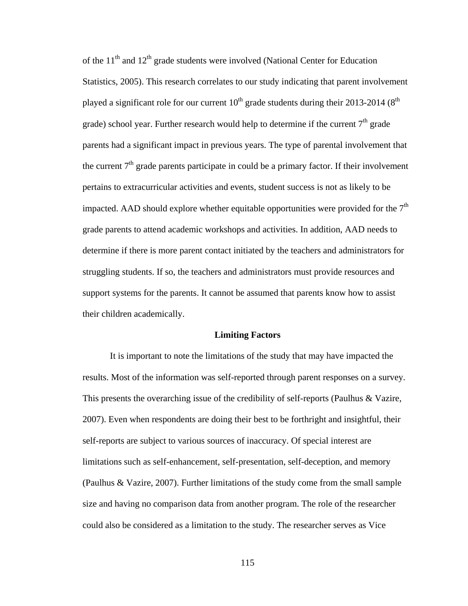of the  $11<sup>th</sup>$  and  $12<sup>th</sup>$  grade students were involved (National Center for Education Statistics, 2005). This research correlates to our study indicating that parent involvement played a significant role for our current  $10^{th}$  grade students during their 2013-2014 ( $8^{th}$ ) grade) school year. Further research would help to determine if the current  $7<sup>th</sup>$  grade parents had a significant impact in previous years. The type of parental involvement that the current  $7<sup>th</sup>$  grade parents participate in could be a primary factor. If their involvement pertains to extracurricular activities and events, student success is not as likely to be impacted. AAD should explore whether equitable opportunities were provided for the  $7<sup>th</sup>$ grade parents to attend academic workshops and activities. In addition, AAD needs to determine if there is more parent contact initiated by the teachers and administrators for struggling students. If so, the teachers and administrators must provide resources and support systems for the parents. It cannot be assumed that parents know how to assist their children academically.

#### **Limiting Factors**

It is important to note the limitations of the study that may have impacted the results. Most of the information was self-reported through parent responses on a survey. This presents the overarching issue of the credibility of self-reports (Paulhus & Vazire, 2007). Even when respondents are doing their best to be forthright and insightful, their self-reports are subject to various sources of inaccuracy. Of special interest are limitations such as self-enhancement, self-presentation, self-deception, and memory (Paulhus & Vazire, 2007). Further limitations of the study come from the small sample size and having no comparison data from another program. The role of the researcher could also be considered as a limitation to the study. The researcher serves as Vice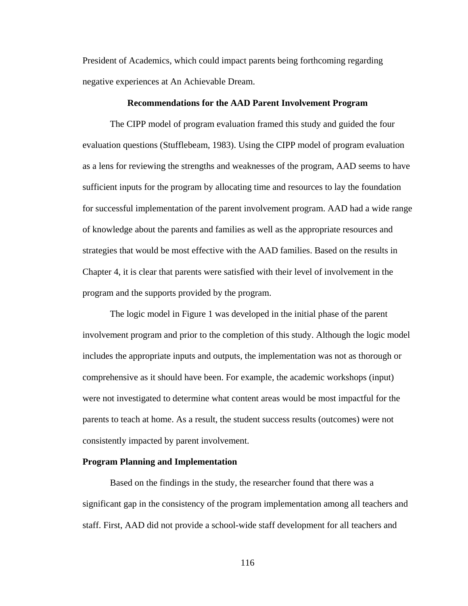President of Academics, which could impact parents being forthcoming regarding negative experiences at An Achievable Dream.

#### **Recommendations for the AAD Parent Involvement Program**

The CIPP model of program evaluation framed this study and guided the four evaluation questions (Stufflebeam, 1983). Using the CIPP model of program evaluation as a lens for reviewing the strengths and weaknesses of the program, AAD seems to have sufficient inputs for the program by allocating time and resources to lay the foundation for successful implementation of the parent involvement program. AAD had a wide range of knowledge about the parents and families as well as the appropriate resources and strategies that would be most effective with the AAD families. Based on the results in Chapter 4, it is clear that parents were satisfied with their level of involvement in the program and the supports provided by the program.

The logic model in Figure 1 was developed in the initial phase of the parent involvement program and prior to the completion of this study. Although the logic model includes the appropriate inputs and outputs, the implementation was not as thorough or comprehensive as it should have been. For example, the academic workshops (input) were not investigated to determine what content areas would be most impactful for the parents to teach at home. As a result, the student success results (outcomes) were not consistently impacted by parent involvement.

#### **Program Planning and Implementation**

Based on the findings in the study, the researcher found that there was a significant gap in the consistency of the program implementation among all teachers and staff. First, AAD did not provide a school-wide staff development for all teachers and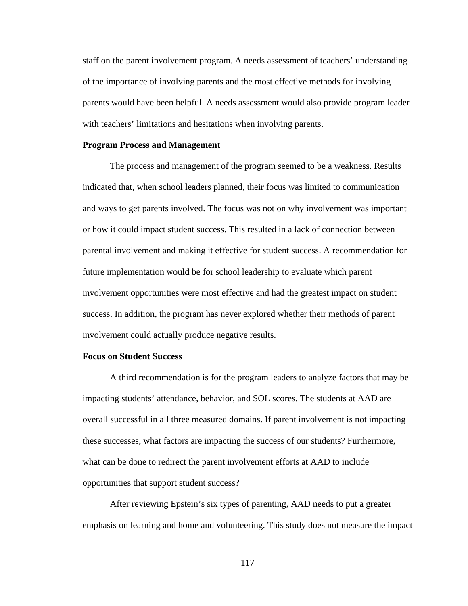staff on the parent involvement program. A needs assessment of teachers' understanding of the importance of involving parents and the most effective methods for involving parents would have been helpful. A needs assessment would also provide program leader with teachers' limitations and hesitations when involving parents.

#### **Program Process and Management**

The process and management of the program seemed to be a weakness. Results indicated that, when school leaders planned, their focus was limited to communication and ways to get parents involved. The focus was not on why involvement was important or how it could impact student success. This resulted in a lack of connection between parental involvement and making it effective for student success. A recommendation for future implementation would be for school leadership to evaluate which parent involvement opportunities were most effective and had the greatest impact on student success. In addition, the program has never explored whether their methods of parent involvement could actually produce negative results.

#### **Focus on Student Success**

A third recommendation is for the program leaders to analyze factors that may be impacting students' attendance, behavior, and SOL scores. The students at AAD are overall successful in all three measured domains. If parent involvement is not impacting these successes, what factors are impacting the success of our students? Furthermore, what can be done to redirect the parent involvement efforts at AAD to include opportunities that support student success?

After reviewing Epstein's six types of parenting, AAD needs to put a greater emphasis on learning and home and volunteering. This study does not measure the impact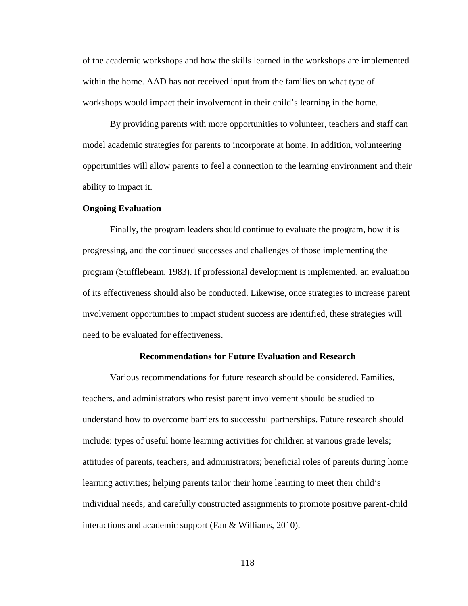of the academic workshops and how the skills learned in the workshops are implemented within the home. AAD has not received input from the families on what type of workshops would impact their involvement in their child's learning in the home.

By providing parents with more opportunities to volunteer, teachers and staff can model academic strategies for parents to incorporate at home. In addition, volunteering opportunities will allow parents to feel a connection to the learning environment and their ability to impact it.

#### **Ongoing Evaluation**

Finally, the program leaders should continue to evaluate the program, how it is progressing, and the continued successes and challenges of those implementing the program (Stufflebeam, 1983). If professional development is implemented, an evaluation of its effectiveness should also be conducted. Likewise, once strategies to increase parent involvement opportunities to impact student success are identified, these strategies will need to be evaluated for effectiveness.

#### **Recommendations for Future Evaluation and Research**

Various recommendations for future research should be considered. Families, teachers, and administrators who resist parent involvement should be studied to understand how to overcome barriers to successful partnerships. Future research should include: types of useful home learning activities for children at various grade levels; attitudes of parents, teachers, and administrators; beneficial roles of parents during home learning activities; helping parents tailor their home learning to meet their child's individual needs; and carefully constructed assignments to promote positive parent-child interactions and academic support (Fan & Williams, 2010).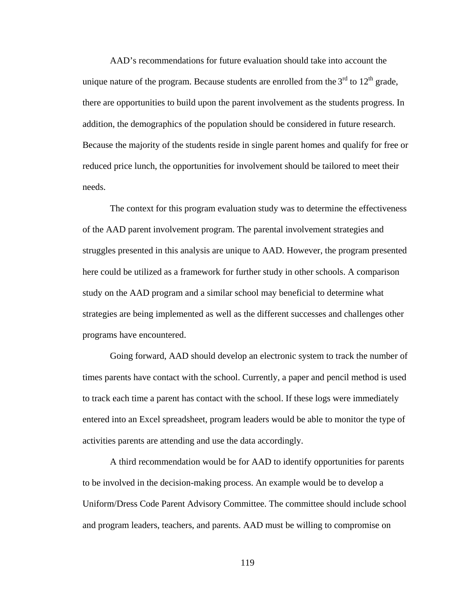AAD's recommendations for future evaluation should take into account the unique nature of the program. Because students are enrolled from the  $3<sup>rd</sup>$  to  $12<sup>th</sup>$  grade, there are opportunities to build upon the parent involvement as the students progress. In addition, the demographics of the population should be considered in future research. Because the majority of the students reside in single parent homes and qualify for free or reduced price lunch, the opportunities for involvement should be tailored to meet their needs.

The context for this program evaluation study was to determine the effectiveness of the AAD parent involvement program. The parental involvement strategies and struggles presented in this analysis are unique to AAD. However, the program presented here could be utilized as a framework for further study in other schools. A comparison study on the AAD program and a similar school may beneficial to determine what strategies are being implemented as well as the different successes and challenges other programs have encountered.

Going forward, AAD should develop an electronic system to track the number of times parents have contact with the school. Currently, a paper and pencil method is used to track each time a parent has contact with the school. If these logs were immediately entered into an Excel spreadsheet, program leaders would be able to monitor the type of activities parents are attending and use the data accordingly.

A third recommendation would be for AAD to identify opportunities for parents to be involved in the decision-making process. An example would be to develop a Uniform/Dress Code Parent Advisory Committee. The committee should include school and program leaders, teachers, and parents. AAD must be willing to compromise on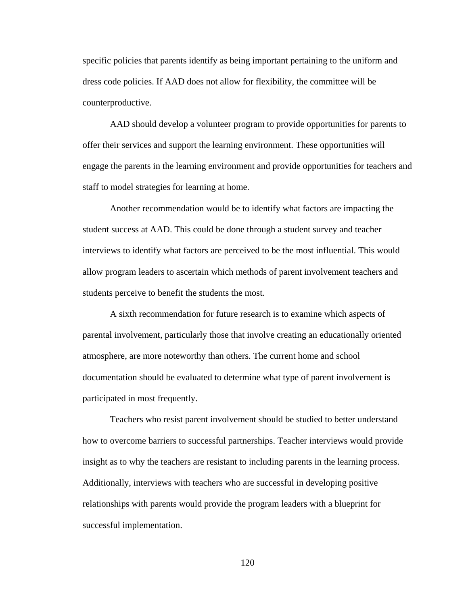specific policies that parents identify as being important pertaining to the uniform and dress code policies. If AAD does not allow for flexibility, the committee will be counterproductive.

AAD should develop a volunteer program to provide opportunities for parents to offer their services and support the learning environment. These opportunities will engage the parents in the learning environment and provide opportunities for teachers and staff to model strategies for learning at home.

Another recommendation would be to identify what factors are impacting the student success at AAD. This could be done through a student survey and teacher interviews to identify what factors are perceived to be the most influential. This would allow program leaders to ascertain which methods of parent involvement teachers and students perceive to benefit the students the most.

A sixth recommendation for future research is to examine which aspects of parental involvement, particularly those that involve creating an educationally oriented atmosphere, are more noteworthy than others. The current home and school documentation should be evaluated to determine what type of parent involvement is participated in most frequently.

Teachers who resist parent involvement should be studied to better understand how to overcome barriers to successful partnerships. Teacher interviews would provide insight as to why the teachers are resistant to including parents in the learning process. Additionally, interviews with teachers who are successful in developing positive relationships with parents would provide the program leaders with a blueprint for successful implementation.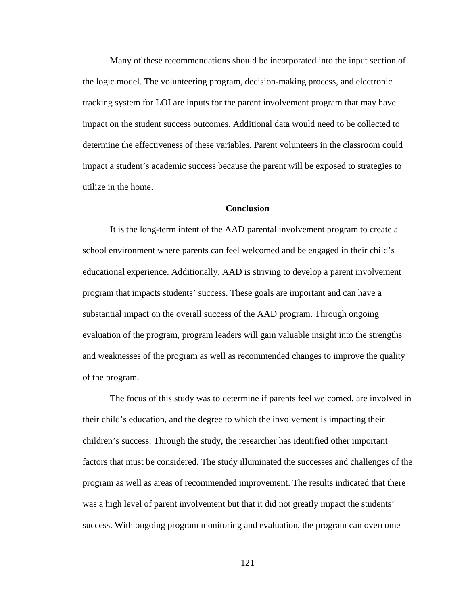Many of these recommendations should be incorporated into the input section of the logic model. The volunteering program, decision-making process, and electronic tracking system for LOI are inputs for the parent involvement program that may have impact on the student success outcomes. Additional data would need to be collected to determine the effectiveness of these variables. Parent volunteers in the classroom could impact a student's academic success because the parent will be exposed to strategies to utilize in the home.

### **Conclusion**

It is the long-term intent of the AAD parental involvement program to create a school environment where parents can feel welcomed and be engaged in their child's educational experience. Additionally, AAD is striving to develop a parent involvement program that impacts students' success. These goals are important and can have a substantial impact on the overall success of the AAD program. Through ongoing evaluation of the program, program leaders will gain valuable insight into the strengths and weaknesses of the program as well as recommended changes to improve the quality of the program.

The focus of this study was to determine if parents feel welcomed, are involved in their child's education, and the degree to which the involvement is impacting their children's success. Through the study, the researcher has identified other important factors that must be considered. The study illuminated the successes and challenges of the program as well as areas of recommended improvement. The results indicated that there was a high level of parent involvement but that it did not greatly impact the students' success. With ongoing program monitoring and evaluation, the program can overcome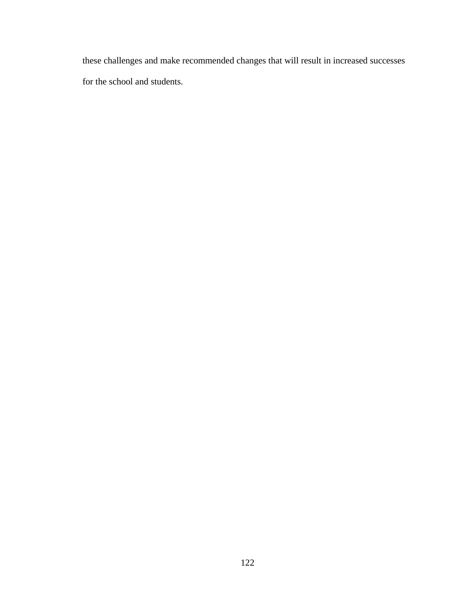these challenges and make recommended changes that will result in increased successes for the school and students.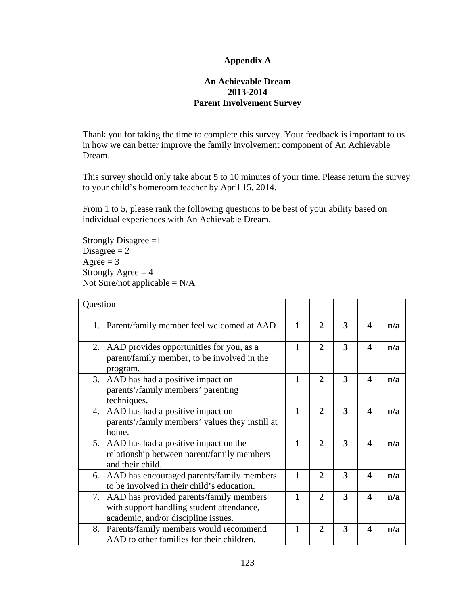### **Appendix A**

### **An Achievable Dream 2013-2014 Parent Involvement Survey**

Thank you for taking the time to complete this survey. Your feedback is important to us in how we can better improve the family involvement component of An Achievable Dream.

This survey should only take about 5 to 10 minutes of your time. Please return the survey to your child's homeroom teacher by April 15, 2014.

From 1 to 5, please rank the following questions to be best of your ability based on individual experiences with An Achievable Dream.

Strongly Disagree =1 Disagree  $= 2$ Agree  $= 3$ Strongly Agree  $= 4$ Not Sure/not applicable  $= N/A$ 

| Question                                                                                                                       |              |                |   |                  |     |
|--------------------------------------------------------------------------------------------------------------------------------|--------------|----------------|---|------------------|-----|
| 1. Parent/family member feel welcomed at AAD.                                                                                  | $\mathbf{1}$ | $\mathbf{2}$   | 3 | 4                | n/a |
| AAD provides opportunities for you, as a<br>2.<br>parent/family member, to be involved in the<br>program.                      | 1            | $\mathbf{2}$   | 3 | 4                | n/a |
| AAD has had a positive impact on<br>3.<br>parents'/family members' parenting<br>techniques.                                    | 1            | $\mathbf{2}$   | 3 | 4                | n/a |
| 4. AAD has had a positive impact on<br>parents'/family members' values they instill at<br>home.                                | 1            | $\mathbf{2}$   | 3 | 4                | n/a |
| 5. AAD has had a positive impact on the<br>relationship between parent/family members<br>and their child.                      | 1            | $\overline{2}$ | 3 | 4                | n/a |
| 6. AAD has encouraged parents/family members<br>to be involved in their child's education.                                     | $\mathbf{1}$ | $\mathbf{2}$   | 3 | 4                | n/a |
| 7. AAD has provided parents/family members<br>with support handling student attendance,<br>academic, and/or discipline issues. | $\mathbf{1}$ | $\overline{2}$ | 3 | 4                | n/a |
| 8. Parents/family members would recommend<br>AAD to other families for their children.                                         | 1            | $\mathbf{2}$   | 3 | $\boldsymbol{4}$ | n/a |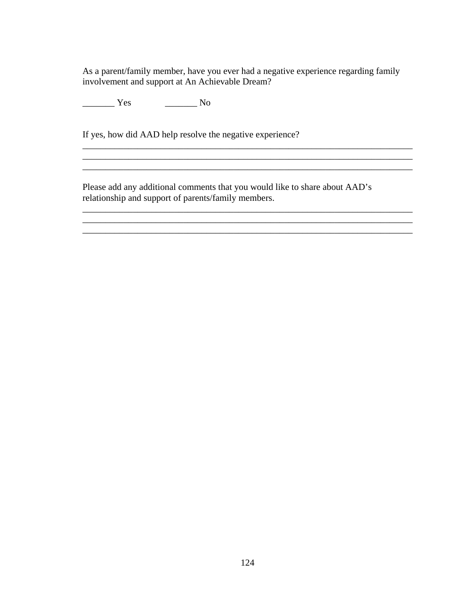As a parent/family member, have you ever had a negative experience regarding family involvement and support at An Achievable Dream?

\_\_\_\_\_\_\_\_\_\_\_\_\_\_\_\_\_\_\_\_\_\_\_\_\_\_\_\_\_\_\_\_\_\_\_\_\_\_\_\_\_\_\_\_\_\_\_\_\_\_\_\_\_\_\_\_\_\_\_\_\_\_\_\_\_\_\_\_\_\_\_\_

 $\_$  , and the set of the set of the set of the set of the set of the set of the set of the set of the set of the set of the set of the set of the set of the set of the set of the set of the set of the set of the set of th \_\_\_\_\_\_\_\_\_\_\_\_\_\_\_\_\_\_\_\_\_\_\_\_\_\_\_\_\_\_\_\_\_\_\_\_\_\_\_\_\_\_\_\_\_\_\_\_\_\_\_\_\_\_\_\_\_\_\_\_\_\_\_\_\_\_\_\_\_\_\_\_

 $\overline{\phantom{a}}$  , and the contribution of the contribution of the contribution of the contribution of the contribution of the contribution of the contribution of the contribution of the contribution of the contribution of the  $\mathcal{L}_\mathcal{L} = \{ \mathcal{L}_\mathcal{L} = \{ \mathcal{L}_\mathcal{L} = \{ \mathcal{L}_\mathcal{L} = \{ \mathcal{L}_\mathcal{L} = \{ \mathcal{L}_\mathcal{L} = \{ \mathcal{L}_\mathcal{L} = \{ \mathcal{L}_\mathcal{L} = \{ \mathcal{L}_\mathcal{L} = \{ \mathcal{L}_\mathcal{L} = \{ \mathcal{L}_\mathcal{L} = \{ \mathcal{L}_\mathcal{L} = \{ \mathcal{L}_\mathcal{L} = \{ \mathcal{L}_\mathcal{L} = \{ \mathcal{L}_\mathcal{$ 

\_\_\_\_\_\_\_ Yes \_\_\_\_\_\_\_ No

If yes, how did AAD help resolve the negative experience?

Please add any additional comments that you would like to share about AAD's relationship and support of parents/family members.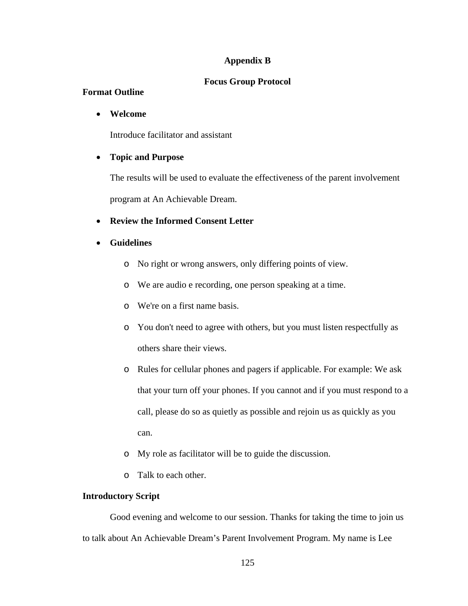### **Appendix B**

### **Focus Group Protocol**

### **Format Outline**

### • **Welcome**

Introduce facilitator and assistant

### • **Topic and Purpose**

The results will be used to evaluate the effectiveness of the parent involvement program at An Achievable Dream.

### • **Review the Informed Consent Letter**

### • **Guidelines**

- o No right or wrong answers, only differing points of view.
- o We are audio e recording, one person speaking at a time.
- o We're on a first name basis.
- o You don't need to agree with others, but you must listen respectfully as others share their views.
- o Rules for cellular phones and pagers if applicable. For example: We ask that your turn off your phones. If you cannot and if you must respond to a call, please do so as quietly as possible and rejoin us as quickly as you can.
- o My role as facilitator will be to guide the discussion.
- o Talk to each other.

### **Introductory Script**

Good evening and welcome to our session. Thanks for taking the time to join us to talk about An Achievable Dream's Parent Involvement Program. My name is Lee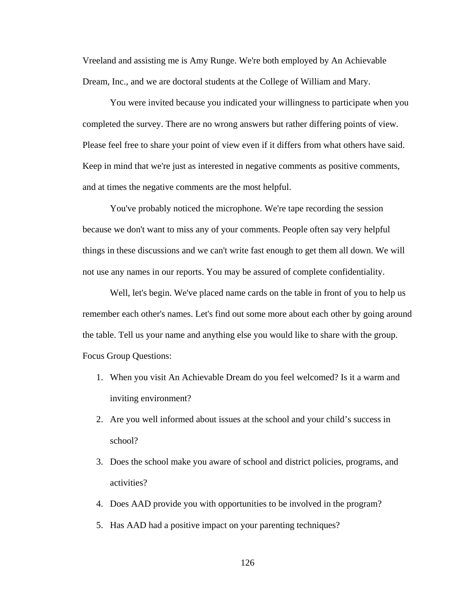Vreeland and assisting me is Amy Runge. We're both employed by An Achievable Dream, Inc., and we are doctoral students at the College of William and Mary.

You were invited because you indicated your willingness to participate when you completed the survey. There are no wrong answers but rather differing points of view. Please feel free to share your point of view even if it differs from what others have said. Keep in mind that we're just as interested in negative comments as positive comments, and at times the negative comments are the most helpful.

You've probably noticed the microphone. We're tape recording the session because we don't want to miss any of your comments. People often say very helpful things in these discussions and we can't write fast enough to get them all down. We will not use any names in our reports. You may be assured of complete confidentiality.

Well, let's begin. We've placed name cards on the table in front of you to help us remember each other's names. Let's find out some more about each other by going around the table. Tell us your name and anything else you would like to share with the group. Focus Group Questions:

- 1. When you visit An Achievable Dream do you feel welcomed? Is it a warm and inviting environment?
- 2. Are you well informed about issues at the school and your child's success in school?
- 3. Does the school make you aware of school and district policies, programs, and activities?
- 4. Does AAD provide you with opportunities to be involved in the program?
- 5. Has AAD had a positive impact on your parenting techniques?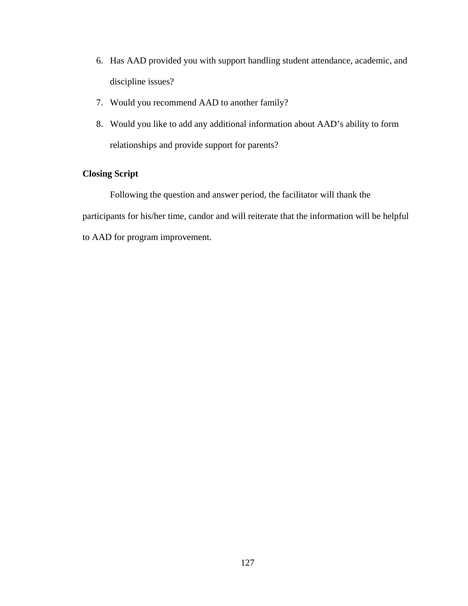- 6. Has AAD provided you with support handling student attendance, academic, and discipline issues?
- 7. Would you recommend AAD to another family?
- 8. Would you like to add any additional information about AAD's ability to form relationships and provide support for parents?

# **Closing Script**

Following the question and answer period, the facilitator will thank the participants for his/her time, candor and will reiterate that the information will be helpful to AAD for program improvement.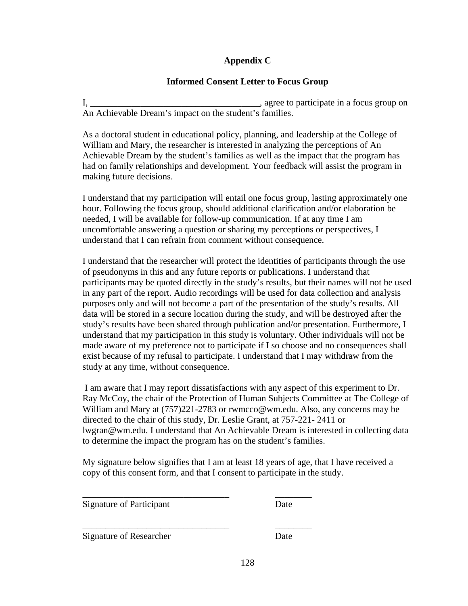# **Appendix C**

# **Informed Consent Letter to Focus Group**

I, \_\_\_\_\_\_\_\_\_\_\_\_\_\_\_\_\_\_\_\_\_\_\_\_\_\_\_\_\_\_\_\_\_\_\_\_\_, agree to participate in a focus group on An Achievable Dream's impact on the student's families.

As a doctoral student in educational policy, planning, and leadership at the College of William and Mary, the researcher is interested in analyzing the perceptions of An Achievable Dream by the student's families as well as the impact that the program has had on family relationships and development. Your feedback will assist the program in making future decisions.

I understand that my participation will entail one focus group, lasting approximately one hour. Following the focus group, should additional clarification and/or elaboration be needed, I will be available for follow-up communication. If at any time I am uncomfortable answering a question or sharing my perceptions or perspectives, I understand that I can refrain from comment without consequence.

I understand that the researcher will protect the identities of participants through the use of pseudonyms in this and any future reports or publications. I understand that participants may be quoted directly in the study's results, but their names will not be used in any part of the report. Audio recordings will be used for data collection and analysis purposes only and will not become a part of the presentation of the study's results. All data will be stored in a secure location during the study, and will be destroyed after the study's results have been shared through publication and/or presentation. Furthermore, I understand that my participation in this study is voluntary. Other individuals will not be made aware of my preference not to participate if I so choose and no consequences shall exist because of my refusal to participate. I understand that I may withdraw from the study at any time, without consequence.

I am aware that I may report dissatisfactions with any aspect of this experiment to Dr. Ray McCoy, the chair of the Protection of Human Subjects Committee at The College of William and Mary at (757)221-2783 or rwmcco@wm.edu. Also, any concerns may be directed to the chair of this study, Dr. Leslie Grant, at 757-221- 2411 or lwgran@wm.edu. I understand that An Achievable Dream is interested in collecting data to determine the impact the program has on the student's families.

My signature below signifies that I am at least 18 years of age, that I have received a copy of this consent form, and that I consent to participate in the study.

Signature of Participant Date

\_\_\_\_\_\_\_\_\_\_\_\_\_\_\_\_\_\_\_\_\_\_\_\_\_\_\_\_\_\_\_\_ \_\_\_\_\_\_\_\_

\_\_\_\_\_\_\_\_\_\_\_\_\_\_\_\_\_\_\_\_\_\_\_\_\_\_\_\_\_\_\_\_ \_\_\_\_\_\_\_\_ Signature of Researcher Date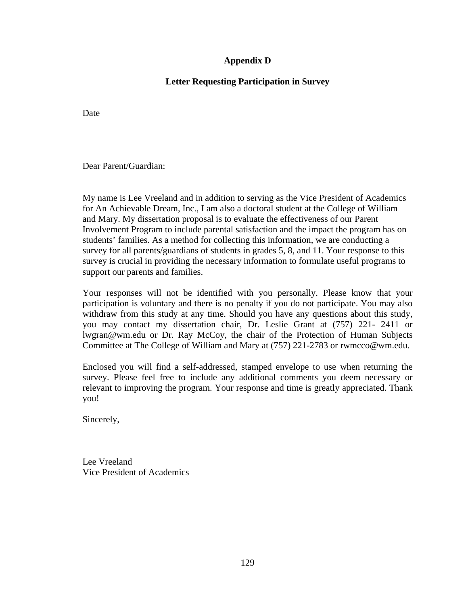# **Appendix D**

# **Letter Requesting Participation in Survey**

Date

Dear Parent/Guardian:

My name is Lee Vreeland and in addition to serving as the Vice President of Academics for An Achievable Dream, Inc., I am also a doctoral student at the College of William and Mary. My dissertation proposal is to evaluate the effectiveness of our Parent Involvement Program to include parental satisfaction and the impact the program has on students' families. As a method for collecting this information, we are conducting a survey for all parents/guardians of students in grades 5, 8, and 11. Your response to this survey is crucial in providing the necessary information to formulate useful programs to support our parents and families.

Your responses will not be identified with you personally. Please know that your participation is voluntary and there is no penalty if you do not participate. You may also withdraw from this study at any time. Should you have any questions about this study, you may contact my dissertation chair, Dr. Leslie Grant at (757) 221- 2411 or lwgran@wm.edu or Dr. Ray McCoy, the chair of the Protection of Human Subjects Committee at The College of William and Mary at (757) 221-2783 or rwmcco@wm.edu.

Enclosed you will find a self-addressed, stamped envelope to use when returning the survey. Please feel free to include any additional comments you deem necessary or relevant to improving the program. Your response and time is greatly appreciated. Thank you!

Sincerely,

Lee Vreeland Vice President of Academics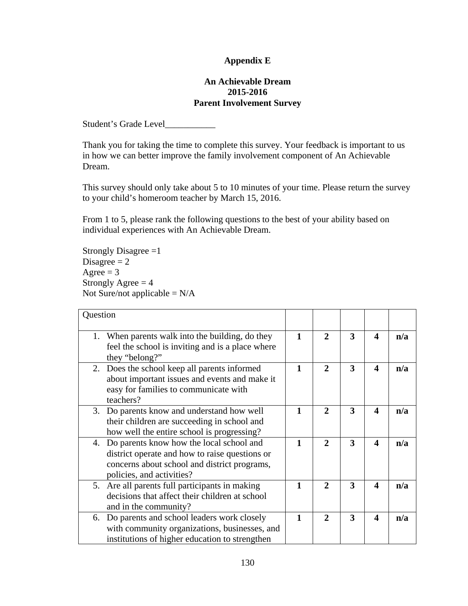# **Appendix E**

### **An Achievable Dream 2015-2016 Parent Involvement Survey**

Student's Grade Level\_\_\_\_\_\_\_\_\_\_\_\_

Thank you for taking the time to complete this survey. Your feedback is important to us in how we can better improve the family involvement component of An Achievable Dream.

This survey should only take about 5 to 10 minutes of your time. Please return the survey to your child's homeroom teacher by March 15, 2016.

From 1 to 5, please rank the following questions to the best of your ability based on individual experiences with An Achievable Dream.

Strongly Disagree  $=1$ Disagree  $= 2$ Agree  $= 3$ Strongly Agree  $= 4$ Not Sure/not applicable  $= N/A$ 

| Question                                                                                                                                                                   |              |              |   |                       |     |
|----------------------------------------------------------------------------------------------------------------------------------------------------------------------------|--------------|--------------|---|-----------------------|-----|
| 1. When parents walk into the building, do they<br>feel the school is inviting and is a place where<br>they "belong?"                                                      | 1            | $\mathbf{2}$ | 3 | $\boldsymbol{\Delta}$ | n/a |
| 2. Does the school keep all parents informed<br>about important issues and events and make it<br>easy for families to communicate with<br>teachers?                        | 1            | $\mathbf{2}$ | 3 | $\boldsymbol{\Delta}$ | n/a |
| Do parents know and understand how well<br>3.<br>their children are succeeding in school and<br>how well the entire school is progressing?                                 | $\mathbf{1}$ | $\mathbf{2}$ | 3 | $\boldsymbol{\Delta}$ | n/a |
| 4. Do parents know how the local school and<br>district operate and how to raise questions or<br>concerns about school and district programs,<br>policies, and activities? | 1            | $\mathbf{2}$ | 3 | Δ                     | n/a |
| 5. Are all parents full participants in making<br>decisions that affect their children at school<br>and in the community?                                                  | 1            | $\mathbf{2}$ | 3 | $\boldsymbol{\Delta}$ | n/a |
| 6. Do parents and school leaders work closely<br>with community organizations, businesses, and<br>institutions of higher education to strengthen                           | 1            | $\mathbf{2}$ | 3 | $\boldsymbol{\Delta}$ | n/a |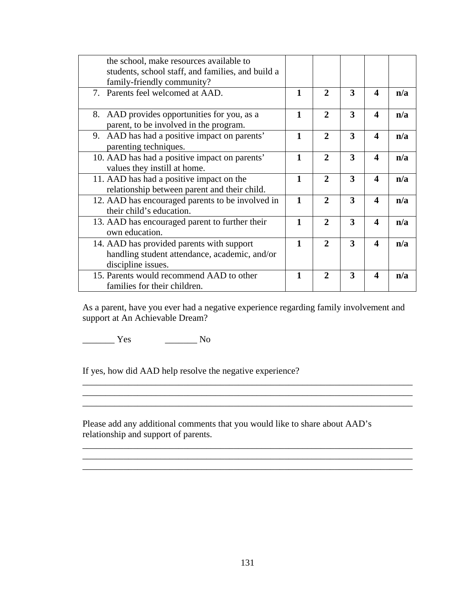| the school, make resources available to<br>students, school staff, and families, and build a                             |              |              |   |                       |     |
|--------------------------------------------------------------------------------------------------------------------------|--------------|--------------|---|-----------------------|-----|
| family-friendly community?                                                                                               | $\mathbf{1}$ | $\mathbf{2}$ | 3 | $\boldsymbol{\Delta}$ |     |
| 7. Parents feel welcomed at AAD.                                                                                         |              |              |   |                       | n/a |
| 8. AAD provides opportunities for you, as a                                                                              | $\mathbf{1}$ | $\mathbf{2}$ | 3 | $\blacktriangle$      | n/a |
| parent, to be involved in the program.                                                                                   |              |              |   |                       |     |
| 9. AAD has had a positive impact on parents'<br>3<br>$\mathbf{1}$<br>$\overline{2}$<br>4<br>n/a<br>parenting techniques. |              |              |   |                       |     |
| 10. AAD has had a positive impact on parents'                                                                            | $\mathbf{1}$ | $\mathbf{2}$ | 3 | 4                     | n/a |
| values they instill at home.                                                                                             |              |              |   |                       |     |
| $\mathbf{1}$<br>$\mathbf{2}$<br>11. AAD has had a positive impact on the                                                 |              |              |   | $\blacktriangleleft$  | n/a |
| relationship between parent and their child.                                                                             |              |              |   |                       |     |
| 12. AAD has encouraged parents to be involved in                                                                         | $\mathbf{1}$ | $\mathbf{2}$ | 3 | 4                     | n/a |
| their child's education.                                                                                                 |              |              |   |                       |     |
| 13. AAD has encouraged parent to further their                                                                           | $\mathbf{1}$ | $\mathbf{2}$ | 3 | 4                     | n/a |
| own education.                                                                                                           |              |              |   |                       |     |
| 14. AAD has provided parents with support                                                                                | $\mathbf{1}$ | $\mathbf{2}$ | 3 | $\boldsymbol{\Delta}$ | n/a |
| handling student attendance, academic, and/or                                                                            |              |              |   |                       |     |
| discipline issues.                                                                                                       |              |              |   |                       |     |
| 15. Parents would recommend AAD to other                                                                                 | 1            | $\mathbf{2}$ | 3 | $\boldsymbol{\Delta}$ | n/a |
| families for their children.                                                                                             |              |              |   |                       |     |

As a parent, have you ever had a negative experience regarding family involvement and support at An Achievable Dream?

 $\mathcal{L}_\mathcal{L} = \mathcal{L}_\mathcal{L} = \mathcal{L}_\mathcal{L} = \mathcal{L}_\mathcal{L} = \mathcal{L}_\mathcal{L} = \mathcal{L}_\mathcal{L} = \mathcal{L}_\mathcal{L} = \mathcal{L}_\mathcal{L} = \mathcal{L}_\mathcal{L} = \mathcal{L}_\mathcal{L} = \mathcal{L}_\mathcal{L} = \mathcal{L}_\mathcal{L} = \mathcal{L}_\mathcal{L} = \mathcal{L}_\mathcal{L} = \mathcal{L}_\mathcal{L} = \mathcal{L}_\mathcal{L} = \mathcal{L}_\mathcal{L}$ 

 $\mathcal{L}_\text{max} = \mathcal{L}_\text{max} = \mathcal{L}_\text{max} = \mathcal{L}_\text{max} = \mathcal{L}_\text{max} = \mathcal{L}_\text{max} = \mathcal{L}_\text{max} = \mathcal{L}_\text{max} = \mathcal{L}_\text{max} = \mathcal{L}_\text{max} = \mathcal{L}_\text{max} = \mathcal{L}_\text{max} = \mathcal{L}_\text{max} = \mathcal{L}_\text{max} = \mathcal{L}_\text{max} = \mathcal{L}_\text{max} = \mathcal{L}_\text{max} = \mathcal{L}_\text{max} = \mathcal{$ 

\_\_\_\_\_\_\_\_\_\_\_\_\_\_\_\_\_\_\_\_\_\_\_\_\_\_\_\_\_\_\_\_\_\_\_\_\_\_\_\_\_\_\_\_\_\_\_\_\_\_\_\_\_\_\_\_\_\_\_\_\_\_\_\_\_\_\_\_\_\_\_\_

\_\_\_\_\_\_\_\_\_\_\_\_\_\_\_\_\_\_\_\_\_\_\_\_\_\_\_\_\_\_\_\_\_\_\_\_\_\_\_\_\_\_\_\_\_\_\_\_\_\_\_\_\_\_\_\_\_\_\_\_\_\_\_\_\_\_\_\_\_\_\_\_

\_\_\_\_\_\_\_ Yes \_\_\_\_\_\_\_ No

If yes, how did AAD help resolve the negative experience?

Please add any additional comments that you would like to share about AAD's relationship and support of parents.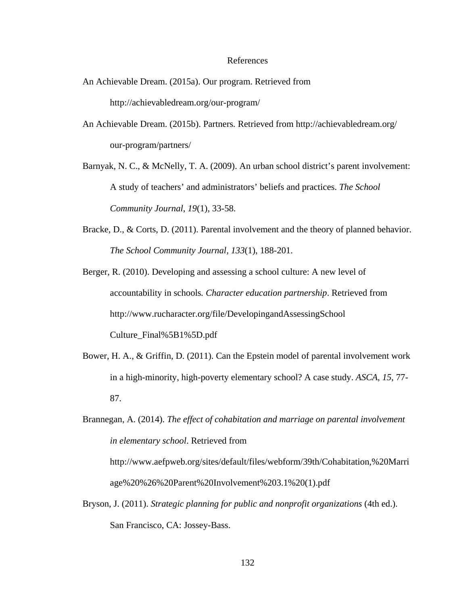## References

- An Achievable Dream. (2015a). Our program. Retrieved from http://achievabledream.org/our-program/
- An Achievable Dream. (2015b). Partners*.* Retrieved from http://achievabledream.org/ our-program/partners/
- Barnyak, N. C., & McNelly, T. A. (2009). An urban school district's parent involvement: A study of teachers' and administrators' beliefs and practices. *The School Community Journal*, *19*(1), 33-58.
- Bracke, D., & Corts, D. (2011). Parental involvement and the theory of planned behavior. *The School Community Journal, 133*(1), 188-201.

Berger, R. (2010). Developing and assessing a school culture: A new level of accountability in schools*. Character education partnership*. Retrieved from http://www.rucharacter.org/file/DevelopingandAssessingSchool Culture\_Final%5B1%5D.pdf

Bower, H. A., & Griffin, D. (2011). Can the Epstein model of parental involvement work in a high-minority, high-poverty elementary school? A case study. *ASCA*, *15*, 77- 87.

Brannegan, A. (2014). *The effect of cohabitation and marriage on parental involvement in elementary school*. Retrieved from http://www.aefpweb.org/sites/default/files/webform/39th/Cohabitation,%20Marri age%20%26%20Parent%20Involvement%203.1%20(1).pdf

Bryson, J. (2011). *Strategic planning for public and nonprofit organizations* (4th ed.). San Francisco, CA: Jossey-Bass.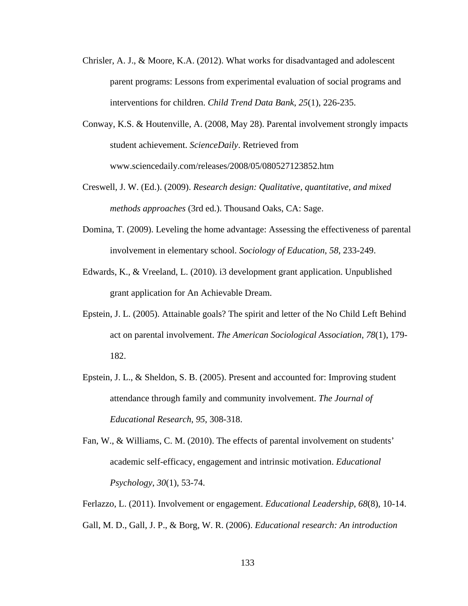- Chrisler, A. J., & Moore, K.A. (2012). What works for disadvantaged and adolescent parent programs: Lessons from experimental evaluation of social programs and interventions for children. *Child Trend Data Bank*, *25*(1), 226-235.
- Conway, K.S. & Houtenville, A. (2008, May 28). Parental involvement strongly impacts student achievement. *ScienceDaily*. Retrieved from www.sciencedaily.com/releases/2008/05/080527123852.htm
- Creswell, J. W. (Ed.). (2009). *Research design: Qualitative, quantitative, and mixed methods approaches* (3rd ed.). Thousand Oaks, CA: Sage.
- Domina, T. (2009). Leveling the home advantage: Assessing the effectiveness of parental involvement in elementary school. *Sociology of Education*, *58*, 233-249.
- Edwards, K., & Vreeland, L. (2010). i3 development grant application. Unpublished grant application for An Achievable Dream.
- Epstein, J. L. (2005). Attainable goals? The spirit and letter of the No Child Left Behind act on parental involvement. *The American Sociological Association*, *78*(1), 179- 182.
- Epstein, J. L., & Sheldon, S. B. (2005). Present and accounted for: Improving student attendance through family and community involvement. *The Journal of Educational Research*, *95*, 308-318.
- Fan, W., & Williams, C. M. (2010). The effects of parental involvement on students' academic self-efficacy, engagement and intrinsic motivation. *Educational Psychology*, *30*(1), 53-74.
- Ferlazzo, L. (2011). Involvement or engagement. *Educational Leadership*, *68*(8), 10-14. Gall, M. D., Gall, J. P., & Borg, W. R. (2006). *Educational research: An introduction*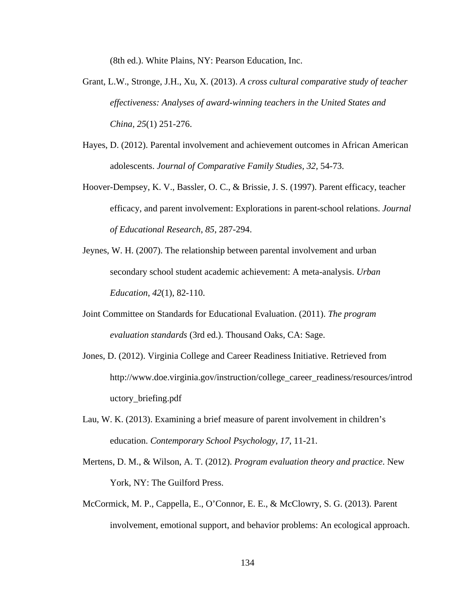(8th ed.). White Plains, NY: Pearson Education, Inc.

- Grant, L.W., Stronge, J.H., Xu, X. (2013). *A cross cultural comparative study of teacher effectiveness: Analyses of award-winning teachers in the United States and China, 25*(1) 251-276.
- Hayes, D. (2012). Parental involvement and achievement outcomes in African American adolescents. *Journal of Comparative Family Studies, 32,* 54-73.
- Hoover-Dempsey, K. V., Bassler, O. C., & Brissie, J. S. (1997). Parent efficacy, teacher efficacy, and parent involvement: Explorations in parent-school relations. *Journal of Educational Research*, *85*, 287-294.
- Jeynes, W. H. (2007). The relationship between parental involvement and urban secondary school student academic achievement: A meta-analysis. *Urban Education*, *42*(1), 82-110.
- Joint Committee on Standards for Educational Evaluation. (2011). *The program evaluation standards* (3rd ed.). Thousand Oaks, CA: Sage.
- Jones, D. (2012). Virginia College and Career Readiness Initiative. Retrieved from http://www.doe.virginia.gov/instruction/college\_career\_readiness/resources/introd uctory\_briefing.pdf
- Lau, W. K. (2013). Examining a brief measure of parent involvement in children's education. *Contemporary School Psychology*, *17*, 11-21.
- Mertens, D. M., & Wilson, A. T. (2012). *Program evaluation theory and practice*. New York, NY: The Guilford Press.
- McCormick, M. P., Cappella, E., O'Connor, E. E., & McClowry, S. G. (2013). Parent involvement, emotional support, and behavior problems: An ecological approach.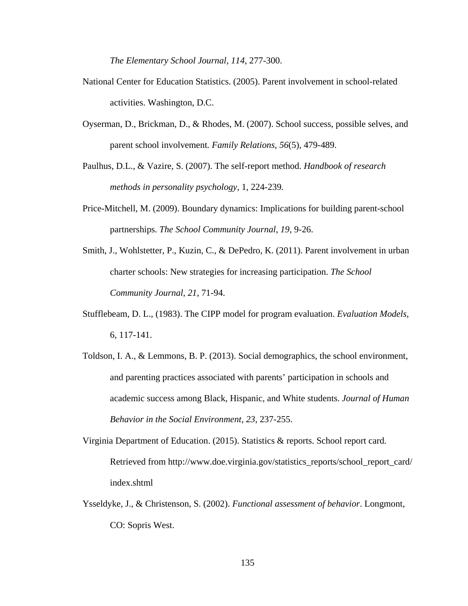*The Elementary School Journal*, *114*, 277-300.

- National Center for Education Statistics. (2005). Parent involvement in school-related activities. Washington, D.C.
- Oyserman, D., Brickman, D., & Rhodes, M. (2007). School success, possible selves, and parent school involvement*. Family Relations*, *56*(5), 479-489.
- Paulhus, D.L., & Vazire, S. (2007). The self-report method. *Handbook of research methods in personality psychology,* 1*,* 224-239*.*
- Price-Mitchell, M. (2009). Boundary dynamics: Implications for building parent-school partnerships. *The School Community Journal*, *19*, 9-26.
- Smith, J., Wohlstetter, P., Kuzin, C., & DePedro, K. (2011). Parent involvement in urban charter schools: New strategies for increasing participation. *The School Community Journal*, *21*, 71-94.
- Stufflebeam, D. L., (1983). The CIPP model for program evaluation. *Evaluation Models,* 6, 117-141.
- Toldson, I. A., & Lemmons, B. P. (2013). Social demographics, the school environment, and parenting practices associated with parents' participation in schools and academic success among Black, Hispanic, and White students. *Journal of Human Behavior in the Social Environment*, *23*, 237-255.
- Virginia Department of Education. (2015). Statistics & reports. School report card*.* Retrieved from http://www.doe.virginia.gov/statistics\_reports/school\_report\_card/ index.shtml
- Ysseldyke, J., & Christenson, S. (2002). *Functional assessment of behavior*. Longmont, CO: Sopris West.